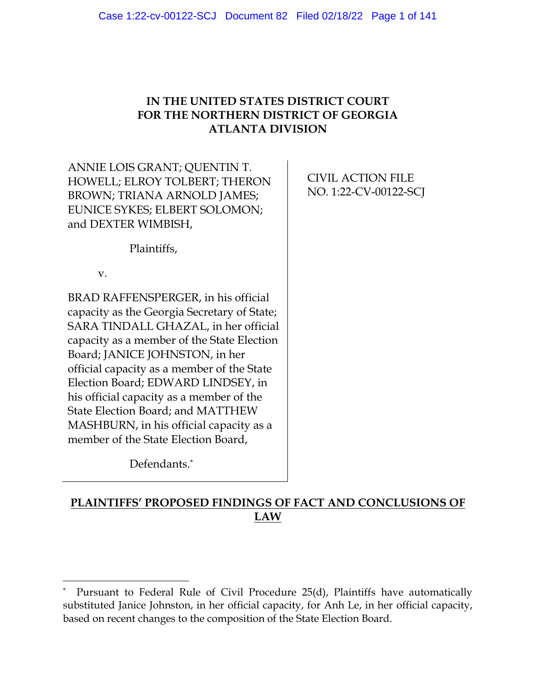# **IN THE UNITED STATES DISTRICT COURT FOR THE NORTHERN DISTRICT OF GEORGIA ATLANTA DIVISION**

ANNIE LOIS GRANT; QUENTIN T. HOWELL; ELROY TOLBERT; THERON BROWN; TRIANA ARNOLD JAMES; EUNICE SYKES; ELBERT SOLOMON; and DEXTER WIMBISH,

CIVIL ACTION FILE NO. 1:22-CV-00122-SCJ

Plaintiffs,

v.

BRAD RAFFENSPERGER, in his official capacity as the Georgia Secretary of State; SARA TINDALL GHAZAL, in her official capacity as a member of the State Election Board; JANICE JOHNSTON, in her official capacity as a member of the State Election Board; EDWARD LINDSEY, in his official capacity as a member of the State Election Board; and MATTHEW MASHBURN, in his official capacity as a member of the State Election Board,

Defendants.\*

# **PLAINTIFFS' PROPOSED FINDINGS OF FACT AND CONCLUSIONS OF LAW**

<sup>\*</sup> Pursuant to Federal Rule of Civil Procedure 25(d), Plaintiffs have automatically substituted Janice Johnston, in her official capacity, for Anh Le, in her official capacity, based on recent changes to the composition of the State Election Board.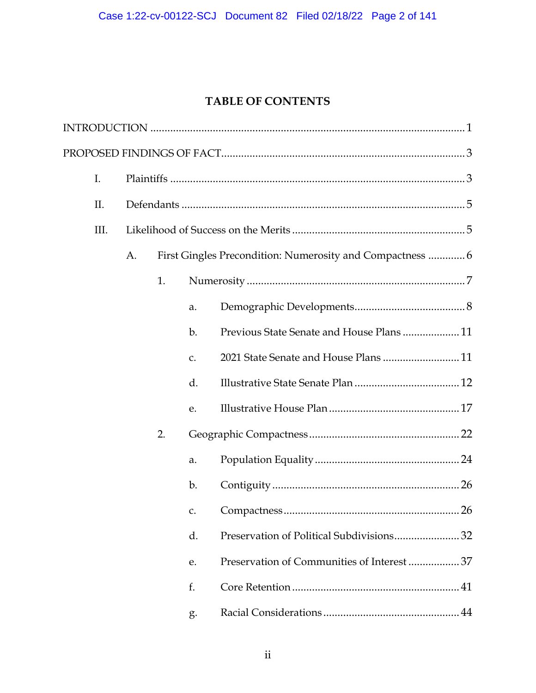# **TABLE OF CONTENTS**

| I.   |    |    |                |                                                           |
|------|----|----|----------------|-----------------------------------------------------------|
| II.  |    |    |                |                                                           |
| III. |    |    |                |                                                           |
|      | A. |    |                | First Gingles Precondition: Numerosity and Compactness  6 |
|      |    | 1. |                | $\label{lem:main} {\bf Numerosity}\,\\$                   |
|      |    |    | a.             |                                                           |
|      |    |    | b.             | Previous State Senate and House Plans 11                  |
|      |    |    | $C_{\bullet}$  | 2021 State Senate and House Plans  11                     |
|      |    |    | d.             |                                                           |
|      |    |    | e.             |                                                           |
|      |    | 2. |                |                                                           |
|      |    |    | a.             |                                                           |
|      |    |    | $\mathbf{b}$ . |                                                           |
|      |    |    | C.             | 26                                                        |
|      |    |    | d.             |                                                           |
|      |    |    | e.             | Preservation of Communities of Interest 37                |
|      |    |    | f.             |                                                           |
|      |    |    | g.             |                                                           |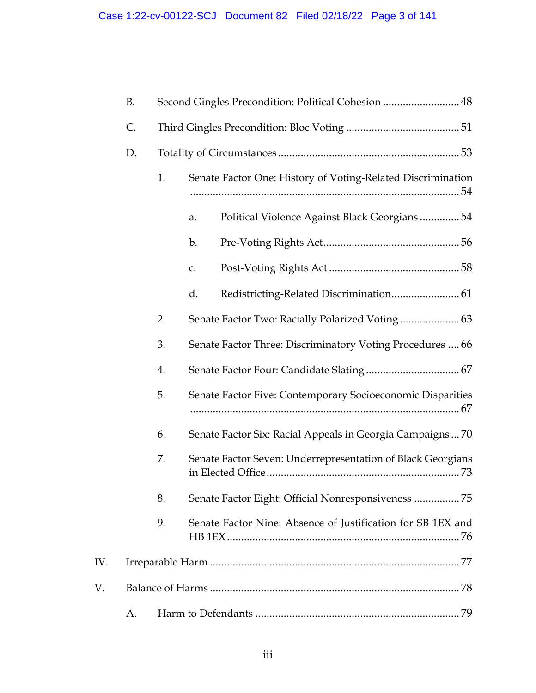|     | <b>B.</b> | Second Gingles Precondition: Political Cohesion  48 |                                                             |  |  |
|-----|-----------|-----------------------------------------------------|-------------------------------------------------------------|--|--|
|     | C.        |                                                     |                                                             |  |  |
|     | D.        |                                                     |                                                             |  |  |
|     |           | 1.                                                  | Senate Factor One: History of Voting-Related Discrimination |  |  |
|     |           |                                                     | Political Violence Against Black Georgians54<br>a.          |  |  |
|     |           |                                                     | b.                                                          |  |  |
|     |           |                                                     | c.                                                          |  |  |
|     |           |                                                     | d.                                                          |  |  |
|     |           | 2.                                                  |                                                             |  |  |
|     |           | 3.                                                  | Senate Factor Three: Discriminatory Voting Procedures  66   |  |  |
|     |           | 4.                                                  |                                                             |  |  |
|     |           | 5.                                                  | Senate Factor Five: Contemporary Socioeconomic Disparities  |  |  |
|     |           | 6.                                                  | Senate Factor Six: Racial Appeals in Georgia Campaigns70    |  |  |
|     |           | 7.                                                  | Senate Factor Seven: Underrepresentation of Black Georgians |  |  |
|     |           | 8.                                                  | Senate Factor Eight: Official Nonresponsiveness 75          |  |  |
|     |           | 9.                                                  | Senate Factor Nine: Absence of Justification for SB 1EX and |  |  |
| IV. |           |                                                     |                                                             |  |  |
| V.  |           |                                                     |                                                             |  |  |
|     | А.        |                                                     | 79                                                          |  |  |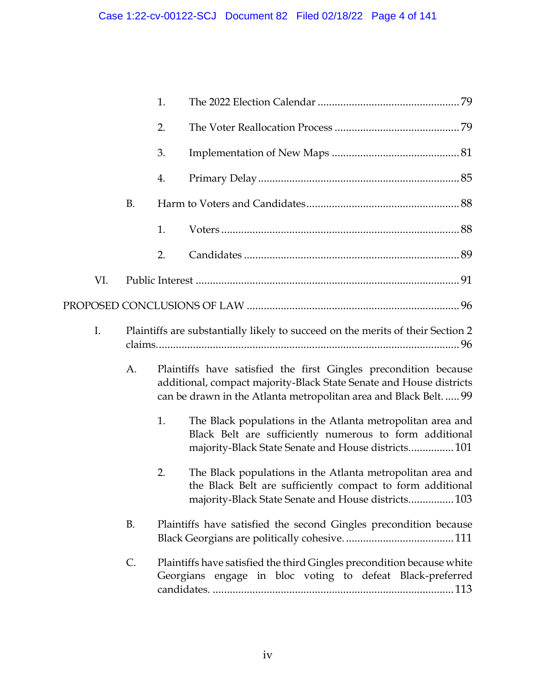|     |    | 1. |                                                                                                                                                                                                            |  |
|-----|----|----|------------------------------------------------------------------------------------------------------------------------------------------------------------------------------------------------------------|--|
|     |    | 2. |                                                                                                                                                                                                            |  |
|     |    | 3. |                                                                                                                                                                                                            |  |
|     |    | 4. |                                                                                                                                                                                                            |  |
|     | B. |    |                                                                                                                                                                                                            |  |
|     |    | 1. |                                                                                                                                                                                                            |  |
|     |    | 2. |                                                                                                                                                                                                            |  |
| VI. |    |    |                                                                                                                                                                                                            |  |
|     |    |    |                                                                                                                                                                                                            |  |
| I.  |    |    | Plaintiffs are substantially likely to succeed on the merits of their Section 2                                                                                                                            |  |
|     | A. |    | Plaintiffs have satisfied the first Gingles precondition because<br>additional, compact majority-Black State Senate and House districts<br>can be drawn in the Atlanta metropolitan area and Black Belt 99 |  |
|     |    | 1. | The Black populations in the Atlanta metropolitan area and<br>Black Belt are sufficiently numerous to form additional<br>majority-Black State Senate and House districts 101                               |  |
|     |    | 2. | The Black populations in the Atlanta metropolitan area and<br>the Black Belt are sufficiently compact to form additional<br>majority-Black State Senate and House districts 103                            |  |
|     | B. |    | Plaintiffs have satisfied the second Gingles precondition because                                                                                                                                          |  |
|     | C. |    | Plaintiffs have satisfied the third Gingles precondition because white<br>Georgians engage in bloc voting to defeat Black-preferred                                                                        |  |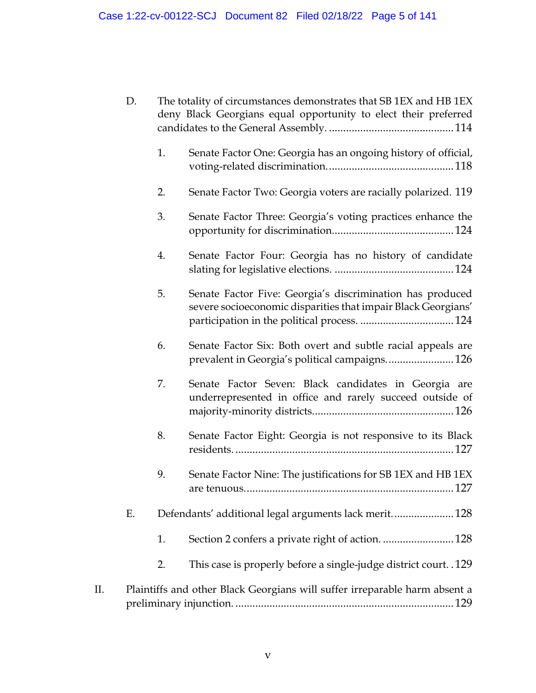| D.  |    |    | The totality of circumstances demonstrates that SB 1EX and HB 1EX<br>deny Black Georgians equal opportunity to elect their preferred |
|-----|----|----|--------------------------------------------------------------------------------------------------------------------------------------|
|     |    | 1. | Senate Factor One: Georgia has an ongoing history of official,                                                                       |
|     |    | 2. | Senate Factor Two: Georgia voters are racially polarized. 119                                                                        |
|     |    | 3. | Senate Factor Three: Georgia's voting practices enhance the                                                                          |
|     |    | 4. | Senate Factor Four: Georgia has no history of candidate                                                                              |
|     |    | 5. | Senate Factor Five: Georgia's discrimination has produced<br>severe socioeconomic disparities that impair Black Georgians'           |
|     |    | 6. | Senate Factor Six: Both overt and subtle racial appeals are<br>prevalent in Georgia's political campaigns 126                        |
|     |    | 7. | Senate Factor Seven: Black candidates in Georgia are<br>underrepresented in office and rarely succeed outside of                     |
|     |    | 8. | Senate Factor Eight: Georgia is not responsive to its Black                                                                          |
|     |    | 9. | Senate Factor Nine: The justifications for SB 1EX and HB 1EX                                                                         |
|     | Ε. |    | Defendants' additional legal arguments lack merit 128                                                                                |
|     |    | 1. | Section 2 confers a private right of action.  128                                                                                    |
|     |    | 2. | This case is properly before a single-judge district court. .129                                                                     |
| II. |    |    | Plaintiffs and other Black Georgians will suffer irreparable harm absent a                                                           |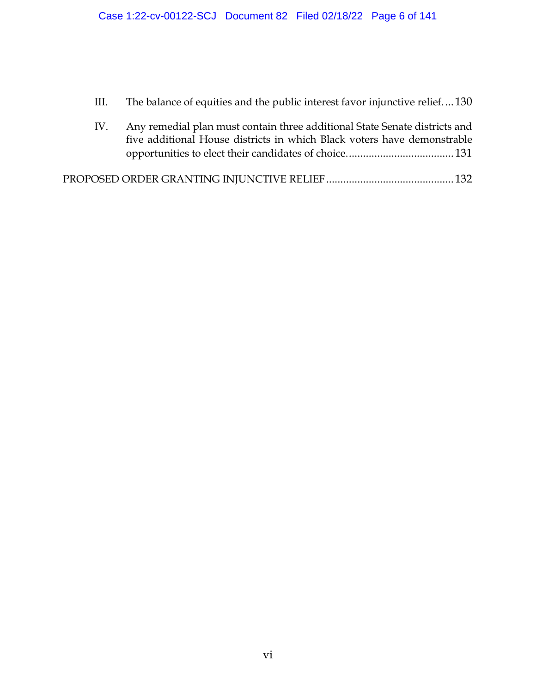III. [The balance of equities and the public interest favor injunctive relief.](#page-135-0)..[.130](#page-135-0)

| IV. | Any remedial plan must contain three additional State Senate districts and |  |
|-----|----------------------------------------------------------------------------|--|
|     | five additional House districts in which Black voters have demonstrable    |  |
|     |                                                                            |  |

[PROPOSED ORDER GRANTING INJUNCTIVE RELIEF](#page-137-0)............................................[.132](#page-137-0)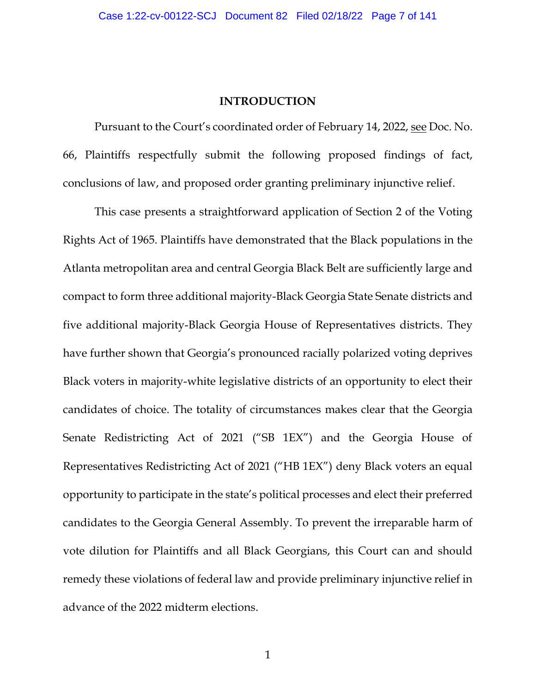### **INTRODUCTION**

<span id="page-6-0"></span>Pursuant to the Court's coordinated order of February 14, 2022, see Doc. No. 66, Plaintiffs respectfully submit the following proposed findings of fact, conclusions of law, and proposed order granting preliminary injunctive relief.

This case presents a straightforward application of Section 2 of the Voting Rights Act of 1965. Plaintiffs have demonstrated that the Black populations in the Atlanta metropolitan area and central Georgia Black Belt are sufficiently large and compact to form three additional majority-Black Georgia State Senate districts and five additional majority-Black Georgia House of Representatives districts. They have further shown that Georgia's pronounced racially polarized voting deprives Black voters in majority-white legislative districts of an opportunity to elect their candidates of choice. The totality of circumstances makes clear that the Georgia Senate Redistricting Act of 2021 ("SB 1EX") and the Georgia House of Representatives Redistricting Act of 2021 ("HB 1EX") deny Black voters an equal opportunity to participate in the state's political processes and elect their preferred candidates to the Georgia General Assembly. To prevent the irreparable harm of vote dilution for Plaintiffs and all Black Georgians, this Court can and should remedy these violations of federal law and provide preliminary injunctive relief in advance of the 2022 midterm elections.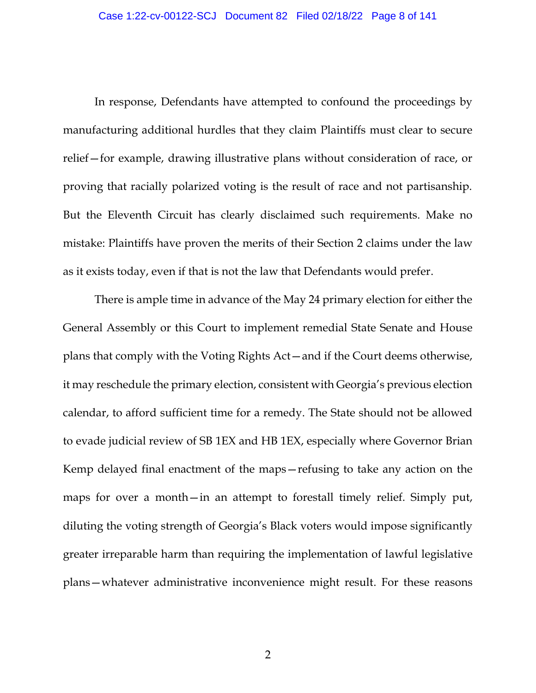In response, Defendants have attempted to confound the proceedings by manufacturing additional hurdles that they claim Plaintiffs must clear to secure relief—for example, drawing illustrative plans without consideration of race, or proving that racially polarized voting is the result of race and not partisanship. But the Eleventh Circuit has clearly disclaimed such requirements. Make no mistake: Plaintiffs have proven the merits of their Section 2 claims under the law as it exists today, even if that is not the law that Defendants would prefer.

There is ample time in advance of the May 24 primary election for either the General Assembly or this Court to implement remedial State Senate and House plans that comply with the Voting Rights Act—and if the Court deems otherwise, it may reschedule the primary election, consistent with Georgia's previous election calendar, to afford sufficient time for a remedy. The State should not be allowed to evade judicial review of SB 1EX and HB 1EX, especially where Governor Brian Kemp delayed final enactment of the maps—refusing to take any action on the maps for over a month—in an attempt to forestall timely relief. Simply put, diluting the voting strength of Georgia's Black voters would impose significantly greater irreparable harm than requiring the implementation of lawful legislative plans—whatever administrative inconvenience might result. For these reasons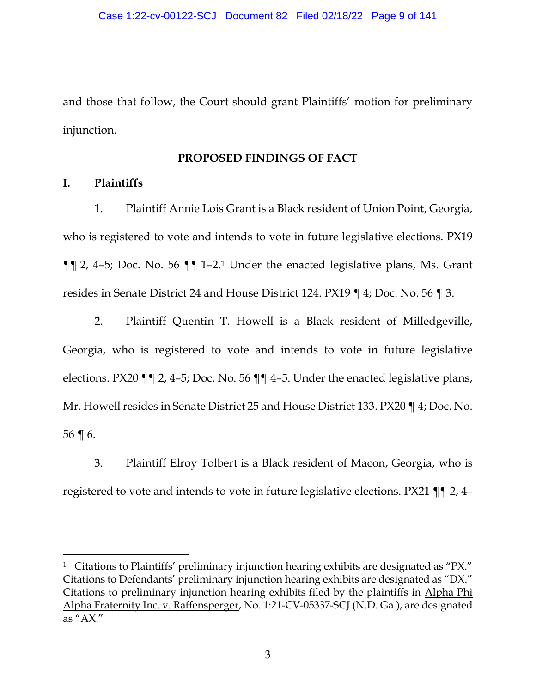and those that follow, the Court should grant Plaintiffs' motion for preliminary injunction.

# **PROPOSED FINDINGS OF FACT**

## <span id="page-8-1"></span><span id="page-8-0"></span>**I. Plaintiffs**

1. Plaintiff Annie Lois Grant is a Black resident of Union Point, Georgia, who is registered to vote and intends to vote in future legislative elections. PX19 ¶¶ 2, 4–5; Doc. No. 56 ¶¶ 1–2. <sup>1</sup> Under the enacted legislative plans, Ms. Grant resides in Senate District 24 and House District 124. PX19 ¶ 4; Doc. No. 56 ¶ 3.

2. Plaintiff Quentin T. Howell is a Black resident of Milledgeville, Georgia, who is registered to vote and intends to vote in future legislative elections. PX20 ¶¶ 2, 4–5; Doc. No. 56 ¶¶ 4–5. Under the enacted legislative plans, Mr. Howell resides in Senate District 25 and House District 133. PX20 ¶ 4; Doc. No. 56 ¶ 6.

3. Plaintiff Elroy Tolbert is a Black resident of Macon, Georgia, who is registered to vote and intends to vote in future legislative elections. PX21 ¶¶ 2, 4–

<sup>&</sup>lt;sup>1</sup> Citations to Plaintiffs' preliminary injunction hearing exhibits are designated as "PX." Citations to Defendants' preliminary injunction hearing exhibits are designated as "DX." Citations to preliminary injunction hearing exhibits filed by the plaintiffs in Alpha Phi Alpha Fraternity Inc. v. Raffensperger, No. 1:21-CV-05337-SCJ (N.D. Ga.), are designated as "AX."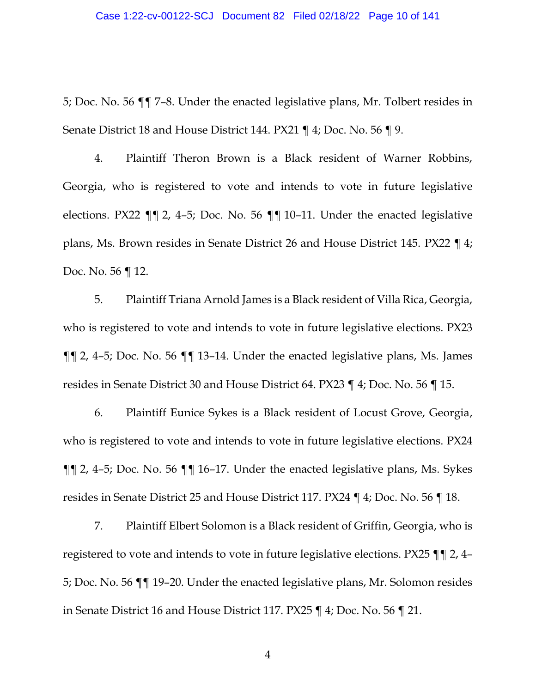5; Doc. No. 56 ¶¶ 7–8. Under the enacted legislative plans, Mr. Tolbert resides in Senate District 18 and House District 144. PX21 ¶ 4; Doc. No. 56 ¶ 9.

4. Plaintiff Theron Brown is a Black resident of Warner Robbins, Georgia, who is registered to vote and intends to vote in future legislative elections. PX22 ¶¶ 2, 4–5; Doc. No. 56 ¶¶ 10–11. Under the enacted legislative plans, Ms. Brown resides in Senate District 26 and House District 145. PX22 ¶ 4; Doc. No. 56 ¶ 12.

5. Plaintiff Triana Arnold James is a Black resident of Villa Rica, Georgia, who is registered to vote and intends to vote in future legislative elections. PX23 ¶¶ 2, 4–5; Doc. No. 56 ¶¶ 13–14. Under the enacted legislative plans, Ms. James resides in Senate District 30 and House District 64. PX23 ¶ 4; Doc. No. 56 ¶ 15.

6. Plaintiff Eunice Sykes is a Black resident of Locust Grove, Georgia, who is registered to vote and intends to vote in future legislative elections. PX24 ¶¶ 2, 4–5; Doc. No. 56 ¶¶ 16–17. Under the enacted legislative plans, Ms. Sykes resides in Senate District 25 and House District 117. PX24 ¶ 4; Doc. No. 56 ¶ 18.

7. Plaintiff Elbert Solomon is a Black resident of Griffin, Georgia, who is registered to vote and intends to vote in future legislative elections. PX25 ¶¶ 2, 4– 5; Doc. No. 56 ¶¶ 19–20. Under the enacted legislative plans, Mr. Solomon resides in Senate District 16 and House District 117. PX25 ¶ 4; Doc. No. 56 ¶ 21.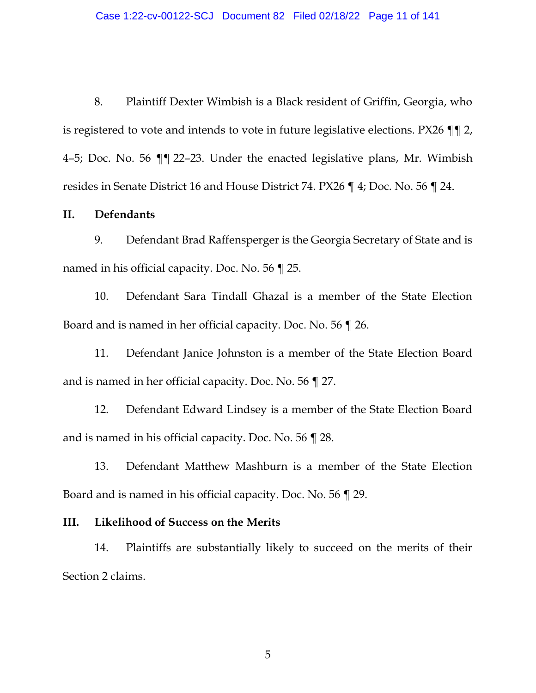8. Plaintiff Dexter Wimbish is a Black resident of Griffin, Georgia, who is registered to vote and intends to vote in future legislative elections. PX26 ¶¶ 2, 4–5; Doc. No. 56 ¶¶ 22–23. Under the enacted legislative plans, Mr. Wimbish resides in Senate District 16 and House District 74. PX26 ¶ 4; Doc. No. 56 ¶ 24.

### <span id="page-10-0"></span>**II. Defendants**

9. Defendant Brad Raffensperger is the Georgia Secretary of State and is named in his official capacity. Doc. No. 56 ¶ 25.

10. Defendant Sara Tindall Ghazal is a member of the State Election Board and is named in her official capacity. Doc. No. 56 ¶ 26.

11. Defendant Janice Johnston is a member of the State Election Board and is named in her official capacity. Doc. No. 56 ¶ 27.

12. Defendant Edward Lindsey is a member of the State Election Board and is named in his official capacity. Doc. No. 56 ¶ 28.

13. Defendant Matthew Mashburn is a member of the State Election Board and is named in his official capacity. Doc. No. 56 ¶ 29.

#### <span id="page-10-1"></span>**III. Likelihood of Success on the Merits**

14. Plaintiffs are substantially likely to succeed on the merits of their Section 2 claims.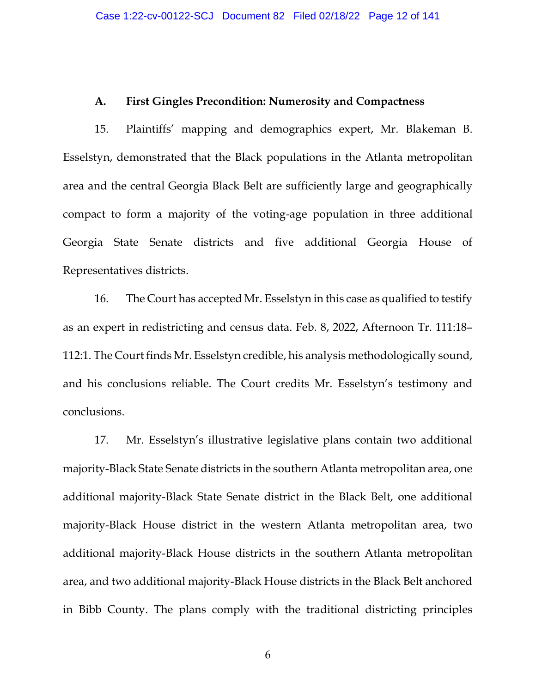#### **A. First Gingles Precondition: Numerosity and Compactness**

<span id="page-11-0"></span>15. Plaintiffs' mapping and demographics expert, Mr. Blakeman B. Esselstyn, demonstrated that the Black populations in the Atlanta metropolitan area and the central Georgia Black Belt are sufficiently large and geographically compact to form a majority of the voting-age population in three additional Georgia State Senate districts and five additional Georgia House of Representatives districts.

16. The Court has accepted Mr. Esselstyn in this case as qualified to testify as an expert in redistricting and census data. Feb. 8, 2022, Afternoon Tr. 111:18– 112:1. The Court finds Mr. Esselstyn credible, his analysis methodologically sound, and his conclusions reliable. The Court credits Mr. Esselstyn's testimony and conclusions.

17. Mr. Esselstyn's illustrative legislative plans contain two additional majority-Black State Senate districts in the southern Atlanta metropolitan area, one additional majority-Black State Senate district in the Black Belt, one additional majority-Black House district in the western Atlanta metropolitan area, two additional majority-Black House districts in the southern Atlanta metropolitan area, and two additional majority-Black House districts in the Black Belt anchored in Bibb County. The plans comply with the traditional districting principles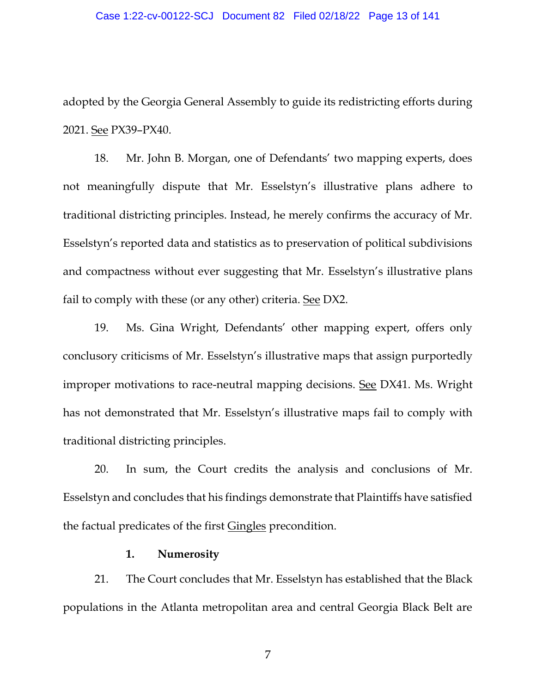adopted by the Georgia General Assembly to guide its redistricting efforts during 2021. See PX39–PX40.

18. Mr. John B. Morgan, one of Defendants' two mapping experts, does not meaningfully dispute that Mr. Esselstyn's illustrative plans adhere to traditional districting principles. Instead, he merely confirms the accuracy of Mr. Esselstyn's reported data and statistics as to preservation of political subdivisions and compactness without ever suggesting that Mr. Esselstyn's illustrative plans fail to comply with these (or any other) criteria. See DX2.

19. Ms. Gina Wright, Defendants' other mapping expert, offers only conclusory criticisms of Mr. Esselstyn's illustrative maps that assign purportedly improper motivations to race-neutral mapping decisions. See DX41. Ms. Wright has not demonstrated that Mr. Esselstyn's illustrative maps fail to comply with traditional districting principles.

20. In sum, the Court credits the analysis and conclusions of Mr. Esselstyn and concludes that his findings demonstrate that Plaintiffs have satisfied the factual predicates of the first Gingles precondition.

### **1. Numerosity**

<span id="page-12-0"></span>21. The Court concludes that Mr. Esselstyn has established that the Black populations in the Atlanta metropolitan area and central Georgia Black Belt are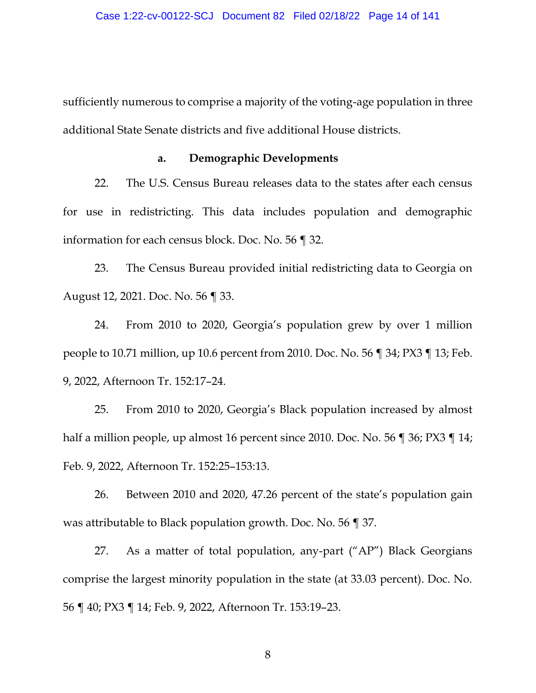sufficiently numerous to comprise a majority of the voting-age population in three additional State Senate districts and five additional House districts.

#### **a. Demographic Developments**

<span id="page-13-0"></span>22. The U.S. Census Bureau releases data to the states after each census for use in redistricting. This data includes population and demographic information for each census block. Doc. No. 56 ¶ 32.

23. The Census Bureau provided initial redistricting data to Georgia on August 12, 2021. Doc. No. 56 ¶ 33.

24. From 2010 to 2020, Georgia's population grew by over 1 million people to 10.71 million, up 10.6 percent from 2010. Doc. No. 56 ¶ 34; PX3 ¶ 13; Feb. 9, 2022, Afternoon Tr. 152:17–24.

25. From 2010 to 2020, Georgia's Black population increased by almost half a million people, up almost 16 percent since 2010. Doc. No. 56 ¶ 36; PX3 ¶ 14; Feb. 9, 2022, Afternoon Tr. 152:25–153:13.

26. Between 2010 and 2020, 47.26 percent of the state's population gain was attributable to Black population growth. Doc. No. 56 ¶ 37.

27. As a matter of total population, any-part ("AP") Black Georgians comprise the largest minority population in the state (at 33.03 percent). Doc. No. 56 ¶ 40; PX3 ¶ 14; Feb. 9, 2022, Afternoon Tr. 153:19–23.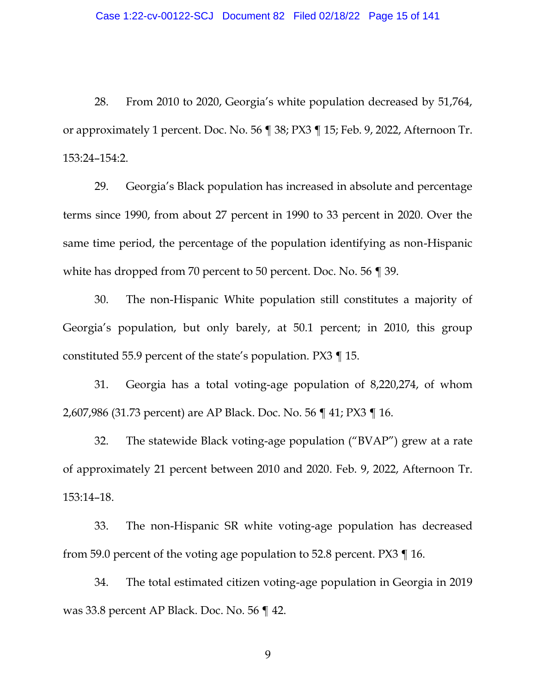28. From 2010 to 2020, Georgia's white population decreased by 51,764, or approximately 1 percent. Doc. No. 56 ¶ 38; PX3 ¶ 15; Feb. 9, 2022, Afternoon Tr. 153:24–154:2.

29. Georgia's Black population has increased in absolute and percentage terms since 1990, from about 27 percent in 1990 to 33 percent in 2020. Over the same time period, the percentage of the population identifying as non-Hispanic white has dropped from 70 percent to 50 percent. Doc. No. 56 ¶ 39.

30. The non-Hispanic White population still constitutes a majority of Georgia's population, but only barely, at 50.1 percent; in 2010, this group constituted 55.9 percent of the state's population. PX3 ¶ 15.

31. Georgia has a total voting-age population of 8,220,274, of whom 2,607,986 (31.73 percent) are AP Black. Doc. No. 56 ¶ 41; PX3 ¶ 16.

32. The statewide Black voting-age population ("BVAP") grew at a rate of approximately 21 percent between 2010 and 2020. Feb. 9, 2022, Afternoon Tr. 153:14–18.

33. The non-Hispanic SR white voting-age population has decreased from 59.0 percent of the voting age population to 52.8 percent. PX3 ¶ 16.

34. The total estimated citizen voting-age population in Georgia in 2019 was 33.8 percent AP Black. Doc. No. 56 ¶ 42.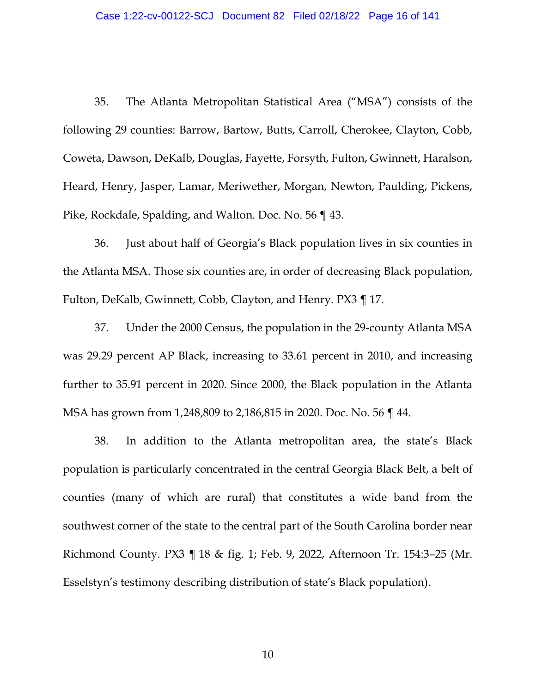35. The Atlanta Metropolitan Statistical Area ("MSA") consists of the following 29 counties: Barrow, Bartow, Butts, Carroll, Cherokee, Clayton, Cobb, Coweta, Dawson, DeKalb, Douglas, Fayette, Forsyth, Fulton, Gwinnett, Haralson, Heard, Henry, Jasper, Lamar, Meriwether, Morgan, Newton, Paulding, Pickens, Pike, Rockdale, Spalding, and Walton. Doc. No. 56 ¶ 43.

36. Just about half of Georgia's Black population lives in six counties in the Atlanta MSA. Those six counties are, in order of decreasing Black population, Fulton, DeKalb, Gwinnett, Cobb, Clayton, and Henry. PX3 ¶ 17.

37. Under the 2000 Census, the population in the 29-county Atlanta MSA was 29.29 percent AP Black, increasing to 33.61 percent in 2010, and increasing further to 35.91 percent in 2020. Since 2000, the Black population in the Atlanta MSA has grown from 1,248,809 to 2,186,815 in 2020. Doc. No. 56 ¶ 44.

38. In addition to the Atlanta metropolitan area, the state's Black population is particularly concentrated in the central Georgia Black Belt, a belt of counties (many of which are rural) that constitutes a wide band from the southwest corner of the state to the central part of the South Carolina border near Richmond County. PX3 ¶ 18 & fig. 1; Feb. 9, 2022, Afternoon Tr. 154:3–25 (Mr. Esselstyn's testimony describing distribution of state's Black population).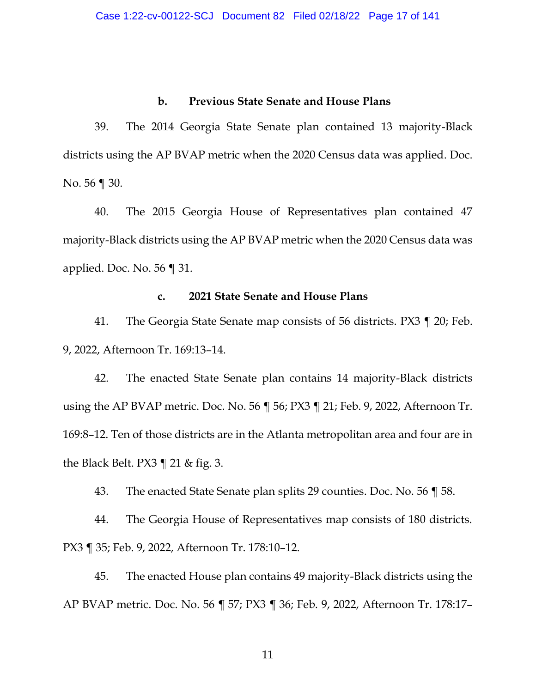## **b. Previous State Senate and House Plans**

<span id="page-16-0"></span>39. The 2014 Georgia State Senate plan contained 13 majority-Black districts using the AP BVAP metric when the 2020 Census data was applied. Doc. No. 56 ¶ 30.

40. The 2015 Georgia House of Representatives plan contained 47 majority-Black districts using the AP BVAP metric when the 2020 Census data was applied. Doc. No. 56 ¶ 31.

#### **c. 2021 State Senate and House Plans**

<span id="page-16-1"></span>41. The Georgia State Senate map consists of 56 districts. PX3 ¶ 20; Feb. 9, 2022, Afternoon Tr. 169:13–14.

42. The enacted State Senate plan contains 14 majority-Black districts using the AP BVAP metric. Doc. No. 56 ¶ 56; PX3 ¶ 21; Feb. 9, 2022, Afternoon Tr. 169:8–12. Ten of those districts are in the Atlanta metropolitan area and four are in the Black Belt. PX3 ¶ 21 & fig. 3.

43. The enacted State Senate plan splits 29 counties. Doc. No. 56 ¶ 58.

44. The Georgia House of Representatives map consists of 180 districts. PX3 ¶ 35; Feb. 9, 2022, Afternoon Tr. 178:10–12.

45. The enacted House plan contains 49 majority-Black districts using the AP BVAP metric. Doc. No. 56 ¶ 57; PX3 ¶ 36; Feb. 9, 2022, Afternoon Tr. 178:17–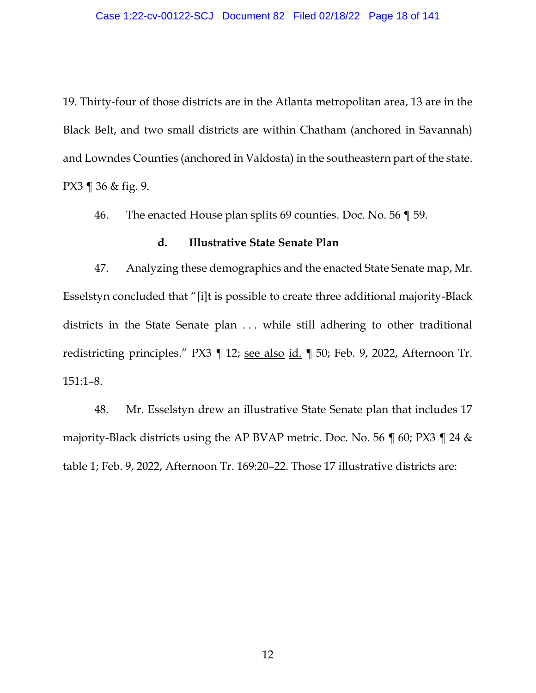19. Thirty-four of those districts are in the Atlanta metropolitan area, 13 are in the Black Belt, and two small districts are within Chatham (anchored in Savannah) and Lowndes Counties (anchored in Valdosta) in the southeastern part of the state. PX3 ¶ 36 & fig. 9.

46. The enacted House plan splits 69 counties. Doc. No. 56 ¶ 59.

## **d. Illustrative State Senate Plan**

<span id="page-17-0"></span>47. Analyzing these demographics and the enacted State Senate map, Mr. Esselstyn concluded that "[i]t is possible to create three additional majority-Black districts in the State Senate plan . . . while still adhering to other traditional redistricting principles." PX3 ¶ 12; see also id. ¶ 50; Feb. 9, 2022, Afternoon Tr. 151:1–8.

48. Mr. Esselstyn drew an illustrative State Senate plan that includes 17 majority-Black districts using the AP BVAP metric. Doc. No. 56 ¶ 60; PX3 ¶ 24 & table 1; Feb. 9, 2022, Afternoon Tr. 169:20–22. Those 17 illustrative districts are: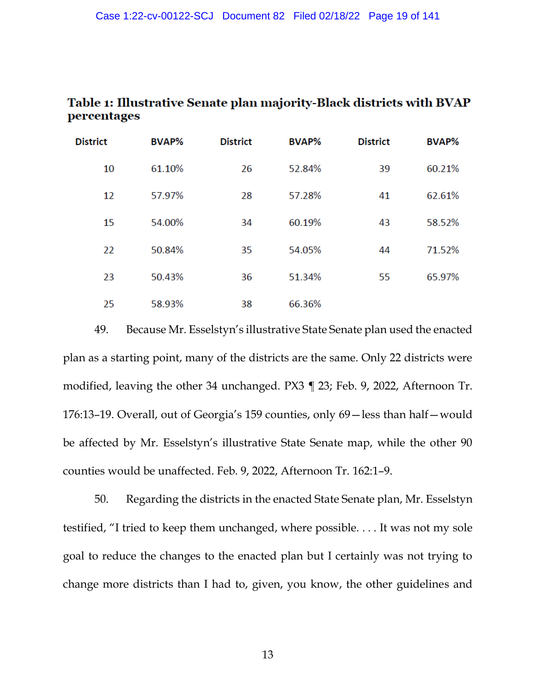| Table 1: Illustrative Senate plan majority-Black districts with BVAP |  |
|----------------------------------------------------------------------|--|
| percentages                                                          |  |

| <b>District</b> | <b>BVAP%</b> | <b>District</b> | <b>BVAP%</b> | <b>District</b> | <b>BVAP%</b> |
|-----------------|--------------|-----------------|--------------|-----------------|--------------|
| 10              | 61.10%       | 26              | 52.84%       | 39              | 60.21%       |
| 12              | 57.97%       | 28              | 57.28%       | 41              | 62.61%       |
| 15              | 54.00%       | 34              | 60.19%       | 43              | 58.52%       |
| 22              | 50.84%       | 35              | 54.05%       | 44              | 71.52%       |
| 23              | 50.43%       | 36              | 51.34%       | 55              | 65.97%       |
| 25              | 58.93%       | 38              | 66.36%       |                 |              |

49. Because Mr. Esselstyn's illustrative State Senate plan used the enacted plan as a starting point, many of the districts are the same. Only 22 districts were modified, leaving the other 34 unchanged. PX3 ¶ 23; Feb. 9, 2022, Afternoon Tr. 176:13–19. Overall, out of Georgia's 159 counties, only 69—less than half—would be affected by Mr. Esselstyn's illustrative State Senate map, while the other 90 counties would be unaffected. Feb. 9, 2022, Afternoon Tr. 162:1–9.

50. Regarding the districts in the enacted State Senate plan, Mr. Esselstyn testified, "I tried to keep them unchanged, where possible. . . . It was not my sole goal to reduce the changes to the enacted plan but I certainly was not trying to change more districts than I had to, given, you know, the other guidelines and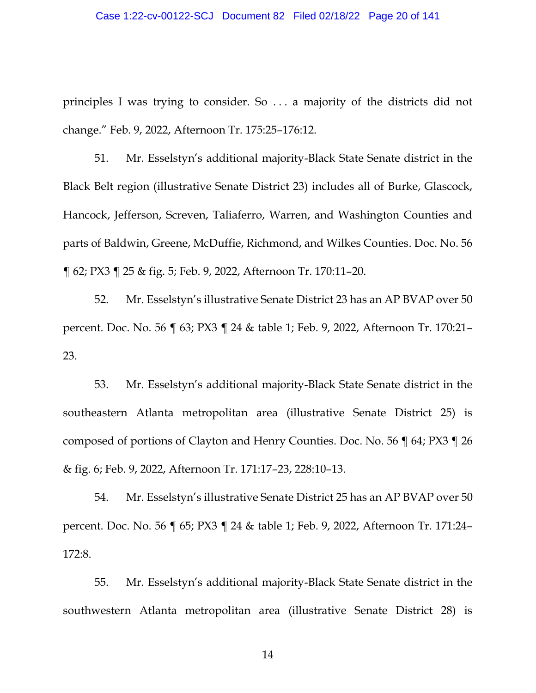#### Case 1:22-cv-00122-SCJ Document 82 Filed 02/18/22 Page 20 of 141

principles I was trying to consider. So . . . a majority of the districts did not change." Feb. 9, 2022, Afternoon Tr. 175:25–176:12.

51. Mr. Esselstyn's additional majority-Black State Senate district in the Black Belt region (illustrative Senate District 23) includes all of Burke, Glascock, Hancock, Jefferson, Screven, Taliaferro, Warren, and Washington Counties and parts of Baldwin, Greene, McDuffie, Richmond, and Wilkes Counties. Doc. No. 56 ¶ 62; PX3 ¶ 25 & fig. 5; Feb. 9, 2022, Afternoon Tr. 170:11–20.

52. Mr. Esselstyn's illustrative Senate District 23 has an AP BVAP over 50 percent. Doc. No. 56 ¶ 63; PX3 ¶ 24 & table 1; Feb. 9, 2022, Afternoon Tr. 170:21– 23.

53. Mr. Esselstyn's additional majority-Black State Senate district in the southeastern Atlanta metropolitan area (illustrative Senate District 25) is composed of portions of Clayton and Henry Counties. Doc. No. 56 ¶ 64; PX3 ¶ 26 & fig. 6; Feb. 9, 2022, Afternoon Tr. 171:17–23, 228:10–13.

54. Mr. Esselstyn's illustrative Senate District 25 has an AP BVAP over 50 percent. Doc. No. 56 ¶ 65; PX3 ¶ 24 & table 1; Feb. 9, 2022, Afternoon Tr. 171:24– 172:8.

55. Mr. Esselstyn's additional majority-Black State Senate district in the southwestern Atlanta metropolitan area (illustrative Senate District 28) is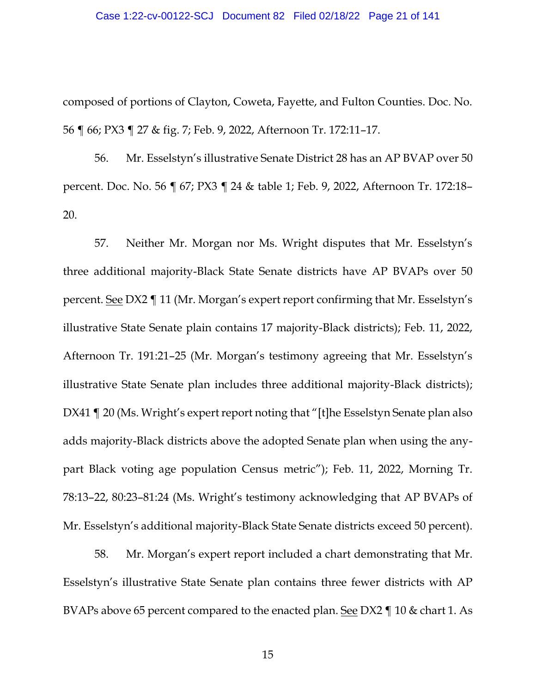### Case 1:22-cv-00122-SCJ Document 82 Filed 02/18/22 Page 21 of 141

composed of portions of Clayton, Coweta, Fayette, and Fulton Counties. Doc. No. 56 ¶ 66; PX3 ¶ 27 & fig. 7; Feb. 9, 2022, Afternoon Tr. 172:11–17.

56. Mr. Esselstyn's illustrative Senate District 28 has an AP BVAP over 50 percent. Doc. No. 56 ¶ 67; PX3 ¶ 24 & table 1; Feb. 9, 2022, Afternoon Tr. 172:18– 20.

57. Neither Mr. Morgan nor Ms. Wright disputes that Mr. Esselstyn's three additional majority-Black State Senate districts have AP BVAPs over 50 percent. See DX2 ¶ 11 (Mr. Morgan's expert report confirming that Mr. Esselstyn's illustrative State Senate plain contains 17 majority-Black districts); Feb. 11, 2022, Afternoon Tr. 191:21–25 (Mr. Morgan's testimony agreeing that Mr. Esselstyn's illustrative State Senate plan includes three additional majority-Black districts); DX41 ¶ 20 (Ms. Wright's expert report noting that "[t]he Esselstyn Senate plan also adds majority-Black districts above the adopted Senate plan when using the anypart Black voting age population Census metric"); Feb. 11, 2022, Morning Tr. 78:13–22, 80:23–81:24 (Ms. Wright's testimony acknowledging that AP BVAPs of Mr. Esselstyn's additional majority-Black State Senate districts exceed 50 percent).

58. Mr. Morgan's expert report included a chart demonstrating that Mr. Esselstyn's illustrative State Senate plan contains three fewer districts with AP BVAPs above 65 percent compared to the enacted plan. See DX2 ¶ 10 & chart 1. As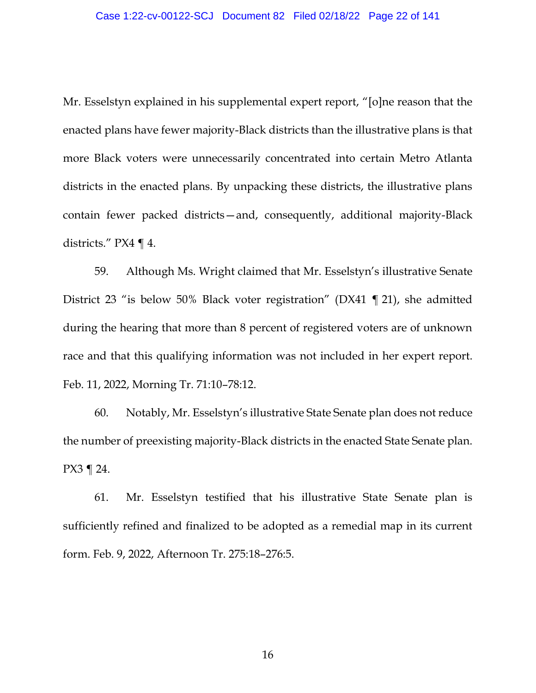Mr. Esselstyn explained in his supplemental expert report, "[o]ne reason that the enacted plans have fewer majority-Black districts than the illustrative plans is that more Black voters were unnecessarily concentrated into certain Metro Atlanta districts in the enacted plans. By unpacking these districts, the illustrative plans contain fewer packed districts—and, consequently, additional majority-Black districts." PX4 ¶ 4.

59. Although Ms. Wright claimed that Mr. Esselstyn's illustrative Senate District 23 "is below 50% Black voter registration" (DX41 ¶ 21), she admitted during the hearing that more than 8 percent of registered voters are of unknown race and that this qualifying information was not included in her expert report. Feb. 11, 2022, Morning Tr. 71:10–78:12.

60. Notably, Mr. Esselstyn's illustrative State Senate plan does not reduce the number of preexisting majority-Black districts in the enacted State Senate plan. PX3 ¶ 24.

61. Mr. Esselstyn testified that his illustrative State Senate plan is sufficiently refined and finalized to be adopted as a remedial map in its current form. Feb. 9, 2022, Afternoon Tr. 275:18–276:5.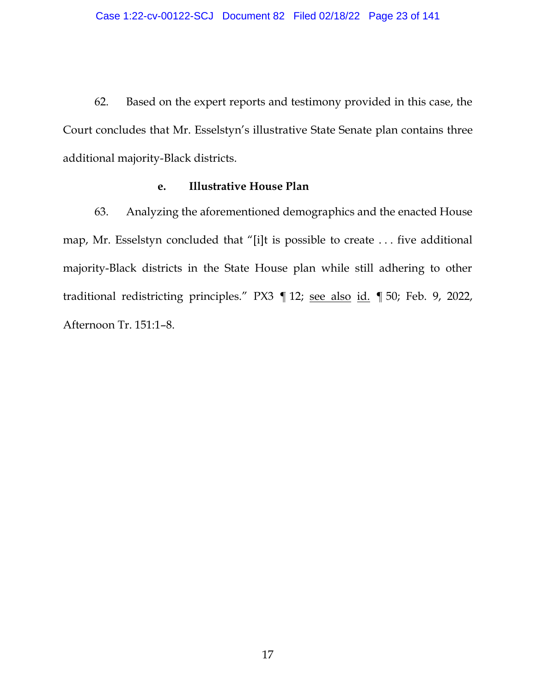62. Based on the expert reports and testimony provided in this case, the Court concludes that Mr. Esselstyn's illustrative State Senate plan contains three additional majority-Black districts.

## **e. Illustrative House Plan**

<span id="page-22-0"></span>63. Analyzing the aforementioned demographics and the enacted House map, Mr. Esselstyn concluded that "[i]t is possible to create . . . five additional majority-Black districts in the State House plan while still adhering to other traditional redistricting principles." PX3 ¶ 12; see also id. ¶ 50; Feb. 9, 2022, Afternoon Tr. 151:1–8.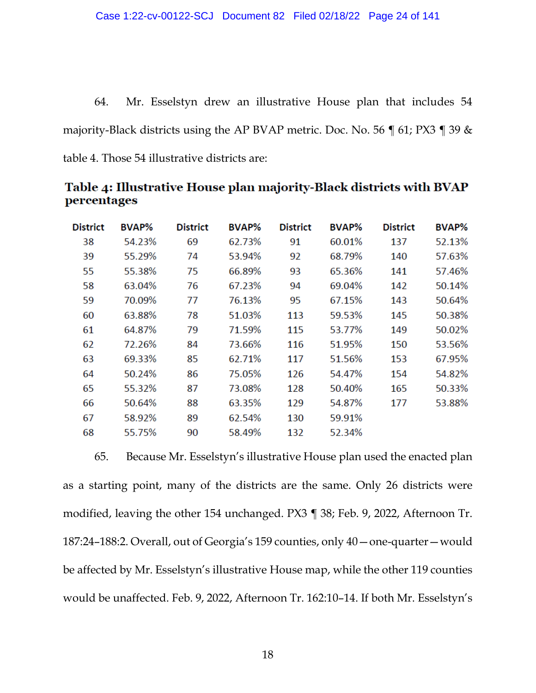64. Mr. Esselstyn drew an illustrative House plan that includes 54 majority-Black districts using the AP BVAP metric. Doc. No. 56 ¶ 61; PX3 ¶ 39 & table 4. Those 54 illustrative districts are:

**District BVAP% District BVAP% District BVAP% District BVAP%** 69 91 38 54.23% 62.73% 60.01% 137 52.13% 39 55.29% 74 53.94% 92 68.79% 140 57.63% 55.38% 75 93 57.46% 55 66.89% 65.36% 141 58 63.04% 76 67.23% 94 69.04% 142 50.14% 59 70.09% 77 76.13% 95 67.15% 143 50.64% 60 63.88% 78 51.03% 113 59.53% 145 50.38% 79 71.59% 53.77% 50.02% 61 64.87% 115 149 62 72.26% 84 73.66% 116 51.95% 150 53.56% 63 85 62.71% 117 67.95% 69.33% 51.56% 153 54.47% 64 50.24% 86 75.05% 126 154 54.82% 65 87 128 55.32% 73.08% 50.40% 165 50.33% 50.64% 63.35% 129 66 88 54.87% 177 53.88% 67 58.92% 89 62.54% 130 59.91% 68 55.75% 90 58.49% 132 52.34%

Table 4: Illustrative House plan majority-Black districts with BVAP percentages

65. Because Mr. Esselstyn's illustrative House plan used the enacted plan as a starting point, many of the districts are the same. Only 26 districts were modified, leaving the other 154 unchanged. PX3 ¶ 38; Feb. 9, 2022, Afternoon Tr. 187:24–188:2. Overall, out of Georgia's 159 counties, only 40—one-quarter—would be affected by Mr. Esselstyn's illustrative House map, while the other 119 counties would be unaffected. Feb. 9, 2022, Afternoon Tr. 162:10–14. If both Mr. Esselstyn's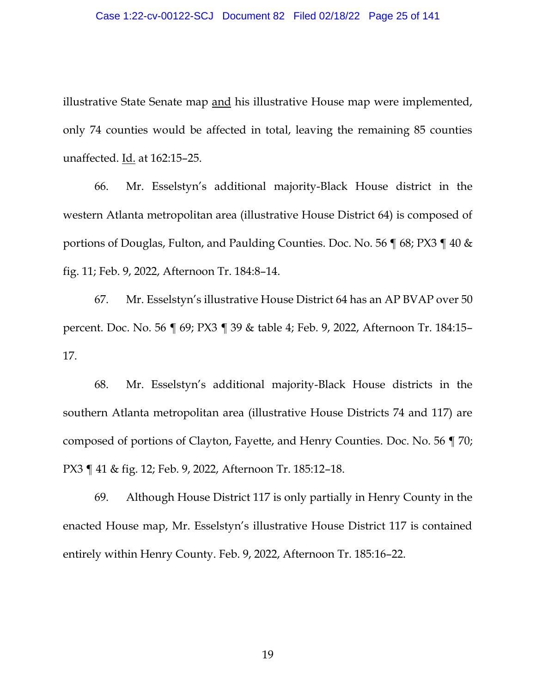illustrative State Senate map and his illustrative House map were implemented, only 74 counties would be affected in total, leaving the remaining 85 counties unaffected. Id. at 162:15–25.

66. Mr. Esselstyn's additional majority-Black House district in the western Atlanta metropolitan area (illustrative House District 64) is composed of portions of Douglas, Fulton, and Paulding Counties. Doc. No. 56 ¶ 68; PX3 ¶ 40 & fig. 11; Feb. 9, 2022, Afternoon Tr. 184:8–14.

67. Mr. Esselstyn's illustrative House District 64 has an AP BVAP over 50 percent. Doc. No. 56 ¶ 69; PX3 ¶ 39 & table 4; Feb. 9, 2022, Afternoon Tr. 184:15– 17.

68. Mr. Esselstyn's additional majority-Black House districts in the southern Atlanta metropolitan area (illustrative House Districts 74 and 117) are composed of portions of Clayton, Fayette, and Henry Counties. Doc. No. 56 ¶ 70; PX3 ¶ 41 & fig. 12; Feb. 9, 2022, Afternoon Tr. 185:12–18.

69. Although House District 117 is only partially in Henry County in the enacted House map, Mr. Esselstyn's illustrative House District 117 is contained entirely within Henry County. Feb. 9, 2022, Afternoon Tr. 185:16–22.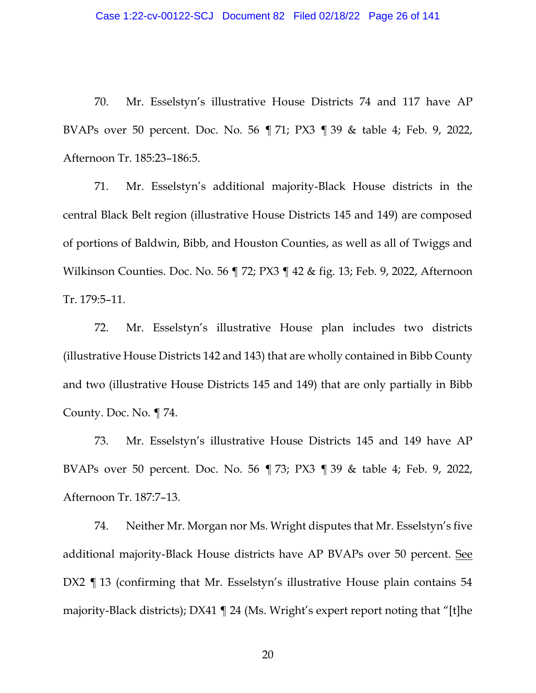70. Mr. Esselstyn's illustrative House Districts 74 and 117 have AP BVAPs over 50 percent. Doc. No. 56 ¶ 71; PX3 ¶ 39 & table 4; Feb. 9, 2022, Afternoon Tr. 185:23–186:5.

71. Mr. Esselstyn's additional majority-Black House districts in the central Black Belt region (illustrative House Districts 145 and 149) are composed of portions of Baldwin, Bibb, and Houston Counties, as well as all of Twiggs and Wilkinson Counties. Doc. No. 56 ¶ 72; PX3 ¶ 42 & fig. 13; Feb. 9, 2022, Afternoon Tr. 179:5–11.

72. Mr. Esselstyn's illustrative House plan includes two districts (illustrative House Districts 142 and 143) that are wholly contained in Bibb County and two (illustrative House Districts 145 and 149) that are only partially in Bibb County. Doc. No. ¶ 74.

73. Mr. Esselstyn's illustrative House Districts 145 and 149 have AP BVAPs over 50 percent. Doc. No. 56 ¶ 73; PX3 ¶ 39 & table 4; Feb. 9, 2022, Afternoon Tr. 187:7–13.

74. Neither Mr. Morgan nor Ms. Wright disputes that Mr. Esselstyn's five additional majority-Black House districts have AP BVAPs over 50 percent. See DX2 ¶ 13 (confirming that Mr. Esselstyn's illustrative House plain contains 54 majority-Black districts); DX41 ¶ 24 (Ms. Wright's expert report noting that "[t]he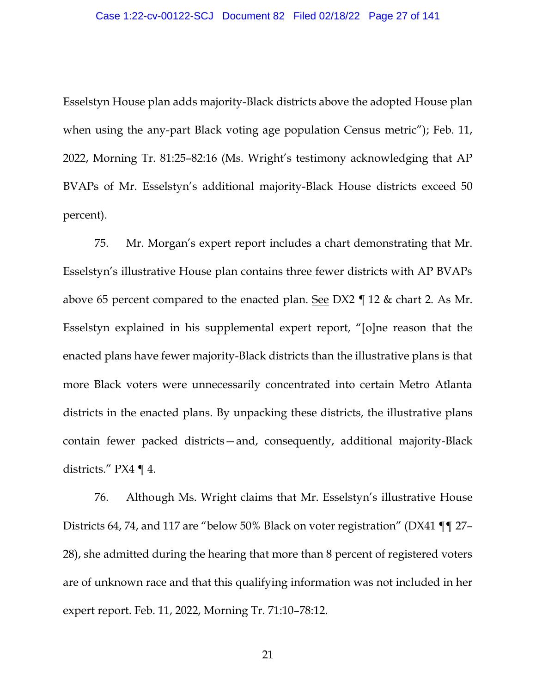#### Case 1:22-cv-00122-SCJ Document 82 Filed 02/18/22 Page 27 of 141

Esselstyn House plan adds majority-Black districts above the adopted House plan when using the any-part Black voting age population Census metric"); Feb. 11, 2022, Morning Tr. 81:25–82:16 (Ms. Wright's testimony acknowledging that AP BVAPs of Mr. Esselstyn's additional majority-Black House districts exceed 50 percent).

75. Mr. Morgan's expert report includes a chart demonstrating that Mr. Esselstyn's illustrative House plan contains three fewer districts with AP BVAPs above 65 percent compared to the enacted plan. See DX2 ¶ 12 & chart 2. As Mr. Esselstyn explained in his supplemental expert report, "[o]ne reason that the enacted plans have fewer majority-Black districts than the illustrative plans is that more Black voters were unnecessarily concentrated into certain Metro Atlanta districts in the enacted plans. By unpacking these districts, the illustrative plans contain fewer packed districts—and, consequently, additional majority-Black districts." PX4 ¶ 4.

76. Although Ms. Wright claims that Mr. Esselstyn's illustrative House Districts 64, 74, and 117 are "below 50% Black on voter registration" (DX41 ¶¶ 27– 28), she admitted during the hearing that more than 8 percent of registered voters are of unknown race and that this qualifying information was not included in her expert report. Feb. 11, 2022, Morning Tr. 71:10–78:12.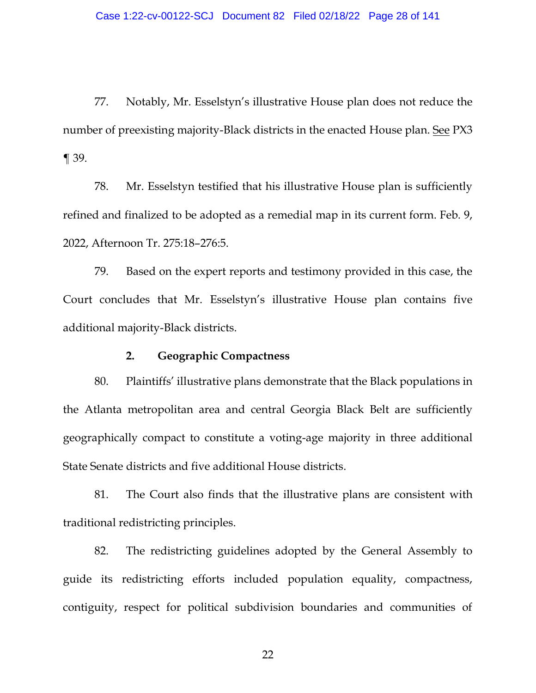77. Notably, Mr. Esselstyn's illustrative House plan does not reduce the number of preexisting majority-Black districts in the enacted House plan. See PX3 ¶ 39.

78. Mr. Esselstyn testified that his illustrative House plan is sufficiently refined and finalized to be adopted as a remedial map in its current form. Feb. 9, 2022, Afternoon Tr. 275:18–276:5.

79. Based on the expert reports and testimony provided in this case, the Court concludes that Mr. Esselstyn's illustrative House plan contains five additional majority-Black districts.

## **2. Geographic Compactness**

<span id="page-27-0"></span>80. Plaintiffs' illustrative plans demonstrate that the Black populations in the Atlanta metropolitan area and central Georgia Black Belt are sufficiently geographically compact to constitute a voting-age majority in three additional State Senate districts and five additional House districts.

81. The Court also finds that the illustrative plans are consistent with traditional redistricting principles.

82. The redistricting guidelines adopted by the General Assembly to guide its redistricting efforts included population equality, compactness, contiguity, respect for political subdivision boundaries and communities of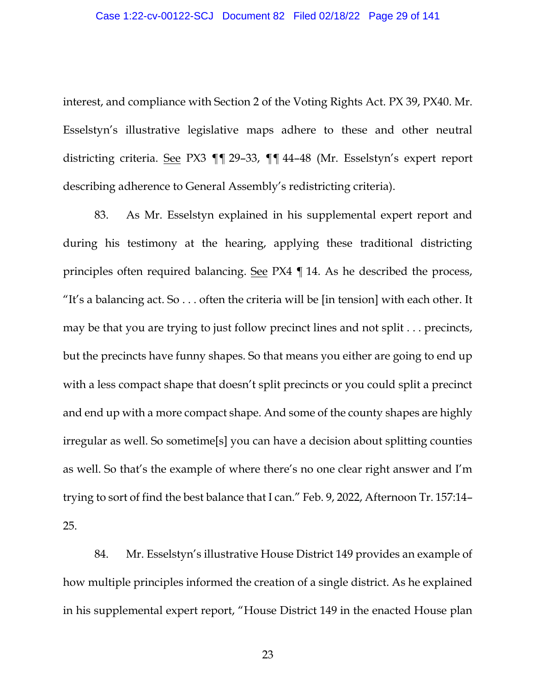interest, and compliance with Section 2 of the Voting Rights Act. PX 39, PX40. Mr. Esselstyn's illustrative legislative maps adhere to these and other neutral districting criteria. See PX3 ¶¶ 29–33, ¶¶ 44–48 (Mr. Esselstyn's expert report describing adherence to General Assembly's redistricting criteria).

83. As Mr. Esselstyn explained in his supplemental expert report and during his testimony at the hearing, applying these traditional districting principles often required balancing. See PX4 ¶ 14. As he described the process, "It's a balancing act. So  $\ldots$  often the criteria will be [in tension] with each other. It may be that you are trying to just follow precinct lines and not split . . . precincts, but the precincts have funny shapes. So that means you either are going to end up with a less compact shape that doesn't split precincts or you could split a precinct and end up with a more compact shape. And some of the county shapes are highly irregular as well. So sometime[s] you can have a decision about splitting counties as well. So that's the example of where there's no one clear right answer and I'm trying to sort of find the best balance that I can." Feb. 9, 2022, Afternoon Tr. 157:14– 25.

84. Mr. Esselstyn's illustrative House District 149 provides an example of how multiple principles informed the creation of a single district. As he explained in his supplemental expert report, "House District 149 in the enacted House plan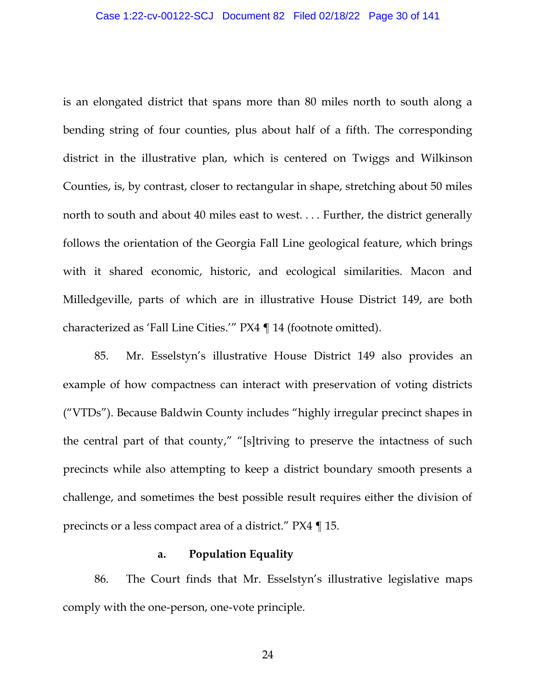is an elongated district that spans more than 80 miles north to south along a bending string of four counties, plus about half of a fifth. The corresponding district in the illustrative plan, which is centered on Twiggs and Wilkinson Counties, is, by contrast, closer to rectangular in shape, stretching about 50 miles north to south and about 40 miles east to west. . . . Further, the district generally follows the orientation of the Georgia Fall Line geological feature, which brings with it shared economic, historic, and ecological similarities. Macon and Milledgeville, parts of which are in illustrative House District 149, are both characterized as 'Fall Line Cities.'" PX4 ¶ 14 (footnote omitted).

85. Mr. Esselstyn's illustrative House District 149 also provides an example of how compactness can interact with preservation of voting districts ("VTDs"). Because Baldwin County includes "highly irregular precinct shapes in the central part of that county," "[s]triving to preserve the intactness of such precincts while also attempting to keep a district boundary smooth presents a challenge, and sometimes the best possible result requires either the division of precincts or a less compact area of a district." PX4 ¶ 15.

#### **a. Population Equality**

<span id="page-29-0"></span>86. The Court finds that Mr. Esselstyn's illustrative legislative maps comply with the one-person, one-vote principle.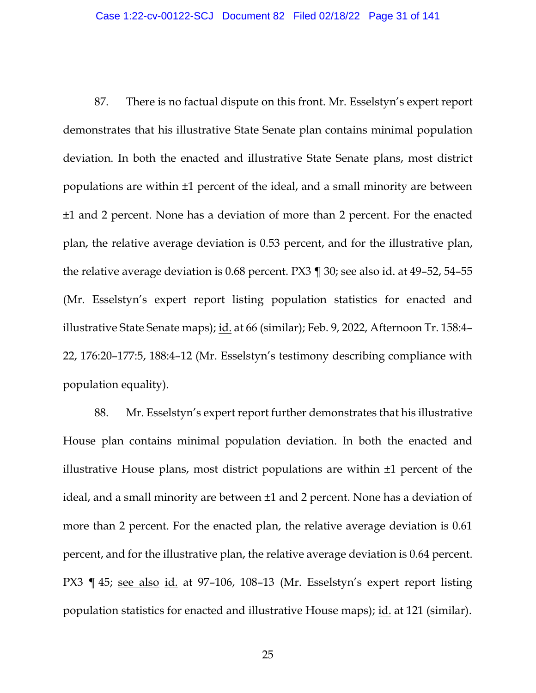87. There is no factual dispute on this front. Mr. Esselstyn's expert report demonstrates that his illustrative State Senate plan contains minimal population deviation. In both the enacted and illustrative State Senate plans, most district populations are within ±1 percent of the ideal, and a small minority are between ±1 and 2 percent. None has a deviation of more than 2 percent. For the enacted plan, the relative average deviation is 0.53 percent, and for the illustrative plan, the relative average deviation is 0.68 percent. PX3 ¶ 30; see also id. at 49–52, 54–55 (Mr. Esselstyn's expert report listing population statistics for enacted and illustrative State Senate maps); id. at 66 (similar); Feb. 9, 2022, Afternoon Tr. 158:4– 22, 176:20–177:5, 188:4–12 (Mr. Esselstyn's testimony describing compliance with population equality).

88. Mr. Esselstyn's expert report further demonstrates that his illustrative House plan contains minimal population deviation. In both the enacted and illustrative House plans, most district populations are within ±1 percent of the ideal, and a small minority are between ±1 and 2 percent. None has a deviation of more than 2 percent. For the enacted plan, the relative average deviation is 0.61 percent, and for the illustrative plan, the relative average deviation is 0.64 percent. PX3 ¶ 45; see also id. at 97–106, 108–13 (Mr. Esselstyn's expert report listing population statistics for enacted and illustrative House maps); id. at 121 (similar).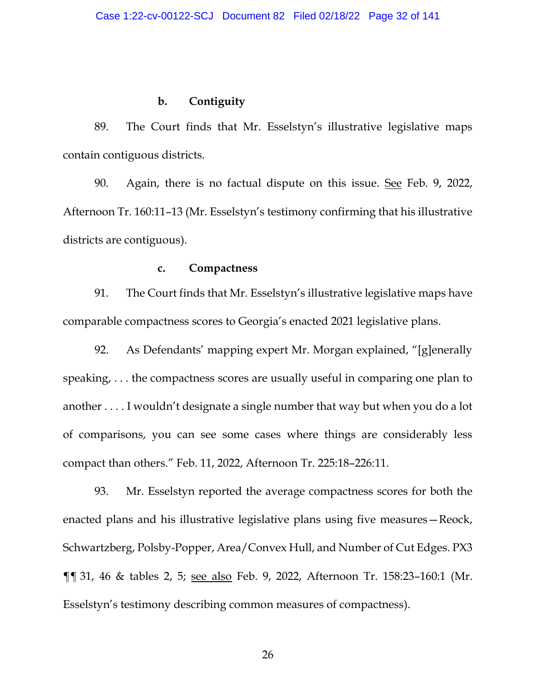## **b. Contiguity**

<span id="page-31-0"></span>89. The Court finds that Mr. Esselstyn's illustrative legislative maps contain contiguous districts.

90. Again, there is no factual dispute on this issue. See Feb. 9, 2022, Afternoon Tr. 160:11–13 (Mr. Esselstyn's testimony confirming that his illustrative districts are contiguous).

#### **c. Compactness**

<span id="page-31-1"></span>91. The Court finds that Mr. Esselstyn's illustrative legislative maps have comparable compactness scores to Georgia's enacted 2021 legislative plans.

92. As Defendants' mapping expert Mr. Morgan explained, "[g]enerally speaking, . . . the compactness scores are usually useful in comparing one plan to another . . . . I wouldn't designate a single number that way but when you do a lot of comparisons, you can see some cases where things are considerably less compact than others." Feb. 11, 2022, Afternoon Tr. 225:18–226:11.

93. Mr. Esselstyn reported the average compactness scores for both the enacted plans and his illustrative legislative plans using five measures—Reock, Schwartzberg, Polsby-Popper, Area/Convex Hull, and Number of Cut Edges. PX3 ¶¶ 31, 46 & tables 2, 5; see also Feb. 9, 2022, Afternoon Tr. 158:23–160:1 (Mr. Esselstyn's testimony describing common measures of compactness).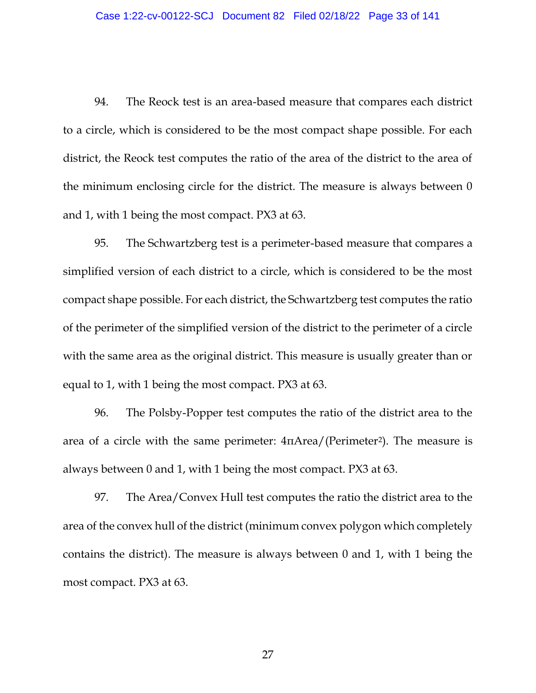94. The Reock test is an area-based measure that compares each district to a circle, which is considered to be the most compact shape possible. For each district, the Reock test computes the ratio of the area of the district to the area of the minimum enclosing circle for the district. The measure is always between 0 and 1, with 1 being the most compact. PX3 at 63.

95. The Schwartzberg test is a perimeter-based measure that compares a simplified version of each district to a circle, which is considered to be the most compact shape possible. For each district, the Schwartzberg test computes the ratio of the perimeter of the simplified version of the district to the perimeter of a circle with the same area as the original district. This measure is usually greater than or equal to 1, with 1 being the most compact. PX3 at 63.

96. The Polsby-Popper test computes the ratio of the district area to the area of a circle with the same perimeter: 4πArea/(Perimeter2). The measure is always between 0 and 1, with 1 being the most compact. PX3 at 63.

97. The Area/Convex Hull test computes the ratio the district area to the area of the convex hull of the district (minimum convex polygon which completely contains the district). The measure is always between 0 and 1, with 1 being the most compact. PX3 at 63.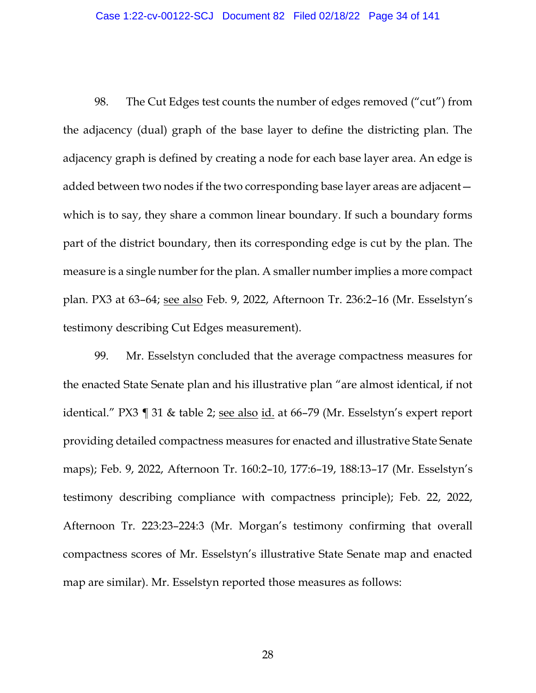98. The Cut Edges test counts the number of edges removed ("cut") from the adjacency (dual) graph of the base layer to define the districting plan. The adjacency graph is defined by creating a node for each base layer area. An edge is added between two nodes if the two corresponding base layer areas are adjacent which is to say, they share a common linear boundary. If such a boundary forms part of the district boundary, then its corresponding edge is cut by the plan. The measure is a single number for the plan. A smaller number implies a more compact plan. PX3 at 63–64; see also Feb. 9, 2022, Afternoon Tr. 236:2–16 (Mr. Esselstyn's testimony describing Cut Edges measurement).

99. Mr. Esselstyn concluded that the average compactness measures for the enacted State Senate plan and his illustrative plan "are almost identical, if not identical." PX3 ¶ 31 & table 2; see also id. at 66-79 (Mr. Esselstyn's expert report providing detailed compactness measures for enacted and illustrative State Senate maps); Feb. 9, 2022, Afternoon Tr. 160:2–10, 177:6–19, 188:13–17 (Mr. Esselstyn's testimony describing compliance with compactness principle); Feb. 22, 2022, Afternoon Tr. 223:23–224:3 (Mr. Morgan's testimony confirming that overall compactness scores of Mr. Esselstyn's illustrative State Senate map and enacted map are similar). Mr. Esselstyn reported those measures as follows: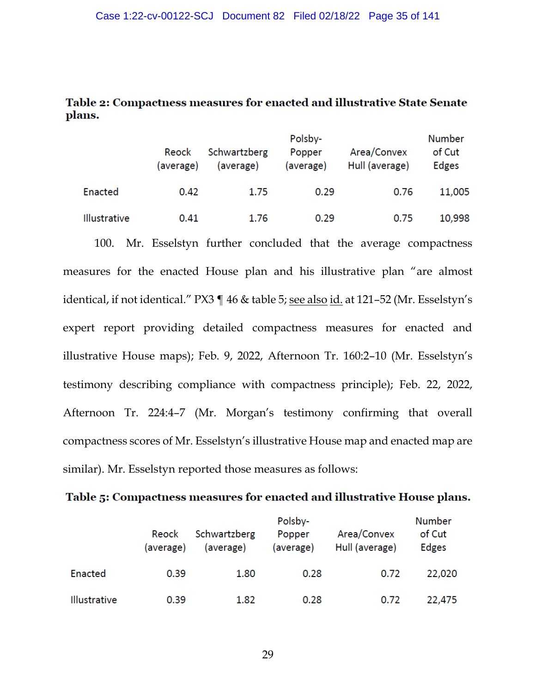# Table 2: Compactness measures for enacted and illustrative State Senate plans.

|                     | Reock<br>(average) | Schwartzberg<br>(average) | Polsby-<br>Popper<br>(average) | Area/Convex<br>Hull (average) | <b>Number</b><br>of Cut<br>Edges |
|---------------------|--------------------|---------------------------|--------------------------------|-------------------------------|----------------------------------|
| Enacted             | 0.42               | 1.75                      | 0.29                           | 0.76                          | 11,005                           |
| <b>Illustrative</b> | 0.41               | 1.76                      | 0.29                           | 0.75                          | 10,998                           |

100. Mr. Esselstyn further concluded that the average compactness measures for the enacted House plan and his illustrative plan "are almost identical, if not identical." PX3 ¶ 46 & table 5; see also id. at 121–52 (Mr. Esselstyn's expert report providing detailed compactness measures for enacted and illustrative House maps); Feb. 9, 2022, Afternoon Tr. 160:2–10 (Mr. Esselstyn's testimony describing compliance with compactness principle); Feb. 22, 2022, Afternoon Tr. 224:4–7 (Mr. Morgan's testimony confirming that overall compactness scores of Mr. Esselstyn's illustrative House map and enacted map are similar). Mr. Esselstyn reported those measures as follows:

Table 5: Compactness measures for enacted and illustrative House plans.

|                     | Reock<br>(average) | Schwartzberg<br>(average) | Polsby-<br>Popper<br>(average) | Area/Convex<br>Hull (average) | <b>Number</b><br>of Cut<br><b>Edges</b> |
|---------------------|--------------------|---------------------------|--------------------------------|-------------------------------|-----------------------------------------|
| Enacted             | 0.39               | 1.80                      | 0.28                           | 0.72                          | 22,020                                  |
| <b>Illustrative</b> | 0.39               | 1.82                      | 0.28                           | 0.72                          | 22,475                                  |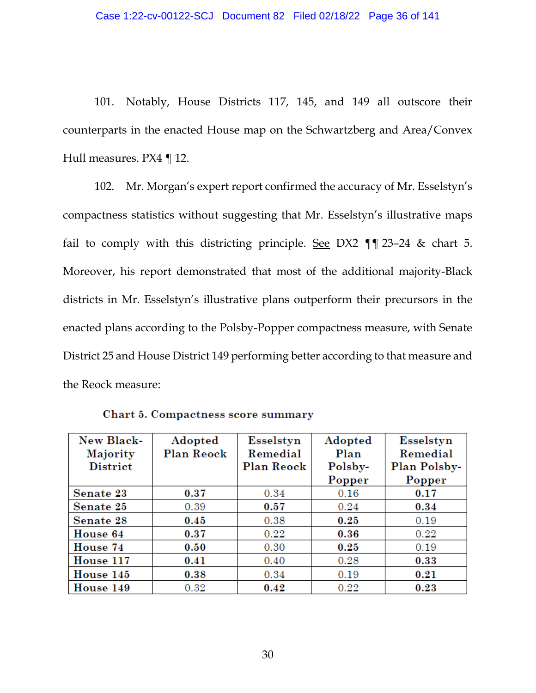101. Notably, House Districts 117, 145, and 149 all outscore their counterparts in the enacted House map on the Schwartzberg and Area/Convex Hull measures. PX4 ¶ 12.

102. Mr. Morgan's expert report confirmed the accuracy of Mr. Esselstyn's compactness statistics without suggesting that Mr. Esselstyn's illustrative maps fail to comply with this districting principle. See DX2  $\P$   $\P$  23–24 & chart 5. Moreover, his report demonstrated that most of the additional majority-Black districts in Mr. Esselstyn's illustrative plans outperform their precursors in the enacted plans according to the Polsby-Popper compactness measure, with Senate District 25 and House District 149 performing better according to that measure and the Reock measure:

| New Black-      | Adopted    | Esselstyn  | Adopted | Esselstyn    |
|-----------------|------------|------------|---------|--------------|
| Majority        | Plan Reock | Remedial   | Plan    | Remedial     |
| <b>District</b> |            | Plan Reock | Polsby- | Plan Polsby- |
|                 |            |            | Popper  | Popper       |
| Senate 23       | 0.37       | 0.34       | 0.16    | 0.17         |
| Senate 25       | 0.39       | 0.57       | 0.24    | 0.34         |
| Senate 28       | 0.45       | 0.38       | 0.25    | 0.19         |
| House 64        | 0.37       | 0.22       | 0.36    | 0.22         |
| House 74        | 0.50       | 0.30       | 0.25    | 0.19         |
| House 117       | 0.41       | 0.40       | 0.28    | 0.33         |
| House 145       | 0.38       | 0.34       | 0.19    | 0.21         |
| House 149       | 0.32       | 0.42       | 0.22    | 0.23         |

Chart 5. Compactness score summary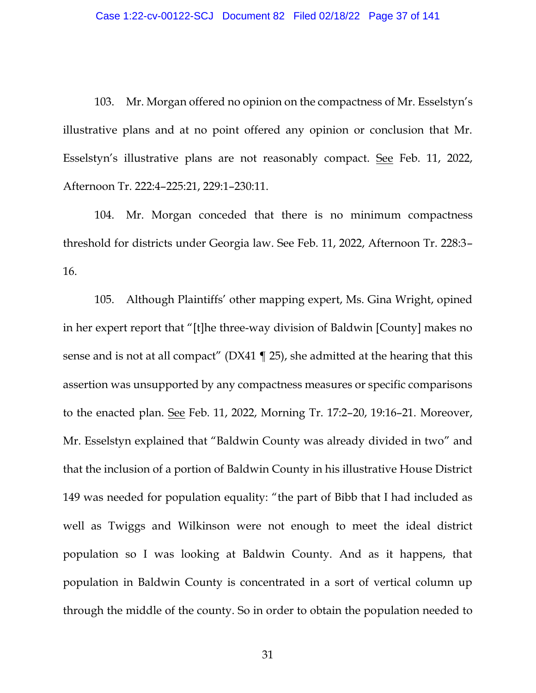103. Mr. Morgan offered no opinion on the compactness of Mr. Esselstyn's illustrative plans and at no point offered any opinion or conclusion that Mr. Esselstyn's illustrative plans are not reasonably compact. See Feb. 11, 2022, Afternoon Tr. 222:4–225:21, 229:1–230:11.

104. Mr. Morgan conceded that there is no minimum compactness threshold for districts under Georgia law. See Feb. 11, 2022, Afternoon Tr. 228:3– 16.

105. Although Plaintiffs' other mapping expert, Ms. Gina Wright, opined in her expert report that "[t]he three-way division of Baldwin [County] makes no sense and is not at all compact" (DX41 ¶ 25), she admitted at the hearing that this assertion was unsupported by any compactness measures or specific comparisons to the enacted plan. See Feb. 11, 2022, Morning Tr. 17:2–20, 19:16–21. Moreover, Mr. Esselstyn explained that "Baldwin County was already divided in two" and that the inclusion of a portion of Baldwin County in his illustrative House District 149 was needed for population equality: "the part of Bibb that I had included as well as Twiggs and Wilkinson were not enough to meet the ideal district population so I was looking at Baldwin County. And as it happens, that population in Baldwin County is concentrated in a sort of vertical column up through the middle of the county. So in order to obtain the population needed to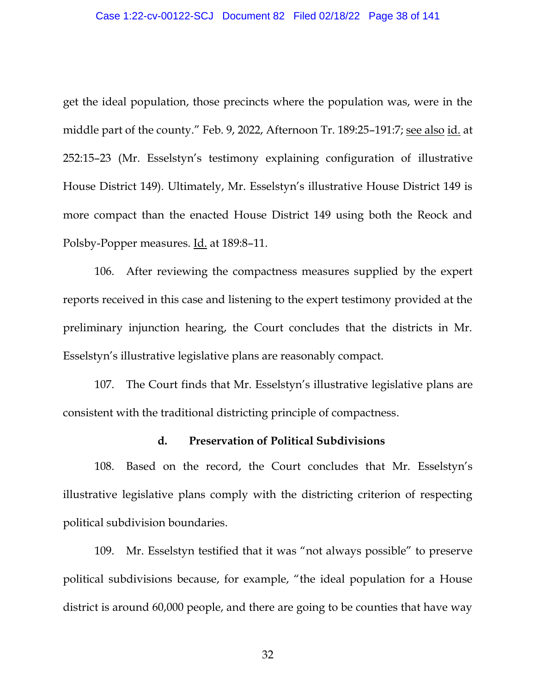# Case 1:22-cv-00122-SCJ Document 82 Filed 02/18/22 Page 38 of 141

get the ideal population, those precincts where the population was, were in the middle part of the county." Feb. 9, 2022, Afternoon Tr. 189:25–191:7; see also id. at 252:15–23 (Mr. Esselstyn's testimony explaining configuration of illustrative House District 149). Ultimately, Mr. Esselstyn's illustrative House District 149 is more compact than the enacted House District 149 using both the Reock and Polsby-Popper measures. Id. at 189:8–11.

106. After reviewing the compactness measures supplied by the expert reports received in this case and listening to the expert testimony provided at the preliminary injunction hearing, the Court concludes that the districts in Mr. Esselstyn's illustrative legislative plans are reasonably compact.

107. The Court finds that Mr. Esselstyn's illustrative legislative plans are consistent with the traditional districting principle of compactness.

## **d. Preservation of Political Subdivisions**

108. Based on the record, the Court concludes that Mr. Esselstyn's illustrative legislative plans comply with the districting criterion of respecting political subdivision boundaries.

109. Mr. Esselstyn testified that it was "not always possible" to preserve political subdivisions because, for example, "the ideal population for a House district is around 60,000 people, and there are going to be counties that have way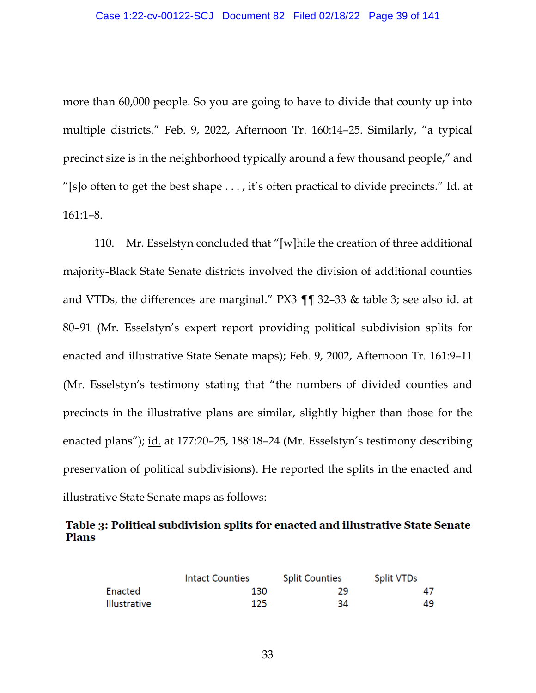more than 60,000 people. So you are going to have to divide that county up into multiple districts." Feb. 9, 2022, Afternoon Tr. 160:14–25. Similarly, "a typical precinct size is in the neighborhood typically around a few thousand people," and "[s]o often to get the best shape  $\dots$ , it's often practical to divide precincts." Id. at 161:1–8.

110. Mr. Esselstyn concluded that "[w]hile the creation of three additional majority-Black State Senate districts involved the division of additional counties and VTDs, the differences are marginal." PX3 ¶¶ 32–33 & table 3; see also id. at 80–91 (Mr. Esselstyn's expert report providing political subdivision splits for enacted and illustrative State Senate maps); Feb. 9, 2002, Afternoon Tr. 161:9–11 (Mr. Esselstyn's testimony stating that "the numbers of divided counties and precincts in the illustrative plans are similar, slightly higher than those for the enacted plans"); id. at 177:20-25, 188:18-24 (Mr. Esselstyn's testimony describing preservation of political subdivisions). He reported the splits in the enacted and illustrative State Senate maps as follows:

Table 3: Political subdivision splits for enacted and illustrative State Senate **Plans** 

|              | Intact Counties | <b>Split Counties</b> | <b>Split VTDs</b> |
|--------------|-----------------|-----------------------|-------------------|
| Enacted      | 130             | 29                    | 47                |
| Illustrative | 125             | 34                    | 49                |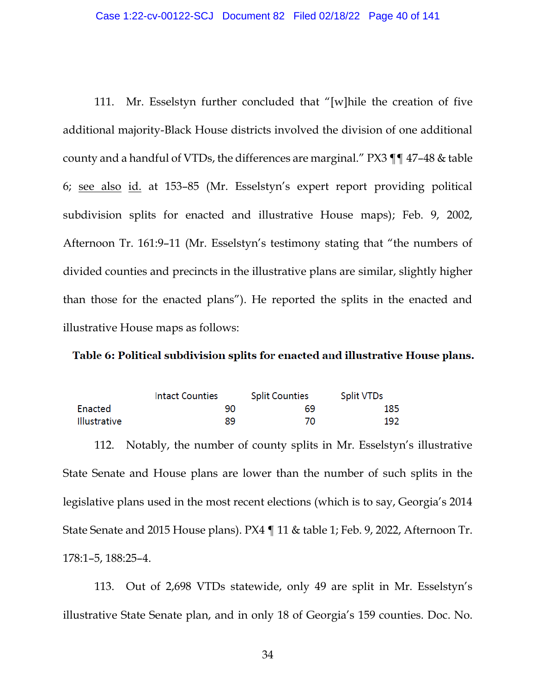111. Mr. Esselstyn further concluded that "[w]hile the creation of five additional majority-Black House districts involved the division of one additional county and a handful of VTDs, the differences are marginal." PX3 ¶¶ 47–48 & table 6; see also id. at 153–85 (Mr. Esselstyn's expert report providing political subdivision splits for enacted and illustrative House maps); Feb. 9, 2002, Afternoon Tr. 161:9–11 (Mr. Esselstyn's testimony stating that "the numbers of divided counties and precincts in the illustrative plans are similar, slightly higher than those for the enacted plans"). He reported the splits in the enacted and illustrative House maps as follows:

## Table 6: Political subdivision splits for enacted and illustrative House plans.

|              | Intact Counties | <b>Split Counties</b> | <b>Split VTDs</b> |
|--------------|-----------------|-----------------------|-------------------|
| Enacted      | 90              | 69                    | 185               |
| Illustrative | 89              | 70                    | 192               |

112. Notably, the number of county splits in Mr. Esselstyn's illustrative State Senate and House plans are lower than the number of such splits in the legislative plans used in the most recent elections (which is to say, Georgia's 2014 State Senate and 2015 House plans). PX4 ¶ 11 & table 1; Feb. 9, 2022, Afternoon Tr. 178:1–5, 188:25–4.

113. Out of 2,698 VTDs statewide, only 49 are split in Mr. Esselstyn's illustrative State Senate plan, and in only 18 of Georgia's 159 counties. Doc. No.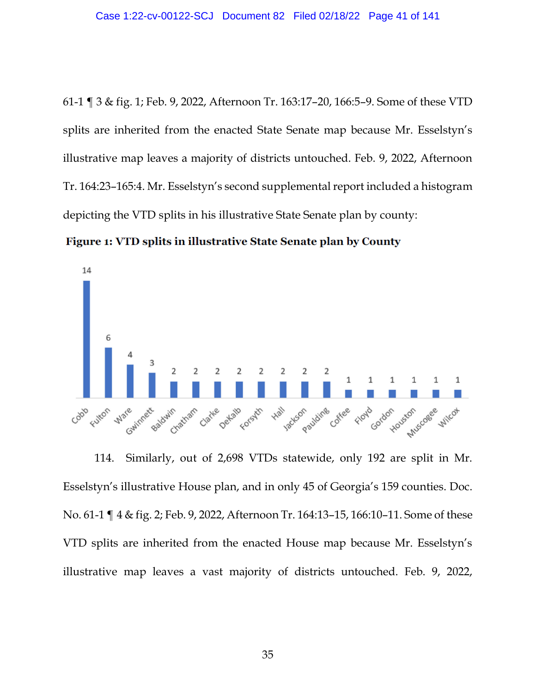61-1 ¶ 3 & fig. 1; Feb. 9, 2022, Afternoon Tr. 163:17–20, 166:5–9. Some of these VTD splits are inherited from the enacted State Senate map because Mr. Esselstyn's illustrative map leaves a majority of districts untouched. Feb. 9, 2022, Afternoon Tr. 164:23–165:4. Mr. Esselstyn's second supplemental report included a histogram depicting the VTD splits in his illustrative State Senate plan by county:

Figure 1: VTD splits in illustrative State Senate plan by County



114. Similarly, out of 2,698 VTDs statewide, only 192 are split in Mr. Esselstyn's illustrative House plan, and in only 45 of Georgia's 159 counties. Doc. No. 61-1 ¶ 4 & fig. 2; Feb. 9, 2022, Afternoon Tr. 164:13–15, 166:10–11. Some of these VTD splits are inherited from the enacted House map because Mr. Esselstyn's illustrative map leaves a vast majority of districts untouched. Feb. 9, 2022,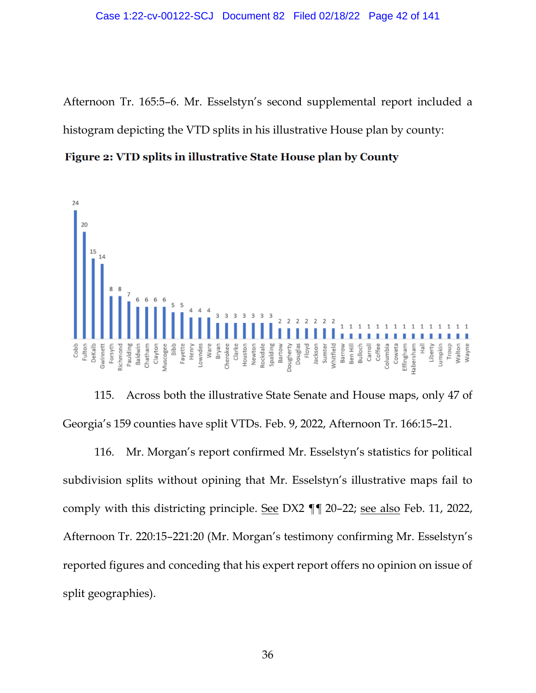Afternoon Tr. 165:5–6. Mr. Esselstyn's second supplemental report included a histogram depicting the VTD splits in his illustrative House plan by county:

Figure 2: VTD splits in illustrative State House plan by County



115. Across both the illustrative State Senate and House maps, only 47 of Georgia's 159 counties have split VTDs. Feb. 9, 2022, Afternoon Tr. 166:15–21.

116. Mr. Morgan's report confirmed Mr. Esselstyn's statistics for political subdivision splits without opining that Mr. Esselstyn's illustrative maps fail to comply with this districting principle. See DX2 ¶¶ 20–22; see also Feb. 11, 2022, Afternoon Tr. 220:15–221:20 (Mr. Morgan's testimony confirming Mr. Esselstyn's reported figures and conceding that his expert report offers no opinion on issue of split geographies).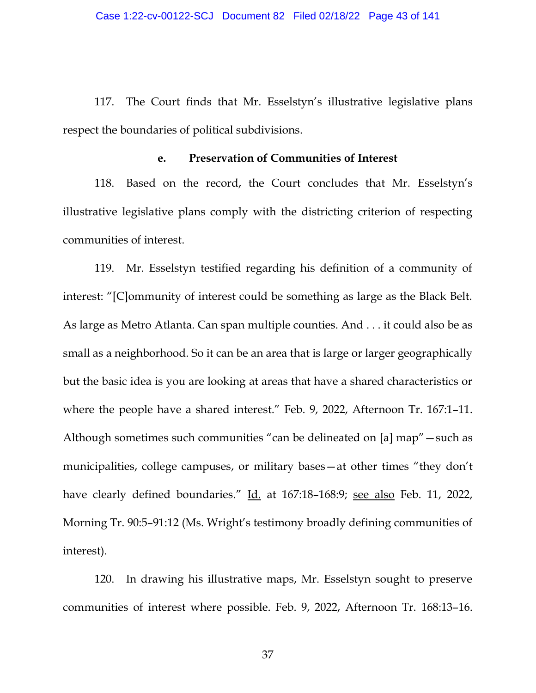117. The Court finds that Mr. Esselstyn's illustrative legislative plans respect the boundaries of political subdivisions.

## **e. Preservation of Communities of Interest**

118. Based on the record, the Court concludes that Mr. Esselstyn's illustrative legislative plans comply with the districting criterion of respecting communities of interest.

119. Mr. Esselstyn testified regarding his definition of a community of interest: "[C]ommunity of interest could be something as large as the Black Belt. As large as Metro Atlanta. Can span multiple counties. And . . . it could also be as small as a neighborhood. So it can be an area that is large or larger geographically but the basic idea is you are looking at areas that have a shared characteristics or where the people have a shared interest." Feb. 9, 2022, Afternoon Tr. 167:1–11. Although sometimes such communities "can be delineated on [a] map"—such as municipalities, college campuses, or military bases—at other times "they don't have clearly defined boundaries." Id. at 167:18-168:9; see also Feb. 11, 2022, Morning Tr. 90:5–91:12 (Ms. Wright's testimony broadly defining communities of interest).

120. In drawing his illustrative maps, Mr. Esselstyn sought to preserve communities of interest where possible. Feb. 9, 2022, Afternoon Tr. 168:13–16.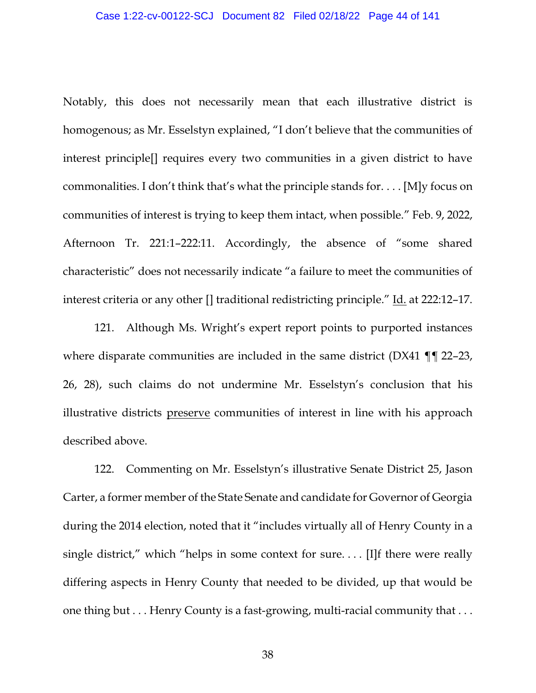Notably, this does not necessarily mean that each illustrative district is homogenous; as Mr. Esselstyn explained, "I don't believe that the communities of interest principle[] requires every two communities in a given district to have commonalities. I don't think that's what the principle stands for. . . . [M]y focus on communities of interest is trying to keep them intact, when possible." Feb. 9, 2022, Afternoon Tr. 221:1–222:11. Accordingly, the absence of "some shared characteristic" does not necessarily indicate "a failure to meet the communities of interest criteria or any other [] traditional redistricting principle." Id. at 222:12–17.

121. Although Ms. Wright's expert report points to purported instances where disparate communities are included in the same district (DX41 ¶¶ 22–23, 26, 28), such claims do not undermine Mr. Esselstyn's conclusion that his illustrative districts preserve communities of interest in line with his approach described above.

122. Commenting on Mr. Esselstyn's illustrative Senate District 25, Jason Carter, a former member of the State Senate and candidate for Governor of Georgia during the 2014 election, noted that it "includes virtually all of Henry County in a single district," which "helps in some context for sure.... [I]f there were really differing aspects in Henry County that needed to be divided, up that would be one thing but . . . Henry County is a fast-growing, multi-racial community that . . .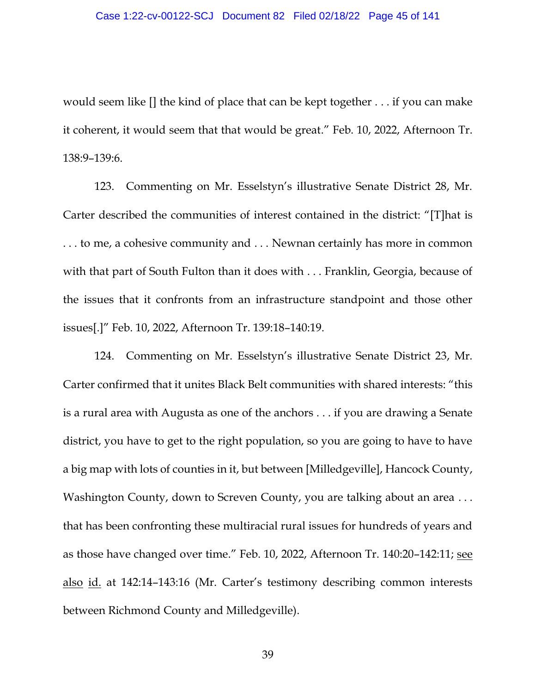would seem like [] the kind of place that can be kept together . . . if you can make it coherent, it would seem that that would be great." Feb. 10, 2022, Afternoon Tr. 138:9–139:6.

123. Commenting on Mr. Esselstyn's illustrative Senate District 28, Mr. Carter described the communities of interest contained in the district: "[T]hat is . . . to me, a cohesive community and . . . Newnan certainly has more in common with that part of South Fulton than it does with . . . Franklin, Georgia, because of the issues that it confronts from an infrastructure standpoint and those other issues[.]" Feb. 10, 2022, Afternoon Tr. 139:18–140:19.

124. Commenting on Mr. Esselstyn's illustrative Senate District 23, Mr. Carter confirmed that it unites Black Belt communities with shared interests: "this is a rural area with Augusta as one of the anchors . . . if you are drawing a Senate district, you have to get to the right population, so you are going to have to have a big map with lots of counties in it, but between [Milledgeville], Hancock County, Washington County, down to Screven County, you are talking about an area ... that has been confronting these multiracial rural issues for hundreds of years and as those have changed over time." Feb. 10, 2022, Afternoon Tr. 140:20–142:11; see also id. at 142:14–143:16 (Mr. Carter's testimony describing common interests between Richmond County and Milledgeville).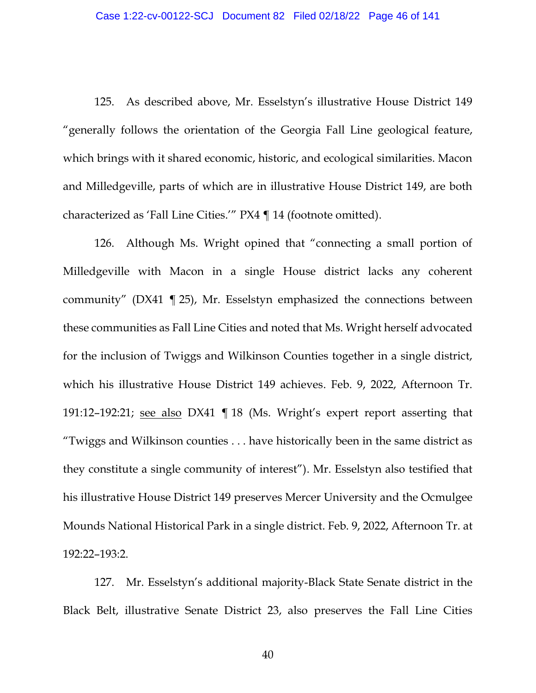125. As described above, Mr. Esselstyn's illustrative House District 149 "generally follows the orientation of the Georgia Fall Line geological feature, which brings with it shared economic, historic, and ecological similarities. Macon and Milledgeville, parts of which are in illustrative House District 149, are both characterized as 'Fall Line Cities.'" PX4 ¶ 14 (footnote omitted).

126. Although Ms. Wright opined that "connecting a small portion of Milledgeville with Macon in a single House district lacks any coherent community" (DX41 ¶ 25), Mr. Esselstyn emphasized the connections between these communities as Fall Line Cities and noted that Ms. Wright herself advocated for the inclusion of Twiggs and Wilkinson Counties together in a single district, which his illustrative House District 149 achieves. Feb. 9, 2022, Afternoon Tr. 191:12–192:21; see also DX41 ¶ 18 (Ms. Wright's expert report asserting that "Twiggs and Wilkinson counties . . . have historically been in the same district as they constitute a single community of interest"). Mr. Esselstyn also testified that his illustrative House District 149 preserves Mercer University and the Ocmulgee Mounds National Historical Park in a single district. Feb. 9, 2022, Afternoon Tr. at 192:22–193:2.

127. Mr. Esselstyn's additional majority-Black State Senate district in the Black Belt, illustrative Senate District 23, also preserves the Fall Line Cities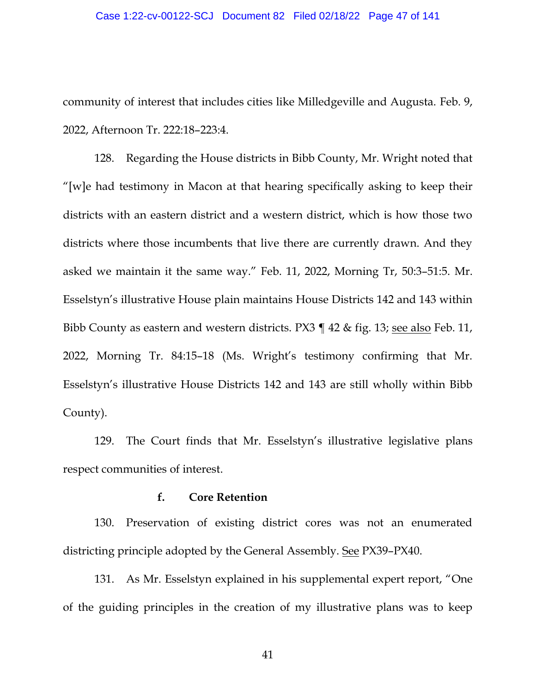### Case 1:22-cv-00122-SCJ Document 82 Filed 02/18/22 Page 47 of 141

community of interest that includes cities like Milledgeville and Augusta. Feb. 9, 2022, Afternoon Tr. 222:18–223:4.

128. Regarding the House districts in Bibb County, Mr. Wright noted that "[w]e had testimony in Macon at that hearing specifically asking to keep their districts with an eastern district and a western district, which is how those two districts where those incumbents that live there are currently drawn. And they asked we maintain it the same way." Feb. 11, 2022, Morning Tr, 50:3–51:5. Mr. Esselstyn's illustrative House plain maintains House Districts 142 and 143 within Bibb County as eastern and western districts. PX3 ¶ 42 & fig. 13; see also Feb. 11, 2022, Morning Tr. 84:15–18 (Ms. Wright's testimony confirming that Mr. Esselstyn's illustrative House Districts 142 and 143 are still wholly within Bibb County).

129. The Court finds that Mr. Esselstyn's illustrative legislative plans respect communities of interest.

# **f. Core Retention**

130. Preservation of existing district cores was not an enumerated districting principle adopted by the General Assembly. See PX39–PX40.

131. As Mr. Esselstyn explained in his supplemental expert report, "One of the guiding principles in the creation of my illustrative plans was to keep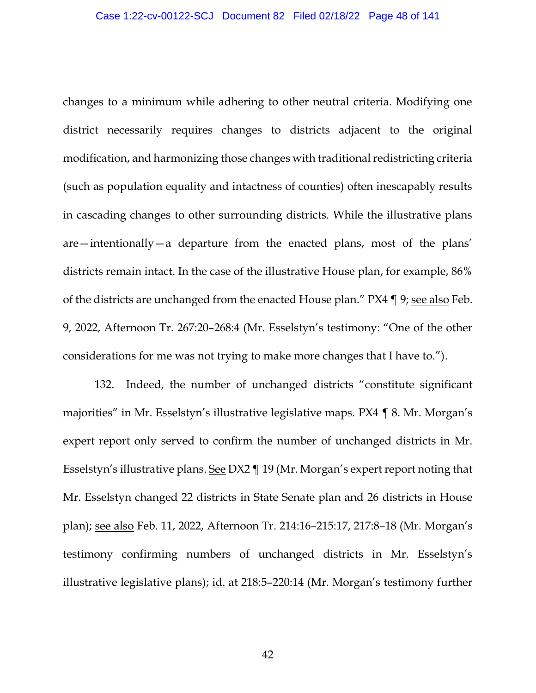changes to a minimum while adhering to other neutral criteria. Modifying one district necessarily requires changes to districts adjacent to the original modification, and harmonizing those changes with traditional redistricting criteria (such as population equality and intactness of counties) often inescapably results in cascading changes to other surrounding districts. While the illustrative plans are—intentionally—a departure from the enacted plans, most of the plans' districts remain intact. In the case of the illustrative House plan, for example, 86% of the districts are unchanged from the enacted House plan." PX4 ¶ 9; see also Feb. 9, 2022, Afternoon Tr. 267:20–268:4 (Mr. Esselstyn's testimony: "One of the other considerations for me was not trying to make more changes that I have to.").

132. Indeed, the number of unchanged districts "constitute significant majorities" in Mr. Esselstyn's illustrative legislative maps. PX4 ¶ 8. Mr. Morgan's expert report only served to confirm the number of unchanged districts in Mr. Esselstyn's illustrative plans. See DX2 ¶ 19 (Mr. Morgan's expert report noting that Mr. Esselstyn changed 22 districts in State Senate plan and 26 districts in House plan); see also Feb. 11, 2022, Afternoon Tr. 214:16–215:17, 217:8–18 (Mr. Morgan's testimony confirming numbers of unchanged districts in Mr. Esselstyn's illustrative legislative plans); id. at 218:5–220:14 (Mr. Morgan's testimony further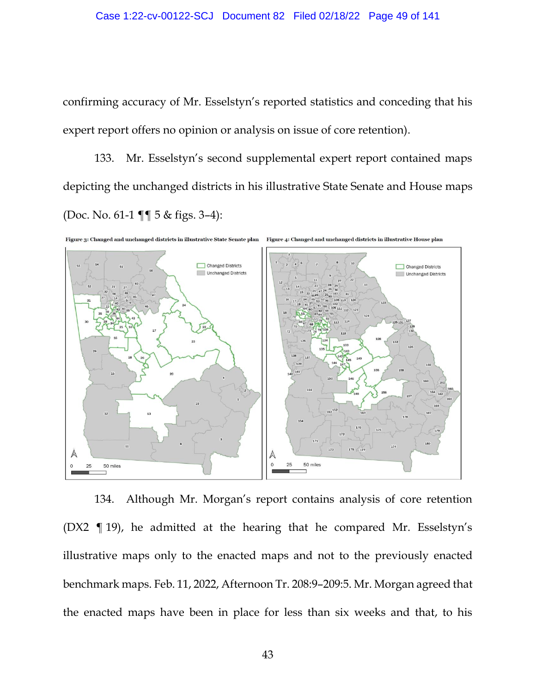confirming accuracy of Mr. Esselstyn's reported statistics and conceding that his expert report offers no opinion or analysis on issue of core retention).

133. Mr. Esselstyn's second supplemental expert report contained maps depicting the unchanged districts in his illustrative State Senate and House maps (Doc. No. 61-1 ¶¶ 5 & figs. 3–4):



Figure 3: Changed and unchanged districts in illustrative State Senate plan Figure 4: Changed and unchanged districts in illustrative House plan

134. Although Mr. Morgan's report contains analysis of core retention (DX2 ¶ 19), he admitted at the hearing that he compared Mr. Esselstyn's illustrative maps only to the enacted maps and not to the previously enacted benchmark maps. Feb. 11, 2022, Afternoon Tr. 208:9–209:5. Mr. Morgan agreed that the enacted maps have been in place for less than six weeks and that, to his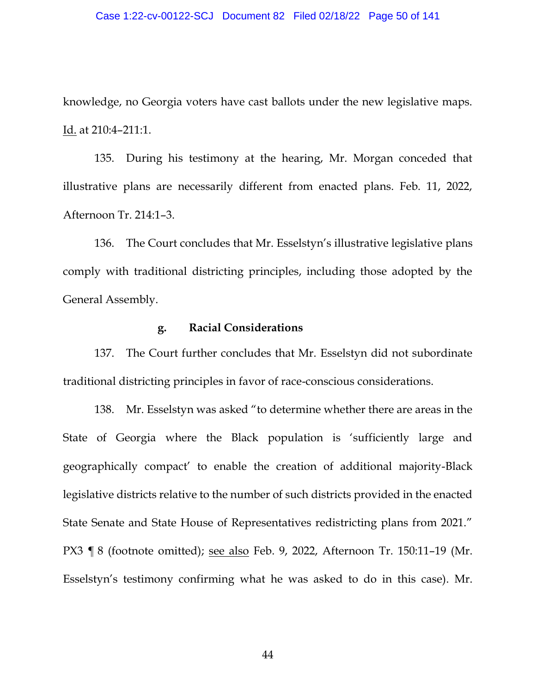### Case 1:22-cv-00122-SCJ Document 82 Filed 02/18/22 Page 50 of 141

knowledge, no Georgia voters have cast ballots under the new legislative maps. Id. at 210:4–211:1.

135. During his testimony at the hearing, Mr. Morgan conceded that illustrative plans are necessarily different from enacted plans. Feb. 11, 2022, Afternoon Tr. 214:1–3.

136. The Court concludes that Mr. Esselstyn's illustrative legislative plans comply with traditional districting principles, including those adopted by the General Assembly.

## **g. Racial Considerations**

137. The Court further concludes that Mr. Esselstyn did not subordinate traditional districting principles in favor of race-conscious considerations.

138. Mr. Esselstyn was asked "to determine whether there are areas in the State of Georgia where the Black population is 'sufficiently large and geographically compact' to enable the creation of additional majority-Black legislative districts relative to the number of such districts provided in the enacted State Senate and State House of Representatives redistricting plans from 2021." PX3 ¶ 8 (footnote omitted); see also Feb. 9, 2022, Afternoon Tr. 150:11–19 (Mr. Esselstyn's testimony confirming what he was asked to do in this case). Mr.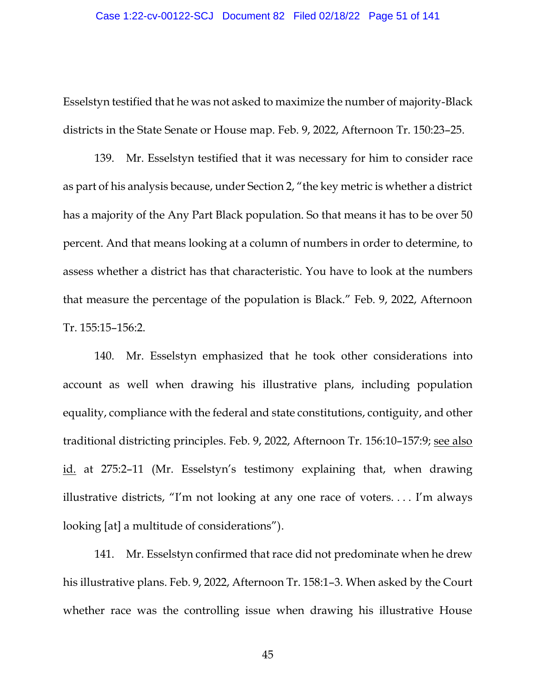Esselstyn testified that he was not asked to maximize the number of majority-Black districts in the State Senate or House map. Feb. 9, 2022, Afternoon Tr. 150:23–25.

139. Mr. Esselstyn testified that it was necessary for him to consider race as part of his analysis because, under Section 2, "the key metric is whether a district has a majority of the Any Part Black population. So that means it has to be over 50 percent. And that means looking at a column of numbers in order to determine, to assess whether a district has that characteristic. You have to look at the numbers that measure the percentage of the population is Black." Feb. 9, 2022, Afternoon Tr. 155:15–156:2.

140. Mr. Esselstyn emphasized that he took other considerations into account as well when drawing his illustrative plans, including population equality, compliance with the federal and state constitutions, contiguity, and other traditional districting principles. Feb. 9, 2022, Afternoon Tr. 156:10–157:9; see also id. at 275:2–11 (Mr. Esselstyn's testimony explaining that, when drawing illustrative districts, "I'm not looking at any one race of voters. . . . I'm always looking [at] a multitude of considerations").

141. Mr. Esselstyn confirmed that race did not predominate when he drew his illustrative plans. Feb. 9, 2022, Afternoon Tr. 158:1–3. When asked by the Court whether race was the controlling issue when drawing his illustrative House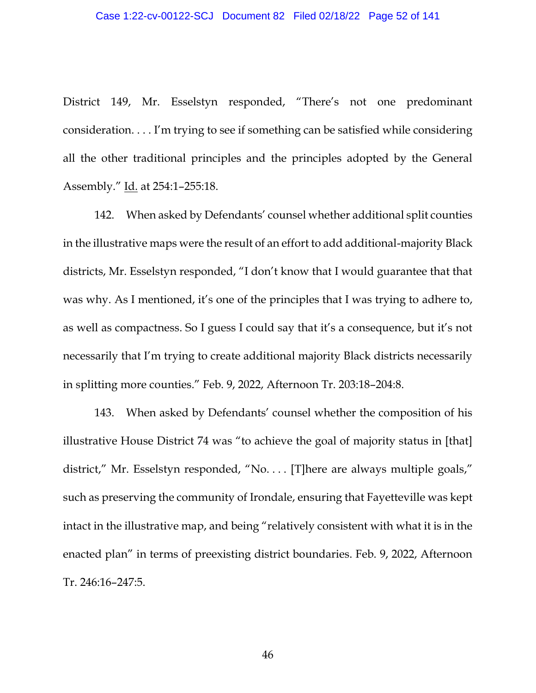District 149, Mr. Esselstyn responded, "There's not one predominant consideration. . . . I'm trying to see if something can be satisfied while considering all the other traditional principles and the principles adopted by the General Assembly." Id. at 254:1–255:18.

142. When asked by Defendants' counsel whether additional split counties in the illustrative maps were the result of an effort to add additional-majority Black districts, Mr. Esselstyn responded, "I don't know that I would guarantee that that was why. As I mentioned, it's one of the principles that I was trying to adhere to, as well as compactness. So I guess I could say that it's a consequence, but it's not necessarily that I'm trying to create additional majority Black districts necessarily in splitting more counties." Feb. 9, 2022, Afternoon Tr. 203:18–204:8.

143. When asked by Defendants' counsel whether the composition of his illustrative House District 74 was "to achieve the goal of majority status in [that] district," Mr. Esselstyn responded, "No. . . . [T]here are always multiple goals," such as preserving the community of Irondale, ensuring that Fayetteville was kept intact in the illustrative map, and being "relatively consistent with what it is in the enacted plan" in terms of preexisting district boundaries. Feb. 9, 2022, Afternoon Tr. 246:16–247:5.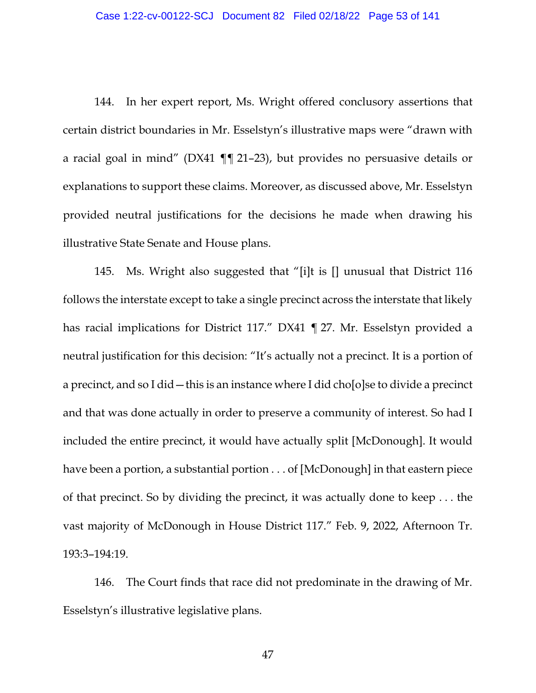144. In her expert report, Ms. Wright offered conclusory assertions that certain district boundaries in Mr. Esselstyn's illustrative maps were "drawn with a racial goal in mind" (DX41 ¶¶ 21–23), but provides no persuasive details or explanations to support these claims. Moreover, as discussed above, Mr. Esselstyn provided neutral justifications for the decisions he made when drawing his illustrative State Senate and House plans.

145. Ms. Wright also suggested that "[i]t is [] unusual that District 116 follows the interstate except to take a single precinct across the interstate that likely has racial implications for District 117." DX41 ¶ 27. Mr. Esselstyn provided a neutral justification for this decision: "It's actually not a precinct. It is a portion of a precinct, and so I did — this is an instance where I did cho $[o]$ se to divide a precinct and that was done actually in order to preserve a community of interest. So had I included the entire precinct, it would have actually split [McDonough]. It would have been a portion, a substantial portion . . . of [McDonough] in that eastern piece of that precinct. So by dividing the precinct, it was actually done to keep . . . the vast majority of McDonough in House District 117." Feb. 9, 2022, Afternoon Tr. 193:3–194:19.

146. The Court finds that race did not predominate in the drawing of Mr. Esselstyn's illustrative legislative plans.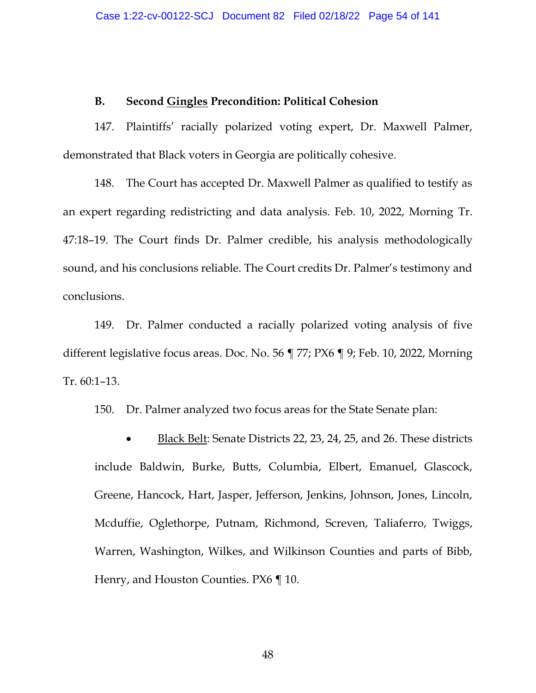# **B. Second Gingles Precondition: Political Cohesion**

147. Plaintiffs' racially polarized voting expert, Dr. Maxwell Palmer, demonstrated that Black voters in Georgia are politically cohesive.

148. The Court has accepted Dr. Maxwell Palmer as qualified to testify as an expert regarding redistricting and data analysis. Feb. 10, 2022, Morning Tr. 47:18–19. The Court finds Dr. Palmer credible, his analysis methodologically sound, and his conclusions reliable. The Court credits Dr. Palmer's testimony and conclusions.

149. Dr. Palmer conducted a racially polarized voting analysis of five different legislative focus areas. Doc. No. 56 ¶ 77; PX6 ¶ 9; Feb. 10, 2022, Morning Tr. 60:1–13.

150. Dr. Palmer analyzed two focus areas for the State Senate plan:

• Black Belt: Senate Districts 22, 23, 24, 25, and 26. These districts include Baldwin, Burke, Butts, Columbia, Elbert, Emanuel, Glascock, Greene, Hancock, Hart, Jasper, Jefferson, Jenkins, Johnson, Jones, Lincoln, Mcduffie, Oglethorpe, Putnam, Richmond, Screven, Taliaferro, Twiggs, Warren, Washington, Wilkes, and Wilkinson Counties and parts of Bibb, Henry, and Houston Counties. PX6 ¶ 10.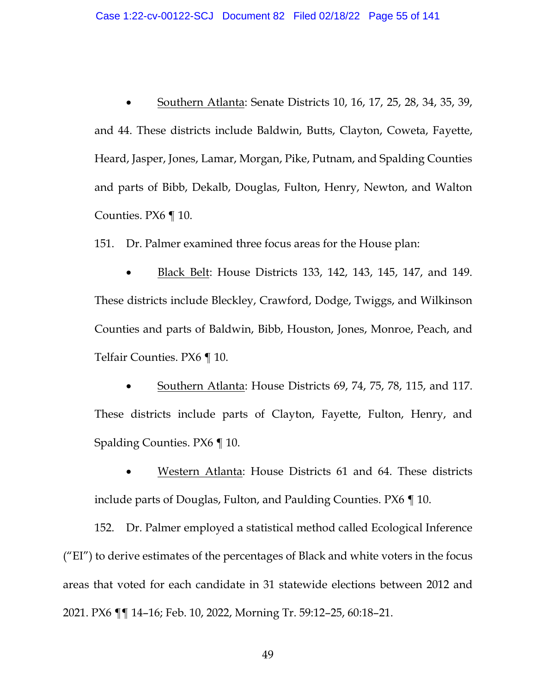• Southern Atlanta: Senate Districts 10, 16, 17, 25, 28, 34, 35, 39, and 44. These districts include Baldwin, Butts, Clayton, Coweta, Fayette, Heard, Jasper, Jones, Lamar, Morgan, Pike, Putnam, and Spalding Counties and parts of Bibb, Dekalb, Douglas, Fulton, Henry, Newton, and Walton Counties. PX6 ¶ 10.

151. Dr. Palmer examined three focus areas for the House plan:

• Black Belt: House Districts 133, 142, 143, 145, 147, and 149. These districts include Bleckley, Crawford, Dodge, Twiggs, and Wilkinson Counties and parts of Baldwin, Bibb, Houston, Jones, Monroe, Peach, and Telfair Counties. PX6 ¶ 10.

• Southern Atlanta: House Districts 69, 74, 75, 78, 115, and 117. These districts include parts of Clayton, Fayette, Fulton, Henry, and Spalding Counties. PX6 ¶ 10.

• Western Atlanta: House Districts 61 and 64. These districts include parts of Douglas, Fulton, and Paulding Counties. PX6 ¶ 10.

152. Dr. Palmer employed a statistical method called Ecological Inference ("EI") to derive estimates of the percentages of Black and white voters in the focus areas that voted for each candidate in 31 statewide elections between 2012 and 2021. PX6 ¶¶ 14–16; Feb. 10, 2022, Morning Tr. 59:12–25, 60:18–21.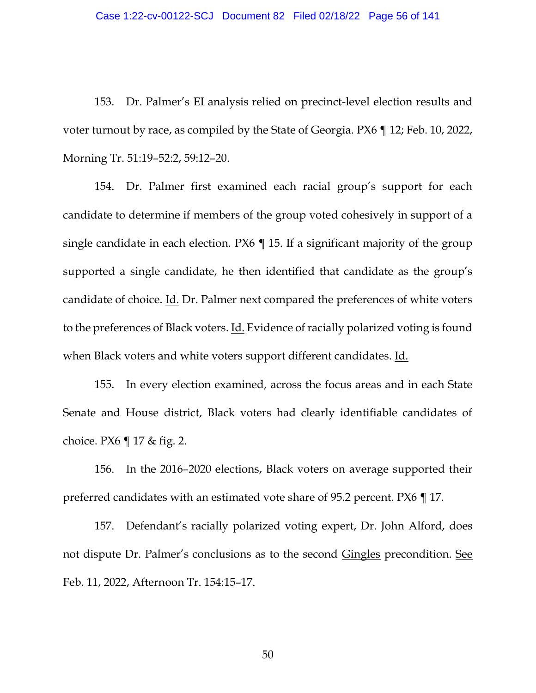153. Dr. Palmer's EI analysis relied on precinct-level election results and voter turnout by race, as compiled by the State of Georgia. PX6 ¶ 12; Feb. 10, 2022, Morning Tr. 51:19–52:2, 59:12–20.

154. Dr. Palmer first examined each racial group's support for each candidate to determine if members of the group voted cohesively in support of a single candidate in each election. PX6 ¶ 15. If a significant majority of the group supported a single candidate, he then identified that candidate as the group's candidate of choice. Id. Dr. Palmer next compared the preferences of white voters to the preferences of Black voters. Id. Evidence of racially polarized voting is found when Black voters and white voters support different candidates. Id.

155. In every election examined, across the focus areas and in each State Senate and House district, Black voters had clearly identifiable candidates of choice. PX6 ¶ 17 & fig. 2.

156. In the 2016–2020 elections, Black voters on average supported their preferred candidates with an estimated vote share of 95.2 percent. PX6 ¶ 17.

157. Defendant's racially polarized voting expert, Dr. John Alford, does not dispute Dr. Palmer's conclusions as to the second Gingles precondition. See Feb. 11, 2022, Afternoon Tr. 154:15–17.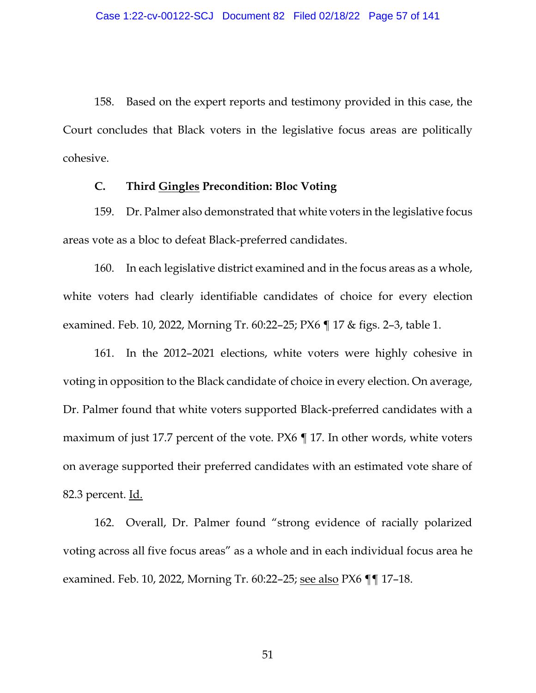158. Based on the expert reports and testimony provided in this case, the Court concludes that Black voters in the legislative focus areas are politically cohesive.

# **C. Third Gingles Precondition: Bloc Voting**

159. Dr. Palmer also demonstrated that white voters in the legislative focus areas vote as a bloc to defeat Black-preferred candidates.

160. In each legislative district examined and in the focus areas as a whole, white voters had clearly identifiable candidates of choice for every election examined. Feb. 10, 2022, Morning Tr. 60:22–25; PX6 ¶ 17 & figs. 2–3, table 1.

161. In the 2012–2021 elections, white voters were highly cohesive in voting in opposition to the Black candidate of choice in every election. On average, Dr. Palmer found that white voters supported Black-preferred candidates with a maximum of just 17.7 percent of the vote. PX6 ¶ 17. In other words, white voters on average supported their preferred candidates with an estimated vote share of 82.3 percent. <u>Id.</u>

162. Overall, Dr. Palmer found "strong evidence of racially polarized voting across all five focus areas" as a whole and in each individual focus area he examined. Feb. 10, 2022, Morning Tr. 60:22–25; see also PX6 ¶¶ 17–18.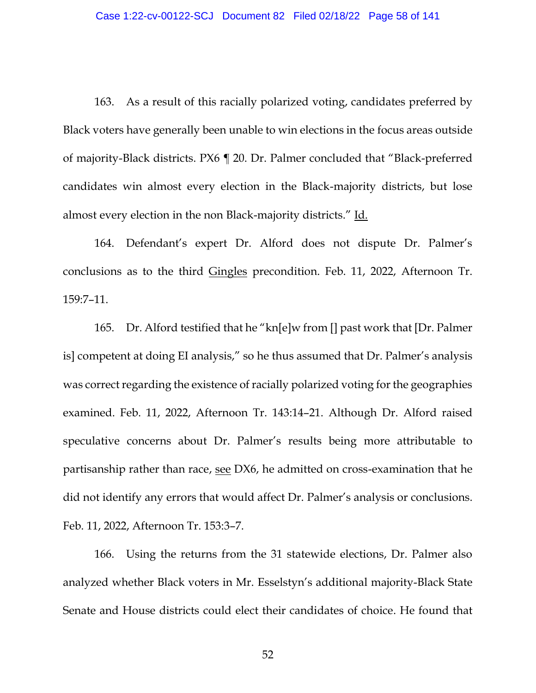163. As a result of this racially polarized voting, candidates preferred by Black voters have generally been unable to win elections in the focus areas outside of majority-Black districts. PX6 ¶ 20. Dr. Palmer concluded that "Black-preferred candidates win almost every election in the Black-majority districts, but lose almost every election in the non Black-majority districts." Id.

164. Defendant's expert Dr. Alford does not dispute Dr. Palmer's conclusions as to the third Gingles precondition. Feb. 11, 2022, Afternoon Tr. 159:7–11.

165. Dr. Alford testified that he "kn[e]w from [] past work that [Dr. Palmer is] competent at doing EI analysis," so he thus assumed that Dr. Palmer's analysis was correct regarding the existence of racially polarized voting for the geographies examined. Feb. 11, 2022, Afternoon Tr. 143:14–21. Although Dr. Alford raised speculative concerns about Dr. Palmer's results being more attributable to partisanship rather than race, see DX6, he admitted on cross-examination that he did not identify any errors that would affect Dr. Palmer's analysis or conclusions. Feb. 11, 2022, Afternoon Tr. 153:3–7.

166. Using the returns from the 31 statewide elections, Dr. Palmer also analyzed whether Black voters in Mr. Esselstyn's additional majority-Black State Senate and House districts could elect their candidates of choice. He found that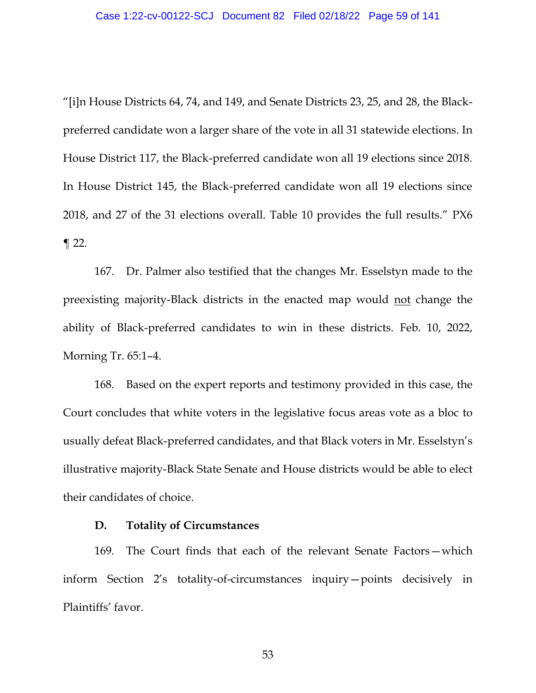"[i]n House Districts 64, 74, and 149, and Senate Districts 23, 25, and 28, the Blackpreferred candidate won a larger share of the vote in all 31 statewide elections. In House District 117, the Black-preferred candidate won all 19 elections since 2018. In House District 145, the Black-preferred candidate won all 19 elections since 2018, and 27 of the 31 elections overall. Table 10 provides the full results." PX6  $\P$  22.

167. Dr. Palmer also testified that the changes Mr. Esselstyn made to the preexisting majority-Black districts in the enacted map would not change the ability of Black-preferred candidates to win in these districts. Feb. 10, 2022, Morning Tr. 65:1–4.

168. Based on the expert reports and testimony provided in this case, the Court concludes that white voters in the legislative focus areas vote as a bloc to usually defeat Black-preferred candidates, and that Black voters in Mr. Esselstyn's illustrative majority-Black State Senate and House districts would be able to elect their candidates of choice.

# **D. Totality of Circumstances**

169. The Court finds that each of the relevant Senate Factors—which inform Section 2's totality-of-circumstances inquiry—points decisively in Plaintiffs' favor.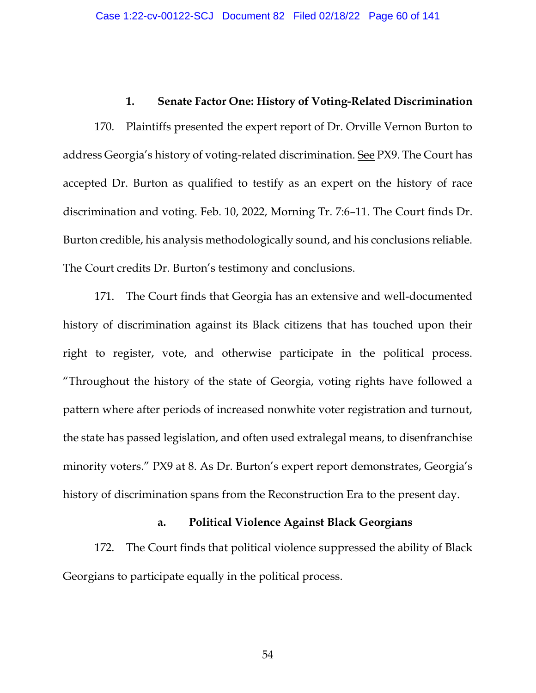# **1. Senate Factor One: History of Voting-Related Discrimination**

170. Plaintiffs presented the expert report of Dr. Orville Vernon Burton to address Georgia's history of voting-related discrimination. See PX9. The Court has accepted Dr. Burton as qualified to testify as an expert on the history of race discrimination and voting. Feb. 10, 2022, Morning Tr. 7:6–11. The Court finds Dr. Burton credible, his analysis methodologically sound, and his conclusions reliable. The Court credits Dr. Burton's testimony and conclusions.

171. The Court finds that Georgia has an extensive and well-documented history of discrimination against its Black citizens that has touched upon their right to register, vote, and otherwise participate in the political process. "Throughout the history of the state of Georgia, voting rights have followed a pattern where after periods of increased nonwhite voter registration and turnout, the state has passed legislation, and often used extralegal means, to disenfranchise minority voters." PX9 at 8. As Dr. Burton's expert report demonstrates, Georgia's history of discrimination spans from the Reconstruction Era to the present day.

### **a. Political Violence Against Black Georgians**

172. The Court finds that political violence suppressed the ability of Black Georgians to participate equally in the political process.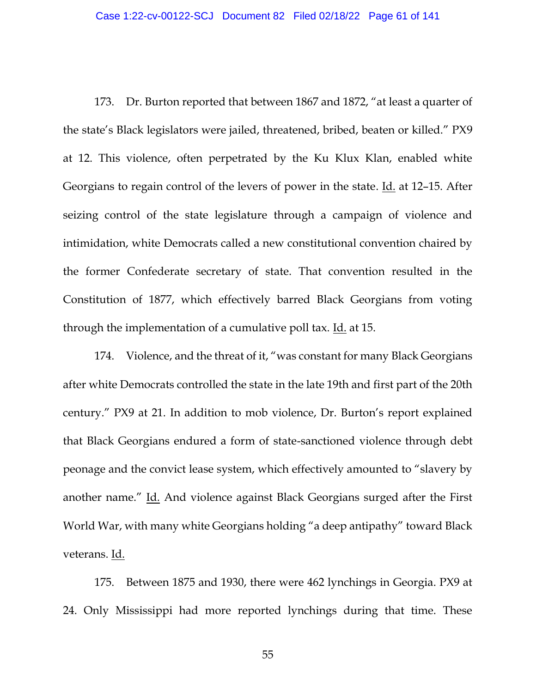173. Dr. Burton reported that between 1867 and 1872, "at least a quarter of the state's Black legislators were jailed, threatened, bribed, beaten or killed." PX9 at 12. This violence, often perpetrated by the Ku Klux Klan, enabled white Georgians to regain control of the levers of power in the state. Id. at 12–15. After seizing control of the state legislature through a campaign of violence and intimidation, white Democrats called a new constitutional convention chaired by the former Confederate secretary of state. That convention resulted in the Constitution of 1877, which effectively barred Black Georgians from voting through the implementation of a cumulative poll tax. Id. at 15.

174. Violence, and the threat of it, "was constant for many Black Georgians after white Democrats controlled the state in the late 19th and first part of the 20th century." PX9 at 21. In addition to mob violence, Dr. Burton's report explained that Black Georgians endured a form of state-sanctioned violence through debt peonage and the convict lease system, which effectively amounted to "slavery by another name." Id. And violence against Black Georgians surged after the First World War, with many white Georgians holding "a deep antipathy" toward Black veterans. Id.

175. Between 1875 and 1930, there were 462 lynchings in Georgia. PX9 at 24. Only Mississippi had more reported lynchings during that time. These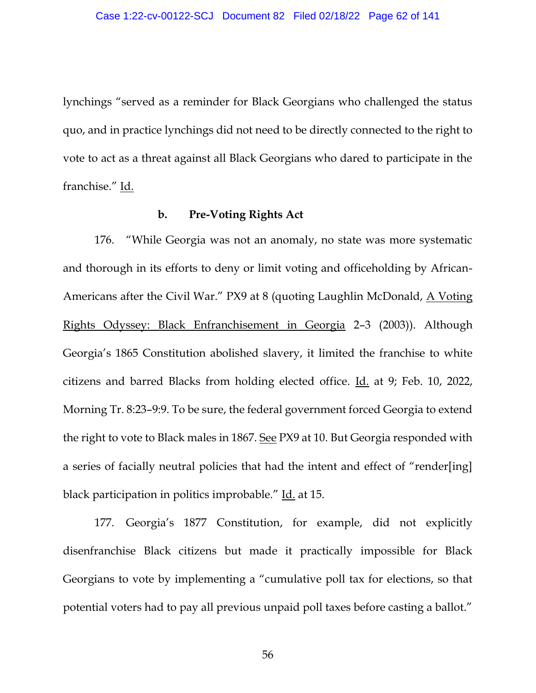lynchings "served as a reminder for Black Georgians who challenged the status quo, and in practice lynchings did not need to be directly connected to the right to vote to act as a threat against all Black Georgians who dared to participate in the franchise." Id.

# **b. Pre-Voting Rights Act**

176. "While Georgia was not an anomaly, no state was more systematic and thorough in its efforts to deny or limit voting and officeholding by African-Americans after the Civil War." PX9 at 8 (quoting Laughlin McDonald, A Voting Rights Odyssey: Black Enfranchisement in Georgia 2–3 (2003)). Although Georgia's 1865 Constitution abolished slavery, it limited the franchise to white citizens and barred Blacks from holding elected office. Id. at 9; Feb. 10, 2022, Morning Tr. 8:23–9:9. To be sure, the federal government forced Georgia to extend the right to vote to Black males in 1867. See PX9 at 10. But Georgia responded with a series of facially neutral policies that had the intent and effect of "render[ing] black participation in politics improbable." Id. at 15.

177. Georgia's 1877 Constitution, for example, did not explicitly disenfranchise Black citizens but made it practically impossible for Black Georgians to vote by implementing a "cumulative poll tax for elections, so that potential voters had to pay all previous unpaid poll taxes before casting a ballot."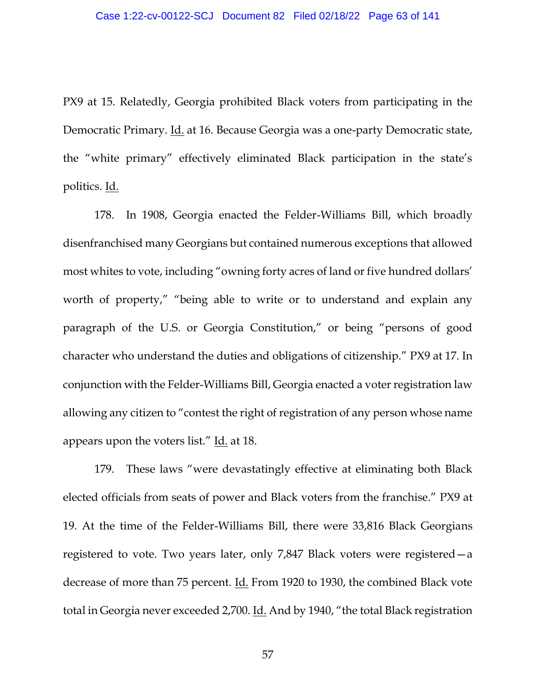PX9 at 15. Relatedly, Georgia prohibited Black voters from participating in the Democratic Primary. Id. at 16. Because Georgia was a one-party Democratic state, the "white primary" effectively eliminated Black participation in the state's politics. Id.

178. In 1908, Georgia enacted the Felder-Williams Bill, which broadly disenfranchised many Georgians but contained numerous exceptions that allowed most whites to vote, including "owning forty acres of land or five hundred dollars' worth of property," "being able to write or to understand and explain any paragraph of the U.S. or Georgia Constitution," or being "persons of good character who understand the duties and obligations of citizenship." PX9 at 17. In conjunction with the Felder-Williams Bill, Georgia enacted a voter registration law allowing any citizen to "contest the right of registration of any person whose name appears upon the voters list." Id. at 18.

179. These laws "were devastatingly effective at eliminating both Black elected officials from seats of power and Black voters from the franchise." PX9 at 19. At the time of the Felder-Williams Bill, there were 33,816 Black Georgians registered to vote. Two years later, only 7,847 Black voters were registered—a decrease of more than 75 percent. Id. From 1920 to 1930, the combined Black vote total in Georgia never exceeded 2,700. Id. And by 1940, "the total Black registration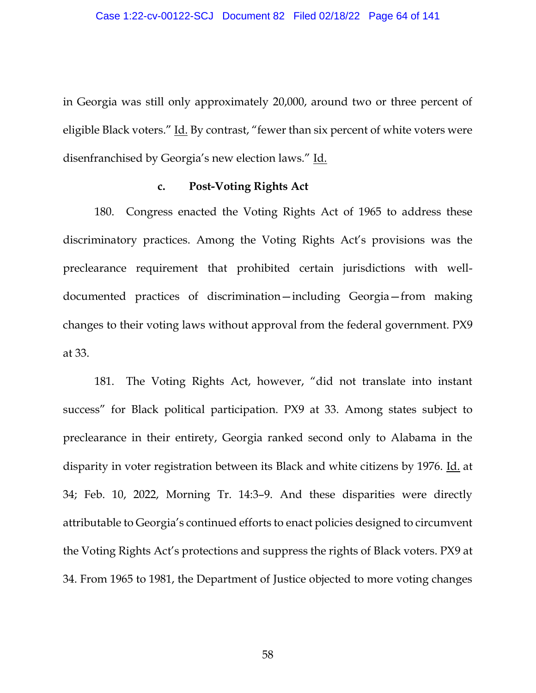in Georgia was still only approximately 20,000, around two or three percent of eligible Black voters." Id. By contrast, "fewer than six percent of white voters were disenfranchised by Georgia's new election laws." Id.

### **c. Post-Voting Rights Act**

180. Congress enacted the Voting Rights Act of 1965 to address these discriminatory practices. Among the Voting Rights Act's provisions was the preclearance requirement that prohibited certain jurisdictions with welldocumented practices of discrimination—including Georgia—from making changes to their voting laws without approval from the federal government. PX9 at 33.

181. The Voting Rights Act, however, "did not translate into instant success" for Black political participation. PX9 at 33. Among states subject to preclearance in their entirety, Georgia ranked second only to Alabama in the disparity in voter registration between its Black and white citizens by 1976. Id. at 34; Feb. 10, 2022, Morning Tr. 14:3–9. And these disparities were directly attributable to Georgia's continued efforts to enact policies designed to circumvent the Voting Rights Act's protections and suppress the rights of Black voters. PX9 at 34. From 1965 to 1981, the Department of Justice objected to more voting changes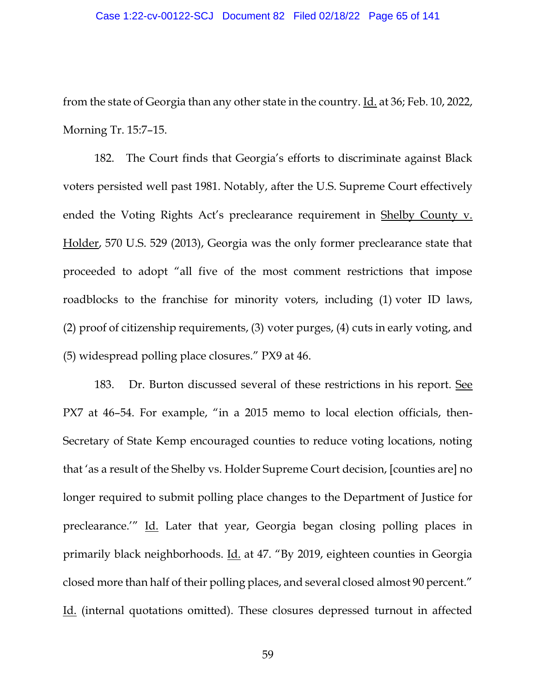from the state of Georgia than any other state in the country. Id. at 36; Feb. 10, 2022, Morning Tr. 15:7–15.

182. The Court finds that Georgia's efforts to discriminate against Black voters persisted well past 1981. Notably, after the U.S. Supreme Court effectively ended the Voting Rights Act's preclearance requirement in Shelby County v. Holder, 570 U.S. 529 (2013), Georgia was the only former preclearance state that proceeded to adopt "all five of the most comment restrictions that impose roadblocks to the franchise for minority voters, including (1) voter ID laws, (2) proof of citizenship requirements, (3) voter purges, (4) cuts in early voting, and (5) widespread polling place closures." PX9 at 46.

183. Dr. Burton discussed several of these restrictions in his report. See PX7 at 46–54. For example, "in a 2015 memo to local election officials, then-Secretary of State Kemp encouraged counties to reduce voting locations, noting that 'as a result of the Shelby vs. Holder Supreme Court decision, [counties are] no longer required to submit polling place changes to the Department of Justice for preclearance.'" Id. Later that year, Georgia began closing polling places in primarily black neighborhoods. Id. at 47. "By 2019, eighteen counties in Georgia closed more than half of their polling places, and several closed almost 90 percent." Id. (internal quotations omitted). These closures depressed turnout in affected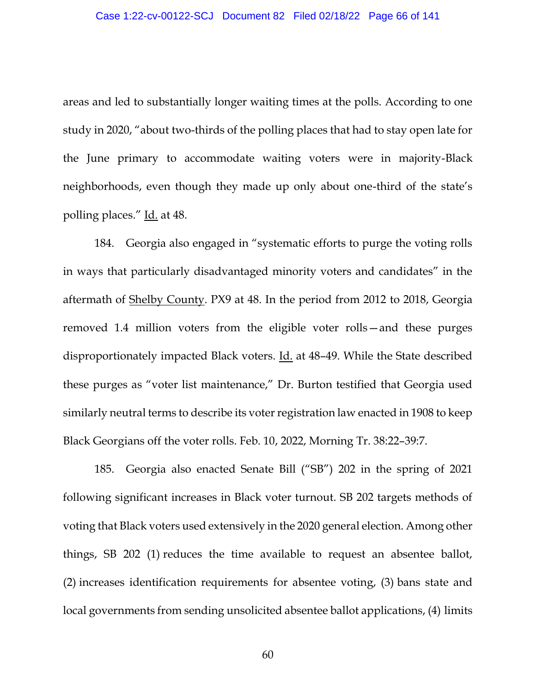areas and led to substantially longer waiting times at the polls. According to one study in 2020, "about two-thirds of the polling places that had to stay open late for the June primary to accommodate waiting voters were in majority-Black neighborhoods, even though they made up only about one-third of the state's polling places." Id. at 48.

184. Georgia also engaged in "systematic efforts to purge the voting rolls in ways that particularly disadvantaged minority voters and candidates" in the aftermath of Shelby County. PX9 at 48. In the period from 2012 to 2018, Georgia removed 1.4 million voters from the eligible voter rolls—and these purges disproportionately impacted Black voters. Id. at 48–49. While the State described these purges as "voter list maintenance," Dr. Burton testified that Georgia used similarly neutral terms to describe its voter registration law enacted in 1908 to keep Black Georgians off the voter rolls. Feb. 10, 2022, Morning Tr. 38:22–39:7.

185. Georgia also enacted Senate Bill ("SB") 202 in the spring of 2021 following significant increases in Black voter turnout. SB 202 targets methods of voting that Black voters used extensively in the 2020 general election. Among other things, SB 202 (1) reduces the time available to request an absentee ballot, (2) increases identification requirements for absentee voting, (3) bans state and local governments from sending unsolicited absentee ballot applications, (4) limits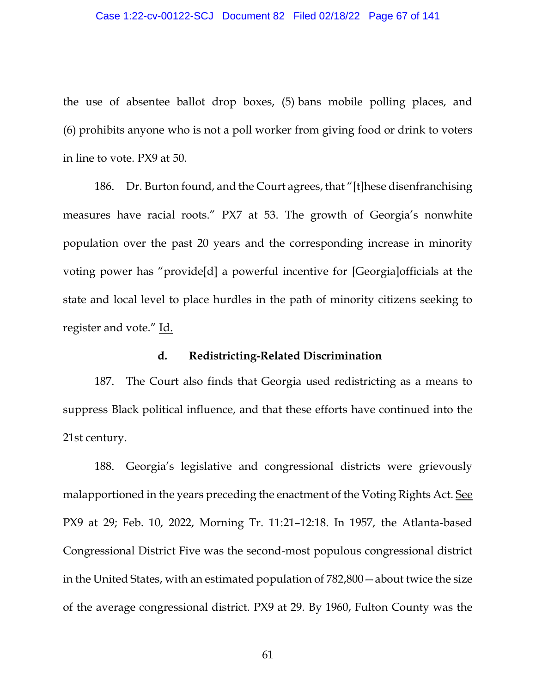the use of absentee ballot drop boxes, (5) bans mobile polling places, and (6) prohibits anyone who is not a poll worker from giving food or drink to voters in line to vote. PX9 at 50.

186. Dr. Burton found, and the Court agrees, that "[t]hese disenfranchising measures have racial roots." PX7 at 53. The growth of Georgia's nonwhite population over the past 20 years and the corresponding increase in minority voting power has "provide[d] a powerful incentive for [Georgia]officials at the state and local level to place hurdles in the path of minority citizens seeking to register and vote." Id.

## **d. Redistricting-Related Discrimination**

187. The Court also finds that Georgia used redistricting as a means to suppress Black political influence, and that these efforts have continued into the 21st century.

188. Georgia's legislative and congressional districts were grievously malapportioned in the years preceding the enactment of the Voting Rights Act. See PX9 at 29; Feb. 10, 2022, Morning Tr. 11:21–12:18. In 1957, the Atlanta-based Congressional District Five was the second-most populous congressional district in the United States, with an estimated population of 782,800—about twice the size of the average congressional district. PX9 at 29. By 1960, Fulton County was the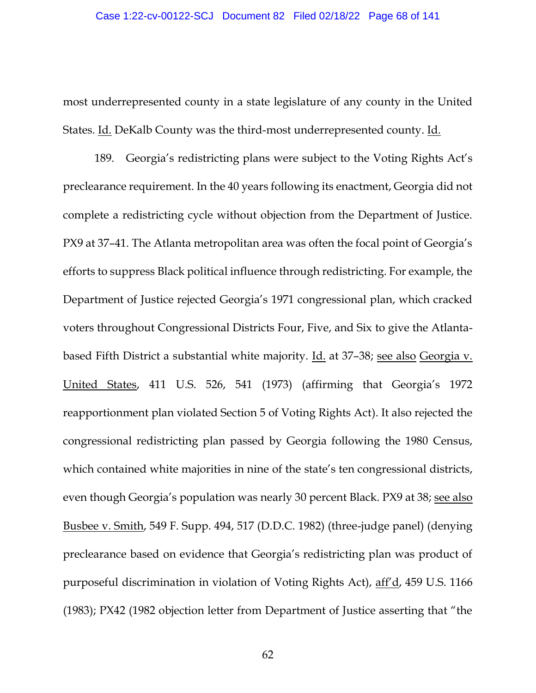most underrepresented county in a state legislature of any county in the United States. Id. DeKalb County was the third-most underrepresented county. Id.

189. Georgia's redistricting plans were subject to the Voting Rights Act's preclearance requirement. In the 40 years following its enactment, Georgia did not complete a redistricting cycle without objection from the Department of Justice. PX9 at 37–41. The Atlanta metropolitan area was often the focal point of Georgia's efforts to suppress Black political influence through redistricting. For example, the Department of Justice rejected Georgia's 1971 congressional plan, which cracked voters throughout Congressional Districts Four, Five, and Six to give the Atlantabased Fifth District a substantial white majority. Id. at 37–38; see also Georgia v. United States, 411 U.S. 526, 541 (1973) (affirming that Georgia's 1972 reapportionment plan violated Section 5 of Voting Rights Act). It also rejected the congressional redistricting plan passed by Georgia following the 1980 Census, which contained white majorities in nine of the state's ten congressional districts, even though Georgia's population was nearly 30 percent Black. PX9 at 38; see also Busbee v. Smith, 549 F. Supp. 494, 517 (D.D.C. 1982) (three-judge panel) (denying preclearance based on evidence that Georgia's redistricting plan was product of purposeful discrimination in violation of Voting Rights Act), aff'd, 459 U.S. 1166 (1983); PX42 (1982 objection letter from Department of Justice asserting that "the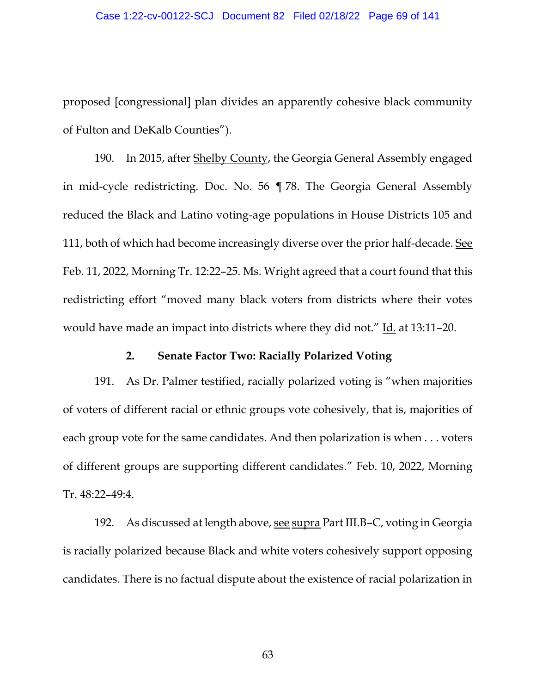proposed [congressional] plan divides an apparently cohesive black community of Fulton and DeKalb Counties").

190. In 2015, after Shelby County, the Georgia General Assembly engaged in mid-cycle redistricting. Doc. No. 56 ¶ 78. The Georgia General Assembly reduced the Black and Latino voting-age populations in House Districts 105 and 111, both of which had become increasingly diverse over the prior half-decade. See Feb. 11, 2022, Morning Tr. 12:22–25. Ms. Wright agreed that a court found that this redistricting effort "moved many black voters from districts where their votes would have made an impact into districts where they did not." Id. at 13:11–20.

## **2. Senate Factor Two: Racially Polarized Voting**

191. As Dr. Palmer testified, racially polarized voting is "when majorities of voters of different racial or ethnic groups vote cohesively, that is, majorities of each group vote for the same candidates. And then polarization is when . . . voters of different groups are supporting different candidates." Feb. 10, 2022, Morning Tr. 48:22–49:4.

192. As discussed at length above, see supra Part III.B–C, voting in Georgia is racially polarized because Black and white voters cohesively support opposing candidates. There is no factual dispute about the existence of racial polarization in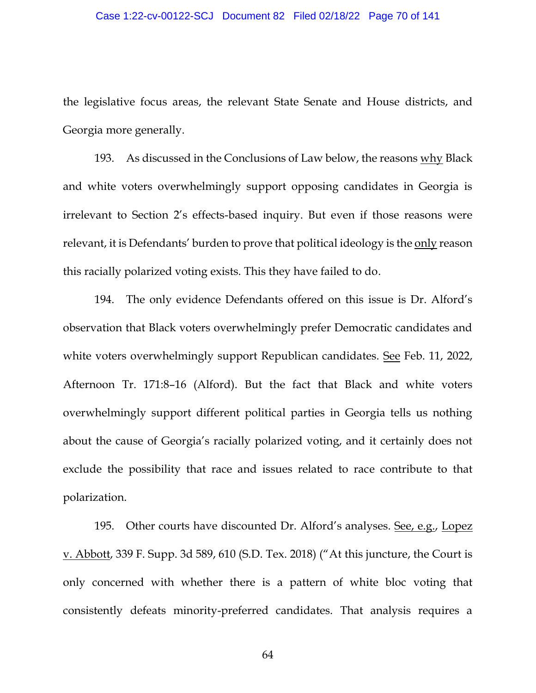the legislative focus areas, the relevant State Senate and House districts, and Georgia more generally.

193. As discussed in the Conclusions of Law below, the reasons why Black and white voters overwhelmingly support opposing candidates in Georgia is irrelevant to Section 2's effects-based inquiry. But even if those reasons were relevant, it is Defendants' burden to prove that political ideology is the only reason this racially polarized voting exists. This they have failed to do.

194. The only evidence Defendants offered on this issue is Dr. Alford's observation that Black voters overwhelmingly prefer Democratic candidates and white voters overwhelmingly support Republican candidates. See Feb. 11, 2022, Afternoon Tr. 171:8–16 (Alford). But the fact that Black and white voters overwhelmingly support different political parties in Georgia tells us nothing about the cause of Georgia's racially polarized voting, and it certainly does not exclude the possibility that race and issues related to race contribute to that polarization.

195. Other courts have discounted Dr. Alford's analyses. See, e.g., Lopez v. Abbott, 339 F. Supp. 3d 589, 610 (S.D. Tex. 2018) ("At this juncture, the Court is only concerned with whether there is a pattern of white bloc voting that consistently defeats minority-preferred candidates. That analysis requires a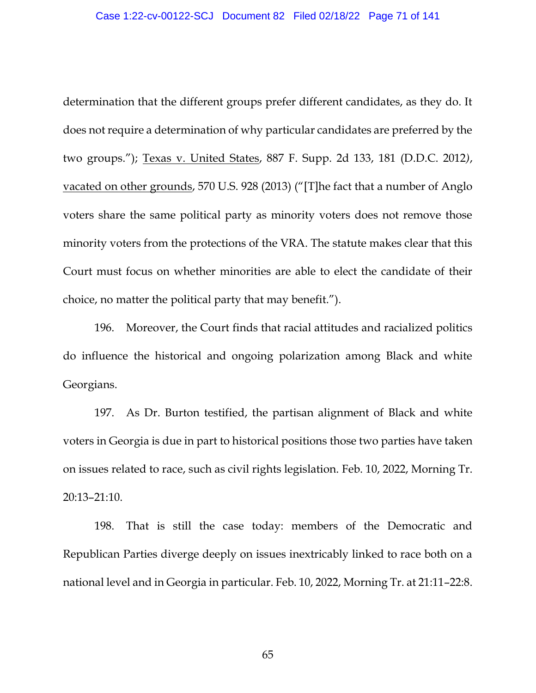determination that the different groups prefer different candidates, as they do. It does not require a determination of why particular candidates are preferred by the two groups."); Texas v. United States, 887 F. Supp. 2d 133, 181 (D.D.C. 2012*)*, vacated on other grounds, 570 U.S. 928 (2013) ("[T]he fact that a number of Anglo voters share the same political party as minority voters does not remove those minority voters from the protections of the VRA. The statute makes clear that this Court must focus on whether minorities are able to elect the candidate of their choice, no matter the political party that may benefit.").

196. Moreover, the Court finds that racial attitudes and racialized politics do influence the historical and ongoing polarization among Black and white Georgians.

197. As Dr. Burton testified, the partisan alignment of Black and white voters in Georgia is due in part to historical positions those two parties have taken on issues related to race, such as civil rights legislation. Feb. 10, 2022, Morning Tr. 20:13–21:10.

198. That is still the case today: members of the Democratic and Republican Parties diverge deeply on issues inextricably linked to race both on a national level and in Georgia in particular. Feb. 10, 2022, Morning Tr. at 21:11–22:8.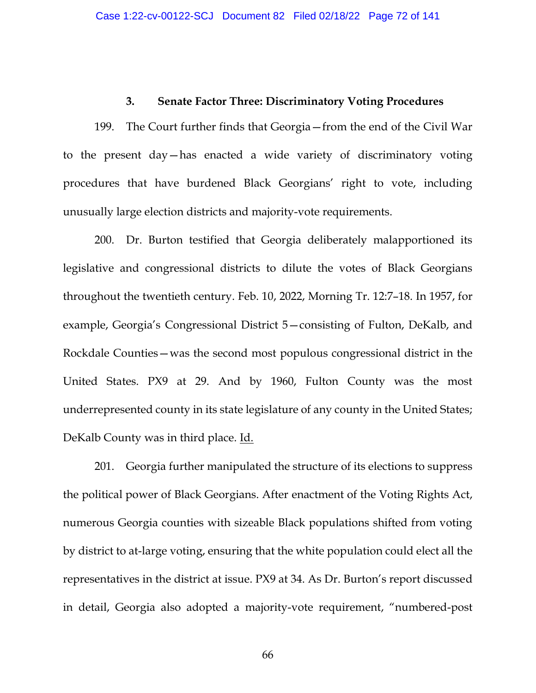## **3. Senate Factor Three: Discriminatory Voting Procedures**

199. The Court further finds that Georgia—from the end of the Civil War to the present day—has enacted a wide variety of discriminatory voting procedures that have burdened Black Georgians' right to vote, including unusually large election districts and majority-vote requirements.

200. Dr. Burton testified that Georgia deliberately malapportioned its legislative and congressional districts to dilute the votes of Black Georgians throughout the twentieth century. Feb. 10, 2022, Morning Tr. 12:7–18. In 1957, for example, Georgia's Congressional District 5—consisting of Fulton, DeKalb, and Rockdale Counties—was the second most populous congressional district in the United States. PX9 at 29. And by 1960, Fulton County was the most underrepresented county in its state legislature of any county in the United States; DeKalb County was in third place. Id.

201. Georgia further manipulated the structure of its elections to suppress the political power of Black Georgians. After enactment of the Voting Rights Act, numerous Georgia counties with sizeable Black populations shifted from voting by district to at-large voting, ensuring that the white population could elect all the representatives in the district at issue. PX9 at 34. As Dr. Burton's report discussed in detail, Georgia also adopted a majority-vote requirement, "numbered-post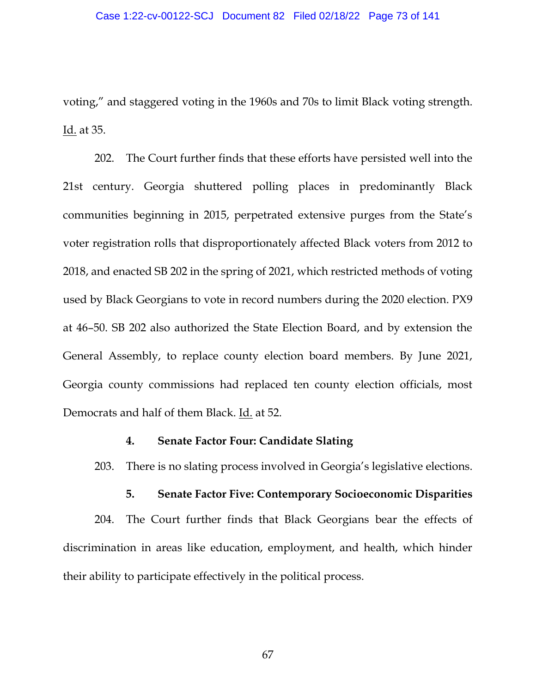voting," and staggered voting in the 1960s and 70s to limit Black voting strength. Id. at 35.

202. The Court further finds that these efforts have persisted well into the 21st century. Georgia shuttered polling places in predominantly Black communities beginning in 2015, perpetrated extensive purges from the State's voter registration rolls that disproportionately affected Black voters from 2012 to 2018, and enacted SB 202 in the spring of 2021, which restricted methods of voting used by Black Georgians to vote in record numbers during the 2020 election. PX9 at 46–50. SB 202 also authorized the State Election Board, and by extension the General Assembly, to replace county election board members. By June 2021, Georgia county commissions had replaced ten county election officials, most Democrats and half of them Black. Id. at 52.

### **4. Senate Factor Four: Candidate Slating**

203. There is no slating process involved in Georgia's legislative elections.

### **5. Senate Factor Five: Contemporary Socioeconomic Disparities**

204. The Court further finds that Black Georgians bear the effects of discrimination in areas like education, employment, and health, which hinder their ability to participate effectively in the political process.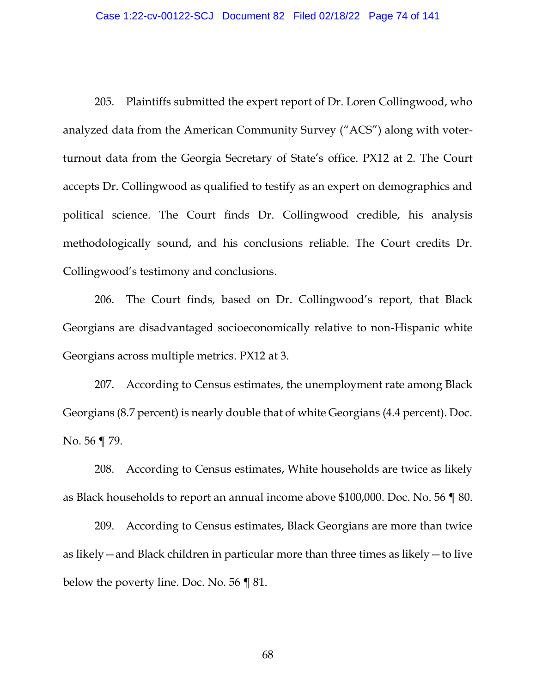205. Plaintiffs submitted the expert report of Dr. Loren Collingwood, who analyzed data from the American Community Survey ("ACS") along with voterturnout data from the Georgia Secretary of State's office. PX12 at 2. The Court accepts Dr. Collingwood as qualified to testify as an expert on demographics and political science. The Court finds Dr. Collingwood credible, his analysis methodologically sound, and his conclusions reliable. The Court credits Dr. Collingwood's testimony and conclusions.

206. The Court finds, based on Dr. Collingwood's report, that Black Georgians are disadvantaged socioeconomically relative to non-Hispanic white Georgians across multiple metrics. PX12 at 3.

207. According to Census estimates, the unemployment rate among Black Georgians (8.7 percent) is nearly double that of white Georgians (4.4 percent). Doc. No. 56 ¶ 79.

208. According to Census estimates, White households are twice as likely as Black households to report an annual income above \$100,000. Doc. No. 56 ¶ 80.

209. According to Census estimates, Black Georgians are more than twice as likely—and Black children in particular more than three times as likely—to live below the poverty line. Doc. No. 56 ¶ 81.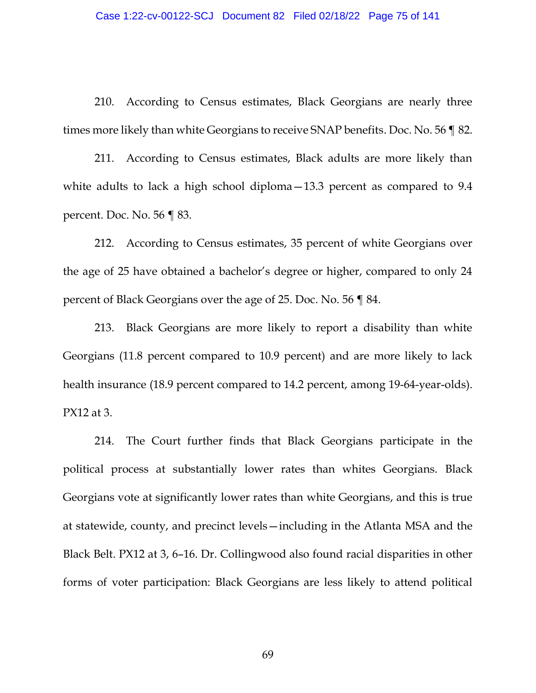210. According to Census estimates, Black Georgians are nearly three times more likely than white Georgians to receive SNAP benefits. Doc. No. 56 ¶ 82.

211. According to Census estimates, Black adults are more likely than white adults to lack a high school diploma – 13.3 percent as compared to 9.4 percent. Doc. No. 56 ¶ 83.

212. According to Census estimates, 35 percent of white Georgians over the age of 25 have obtained a bachelor's degree or higher, compared to only 24 percent of Black Georgians over the age of 25. Doc. No. 56 ¶ 84.

213. Black Georgians are more likely to report a disability than white Georgians (11.8 percent compared to 10.9 percent) and are more likely to lack health insurance (18.9 percent compared to 14.2 percent, among 19-64-year-olds). PX12 at 3.

214. The Court further finds that Black Georgians participate in the political process at substantially lower rates than whites Georgians. Black Georgians vote at significantly lower rates than white Georgians, and this is true at statewide, county, and precinct levels—including in the Atlanta MSA and the Black Belt. PX12 at 3, 6–16. Dr. Collingwood also found racial disparities in other forms of voter participation: Black Georgians are less likely to attend political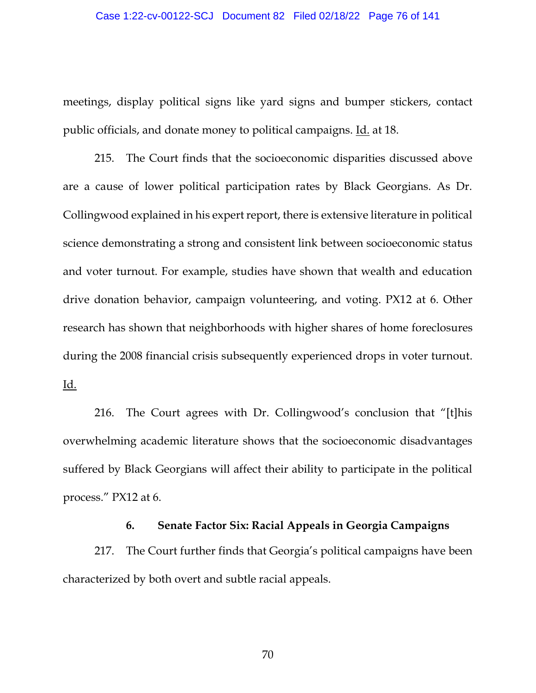### Case 1:22-cv-00122-SCJ Document 82 Filed 02/18/22 Page 76 of 141

meetings, display political signs like yard signs and bumper stickers, contact public officials, and donate money to political campaigns. Id. at 18.

215. The Court finds that the socioeconomic disparities discussed above are a cause of lower political participation rates by Black Georgians. As Dr. Collingwood explained in his expert report, there is extensive literature in political science demonstrating a strong and consistent link between socioeconomic status and voter turnout. For example, studies have shown that wealth and education drive donation behavior, campaign volunteering, and voting. PX12 at 6. Other research has shown that neighborhoods with higher shares of home foreclosures during the 2008 financial crisis subsequently experienced drops in voter turnout. Id.

216. The Court agrees with Dr. Collingwood's conclusion that "[t]his overwhelming academic literature shows that the socioeconomic disadvantages suffered by Black Georgians will affect their ability to participate in the political process." PX12 at 6.

### **6. Senate Factor Six: Racial Appeals in Georgia Campaigns**

217. The Court further finds that Georgia's political campaigns have been characterized by both overt and subtle racial appeals.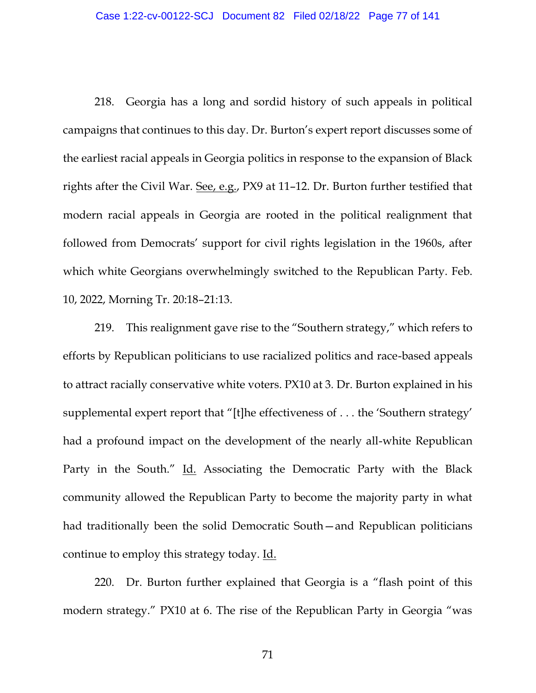218. Georgia has a long and sordid history of such appeals in political campaigns that continues to this day. Dr. Burton's expert report discusses some of the earliest racial appeals in Georgia politics in response to the expansion of Black rights after the Civil War. See, e.g., PX9 at 11–12. Dr. Burton further testified that modern racial appeals in Georgia are rooted in the political realignment that followed from Democrats' support for civil rights legislation in the 1960s, after which white Georgians overwhelmingly switched to the Republican Party. Feb. 10, 2022, Morning Tr. 20:18–21:13.

219. This realignment gave rise to the "Southern strategy," which refers to efforts by Republican politicians to use racialized politics and race-based appeals to attract racially conservative white voters. PX10 at 3*.* Dr. Burton explained in his supplemental expert report that "[t]he effectiveness of . . . the 'Southern strategy' had a profound impact on the development of the nearly all-white Republican Party in the South." Id. Associating the Democratic Party with the Black community allowed the Republican Party to become the majority party in what had traditionally been the solid Democratic South—and Republican politicians continue to employ this strategy today. Id.

220. Dr. Burton further explained that Georgia is a "flash point of this modern strategy." PX10 at 6. The rise of the Republican Party in Georgia "was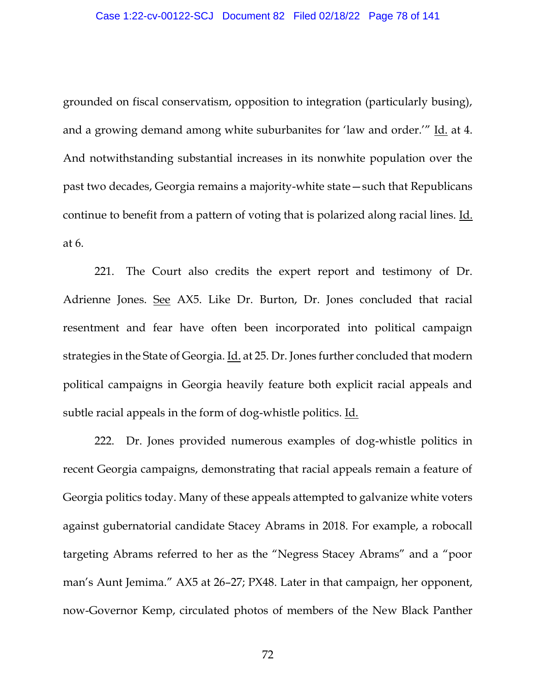grounded on fiscal conservatism, opposition to integration (particularly busing), and a growing demand among white suburbanites for 'law and order.'" Id. at 4. And notwithstanding substantial increases in its nonwhite population over the past two decades, Georgia remains a majority-white state—such that Republicans continue to benefit from a pattern of voting that is polarized along racial lines. Id. at 6.

221. The Court also credits the expert report and testimony of Dr. Adrienne Jones. See AX5. Like Dr. Burton, Dr. Jones concluded that racial resentment and fear have often been incorporated into political campaign strategies in the State of Georgia. Id. at 25. Dr. Jones further concluded that modern political campaigns in Georgia heavily feature both explicit racial appeals and subtle racial appeals in the form of dog-whistle politics. Id.

222. Dr. Jones provided numerous examples of dog-whistle politics in recent Georgia campaigns, demonstrating that racial appeals remain a feature of Georgia politics today. Many of these appeals attempted to galvanize white voters against gubernatorial candidate Stacey Abrams in 2018. For example, a robocall targeting Abrams referred to her as the "Negress Stacey Abrams" and a "poor man's Aunt Jemima." AX5 at 26–27; PX48. Later in that campaign, her opponent, now-Governor Kemp, circulated photos of members of the New Black Panther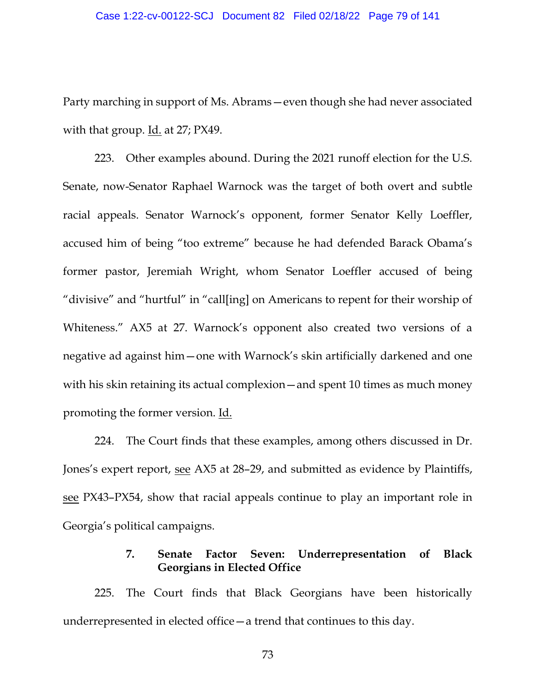Party marching in support of Ms. Abrams—even though she had never associated with that group. Id. at 27; PX49.

223. Other examples abound. During the 2021 runoff election for the U.S. Senate, now-Senator Raphael Warnock was the target of both overt and subtle racial appeals. Senator Warnock's opponent, former Senator Kelly Loeffler, accused him of being "too extreme" because he had defended Barack Obama's former pastor, Jeremiah Wright, whom Senator Loeffler accused of being "divisive" and "hurtful" in "call[ing] on Americans to repent for their worship of Whiteness." AX5 at 27. Warnock's opponent also created two versions of a negative ad against him—one with Warnock's skin artificially darkened and one with his skin retaining its actual complexion—and spent 10 times as much money promoting the former version. Id.

224. The Court finds that these examples, among others discussed in Dr. Jones's expert report, <u>see</u> AX5 at 28–29, and submitted as evidence by Plaintiffs, see PX43–PX54, show that racial appeals continue to play an important role in Georgia's political campaigns.

# **7. Senate Factor Seven: Underrepresentation of Black Georgians in Elected Office**

225. The Court finds that Black Georgians have been historically underrepresented in elected office—a trend that continues to this day.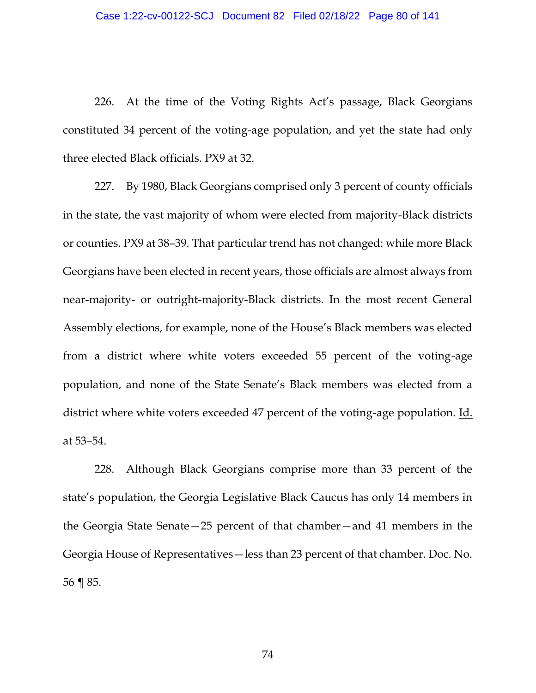226. At the time of the Voting Rights Act's passage, Black Georgians constituted 34 percent of the voting-age population, and yet the state had only three elected Black officials. PX9 at 32.

227. By 1980, Black Georgians comprised only 3 percent of county officials in the state, the vast majority of whom were elected from majority-Black districts or counties. PX9 at 38–39. That particular trend has not changed: while more Black Georgians have been elected in recent years, those officials are almost always from near-majority- or outright-majority-Black districts. In the most recent General Assembly elections, for example, none of the House's Black members was elected from a district where white voters exceeded 55 percent of the voting-age population, and none of the State Senate's Black members was elected from a district where white voters exceeded 47 percent of the voting-age population. Id. at 53–54.

228. Although Black Georgians comprise more than 33 percent of the state's population, the Georgia Legislative Black Caucus has only 14 members in the Georgia State Senate—25 percent of that chamber—and 41 members in the Georgia House of Representatives—less than 23 percent of that chamber. Doc. No. 56 ¶ 85.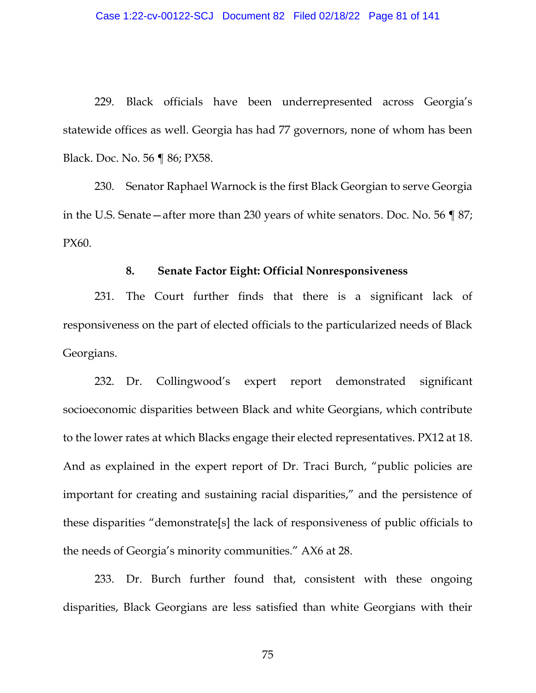229. Black officials have been underrepresented across Georgia's statewide offices as well. Georgia has had 77 governors, none of whom has been Black. Doc. No. 56 ¶ 86; PX58.

230. Senator Raphael Warnock is the first Black Georgian to serve Georgia in the U.S. Senate—after more than 230 years of white senators. Doc. No. 56 ¶ 87; PX60.

#### **8. Senate Factor Eight: Official Nonresponsiveness**

231. The Court further finds that there is a significant lack of responsiveness on the part of elected officials to the particularized needs of Black Georgians.

232. Dr. Collingwood's expert report demonstrated significant socioeconomic disparities between Black and white Georgians, which contribute to the lower rates at which Blacks engage their elected representatives. PX12 at 18. And as explained in the expert report of Dr. Traci Burch, "public policies are important for creating and sustaining racial disparities," and the persistence of these disparities "demonstrate[s] the lack of responsiveness of public officials to the needs of Georgia's minority communities." AX6 at 28.

233. Dr. Burch further found that, consistent with these ongoing disparities, Black Georgians are less satisfied than white Georgians with their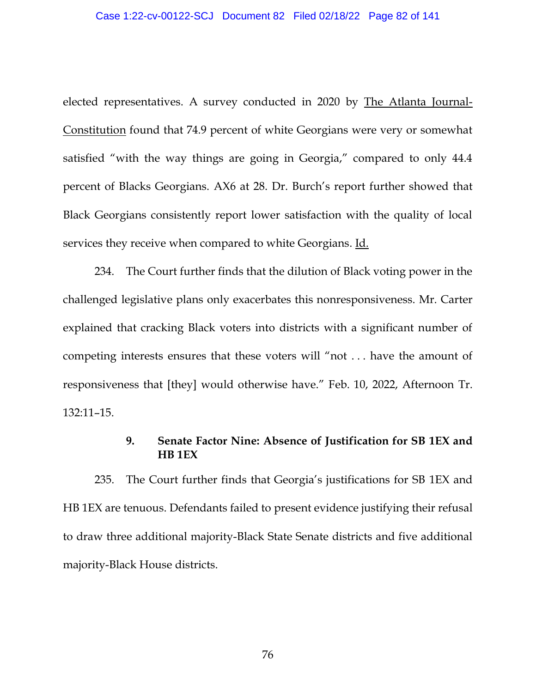elected representatives. A survey conducted in 2020 by The Atlanta Journal-Constitution found that 74.9 percent of white Georgians were very or somewhat satisfied "with the way things are going in Georgia," compared to only 44.4 percent of Blacks Georgians. AX6 at 28. Dr. Burch's report further showed that Black Georgians consistently report lower satisfaction with the quality of local services they receive when compared to white Georgians. Id.

234. The Court further finds that the dilution of Black voting power in the challenged legislative plans only exacerbates this nonresponsiveness. Mr. Carter explained that cracking Black voters into districts with a significant number of competing interests ensures that these voters will "not . . . have the amount of responsiveness that [they] would otherwise have." Feb. 10, 2022, Afternoon Tr. 132:11–15.

# **9. Senate Factor Nine: Absence of Justification for SB 1EX and HB 1EX**

235. The Court further finds that Georgia's justifications for SB 1EX and HB 1EX are tenuous. Defendants failed to present evidence justifying their refusal to draw three additional majority-Black State Senate districts and five additional majority-Black House districts.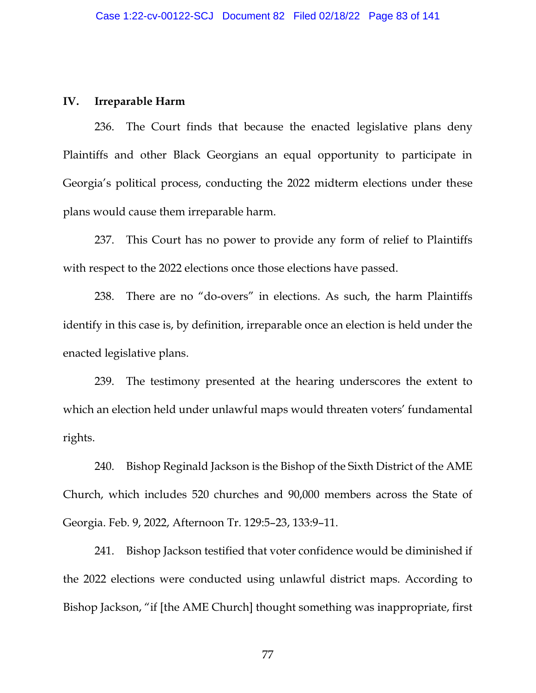### **IV. Irreparable Harm**

236. The Court finds that because the enacted legislative plans deny Plaintiffs and other Black Georgians an equal opportunity to participate in Georgia's political process, conducting the 2022 midterm elections under these plans would cause them irreparable harm.

237. This Court has no power to provide any form of relief to Plaintiffs with respect to the 2022 elections once those elections have passed.

238. There are no "do-overs" in elections. As such, the harm Plaintiffs identify in this case is, by definition, irreparable once an election is held under the enacted legislative plans.

239. The testimony presented at the hearing underscores the extent to which an election held under unlawful maps would threaten voters' fundamental rights.

240. Bishop Reginald Jackson is the Bishop of the Sixth District of the AME Church, which includes 520 churches and 90,000 members across the State of Georgia. Feb. 9, 2022, Afternoon Tr. 129:5–23, 133:9–11.

241. Bishop Jackson testified that voter confidence would be diminished if the 2022 elections were conducted using unlawful district maps. According to Bishop Jackson, "if [the AME Church] thought something was inappropriate, first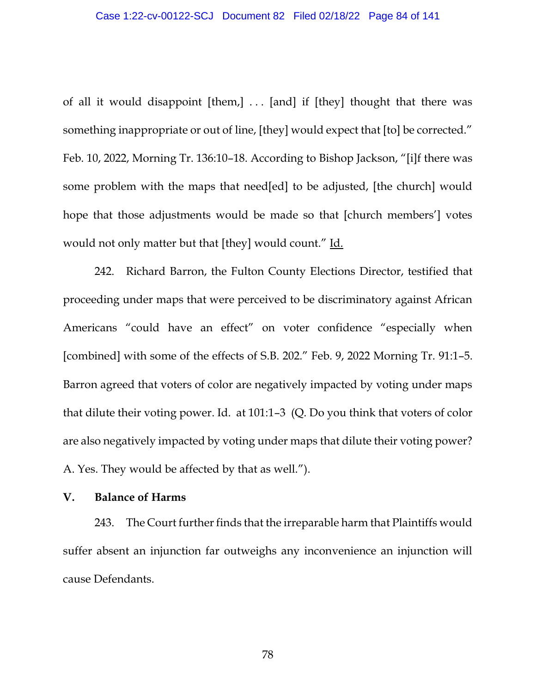of all it would disappoint [them,] ... [and] if [they] thought that there was something inappropriate or out of line, [they] would expect that [to] be corrected." Feb. 10, 2022, Morning Tr. 136:10–18. According to Bishop Jackson, "[i]f there was some problem with the maps that need[ed] to be adjusted, [the church] would hope that those adjustments would be made so that [church members'] votes would not only matter but that [they] would count." Id.

242. Richard Barron, the Fulton County Elections Director, testified that proceeding under maps that were perceived to be discriminatory against African Americans "could have an effect" on voter confidence "especially when [combined] with some of the effects of S.B. 202." Feb. 9, 2022 Morning Tr. 91:1–5. Barron agreed that voters of color are negatively impacted by voting under maps that dilute their voting power. Id. at 101:1–3 (Q. Do you think that voters of color are also negatively impacted by voting under maps that dilute their voting power? A. Yes. They would be affected by that as well.").

# **V. Balance of Harms**

243. The Court further finds that the irreparable harm that Plaintiffs would suffer absent an injunction far outweighs any inconvenience an injunction will cause Defendants.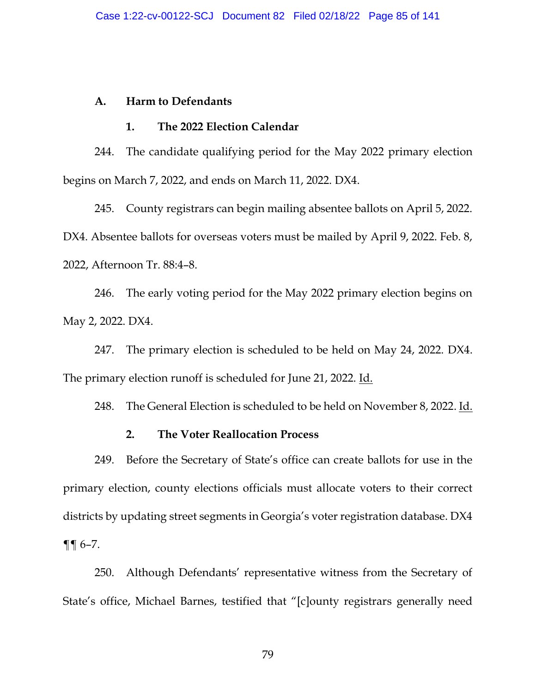## **A. Harm to Defendants**

### **1. The 2022 Election Calendar**

244. The candidate qualifying period for the May 2022 primary election begins on March 7, 2022, and ends on March 11, 2022. DX4.

245. County registrars can begin mailing absentee ballots on April 5, 2022. DX4. Absentee ballots for overseas voters must be mailed by April 9, 2022. Feb. 8, 2022, Afternoon Tr. 88:4–8.

246. The early voting period for the May 2022 primary election begins on May 2, 2022. DX4.

247. The primary election is scheduled to be held on May 24, 2022. DX4. The primary election runoff is scheduled for June 21, 2022. Id.

248. The General Election is scheduled to be held on November 8, 2022. Id.

# **2. The Voter Reallocation Process**

249. Before the Secretary of State's office can create ballots for use in the primary election, county elections officials must allocate voters to their correct districts by updating street segments in Georgia's voter registration database. DX4 ¶¶ 6–7.

250. Although Defendants' representative witness from the Secretary of State's office, Michael Barnes, testified that "[c]ounty registrars generally need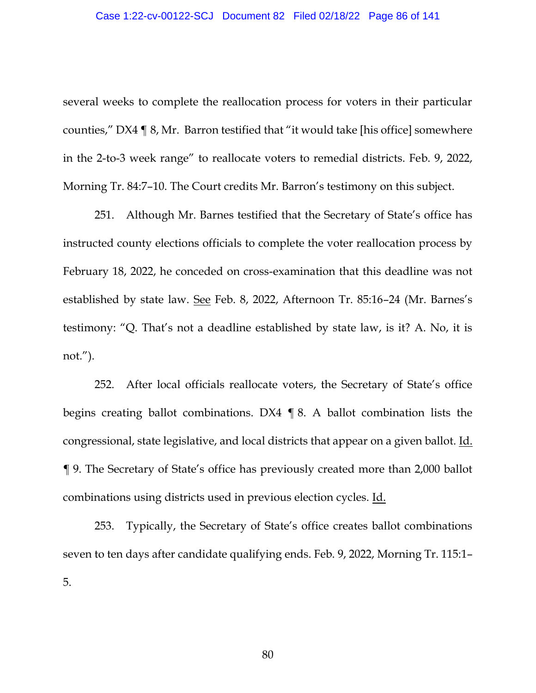several weeks to complete the reallocation process for voters in their particular counties," DX4 ¶ 8, Mr. Barron testified that "it would take [his office] somewhere in the 2-to-3 week range" to reallocate voters to remedial districts. Feb. 9, 2022, Morning Tr. 84:7–10. The Court credits Mr. Barron's testimony on this subject.

251. Although Mr. Barnes testified that the Secretary of State's office has instructed county elections officials to complete the voter reallocation process by February 18, 2022, he conceded on cross-examination that this deadline was not established by state law. See Feb. 8, 2022, Afternoon Tr. 85:16–24 (Mr. Barnes's testimony: "Q. That's not a deadline established by state law, is it? A. No, it is not.").

252. After local officials reallocate voters, the Secretary of State's office begins creating ballot combinations. DX4 ¶ 8. A ballot combination lists the congressional, state legislative, and local districts that appear on a given ballot. Id. ¶ 9. The Secretary of State's office has previously created more than 2,000 ballot combinations using districts used in previous election cycles. Id.

253. Typically, the Secretary of State's office creates ballot combinations seven to ten days after candidate qualifying ends. Feb. 9, 2022, Morning Tr. 115:1– 5.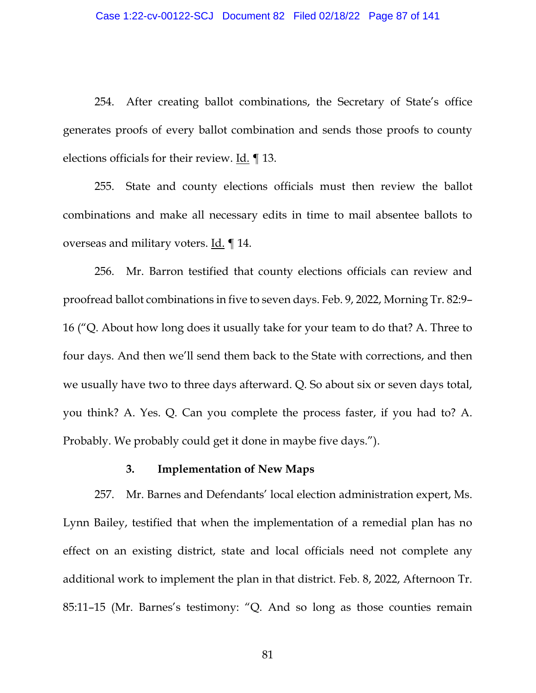254. After creating ballot combinations, the Secretary of State's office generates proofs of every ballot combination and sends those proofs to county elections officials for their review. Id. ¶ 13.

255. State and county elections officials must then review the ballot combinations and make all necessary edits in time to mail absentee ballots to overseas and military voters. Id. ¶ 14.

256. Mr. Barron testified that county elections officials can review and proofread ballot combinations in five to seven days. Feb. 9, 2022, Morning Tr. 82:9– 16 ("Q. About how long does it usually take for your team to do that? A. Three to four days. And then we'll send them back to the State with corrections, and then we usually have two to three days afterward. Q. So about six or seven days total, you think? A. Yes. Q. Can you complete the process faster, if you had to? A. Probably. We probably could get it done in maybe five days.").

#### **3. Implementation of New Maps**

257. Mr. Barnes and Defendants' local election administration expert, Ms. Lynn Bailey, testified that when the implementation of a remedial plan has no effect on an existing district, state and local officials need not complete any additional work to implement the plan in that district. Feb. 8, 2022, Afternoon Tr. 85:11–15 (Mr. Barnes's testimony: "Q. And so long as those counties remain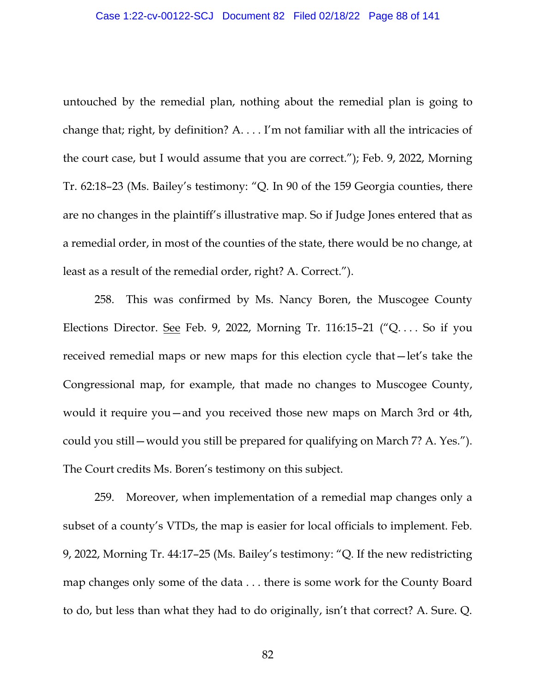untouched by the remedial plan, nothing about the remedial plan is going to change that; right, by definition? A. . . . I'm not familiar with all the intricacies of the court case, but I would assume that you are correct."); Feb. 9, 2022, Morning Tr. 62:18–23 (Ms. Bailey's testimony: "Q. In 90 of the 159 Georgia counties, there are no changes in the plaintiff's illustrative map. So if Judge Jones entered that as a remedial order, in most of the counties of the state, there would be no change, at least as a result of the remedial order, right? A. Correct.").

258. This was confirmed by Ms. Nancy Boren, the Muscogee County Elections Director. See Feb. 9, 2022, Morning Tr. 116:15–21 ("Q. . . . So if you received remedial maps or new maps for this election cycle that—let's take the Congressional map, for example, that made no changes to Muscogee County, would it require you—and you received those new maps on March 3rd or 4th, could you still—would you still be prepared for qualifying on March 7? A. Yes."). The Court credits Ms. Boren's testimony on this subject.

259. Moreover, when implementation of a remedial map changes only a subset of a county's VTDs, the map is easier for local officials to implement. Feb. 9, 2022, Morning Tr. 44:17–25 (Ms. Bailey's testimony: "Q. If the new redistricting map changes only some of the data . . . there is some work for the County Board to do, but less than what they had to do originally, isn't that correct? A. Sure. Q.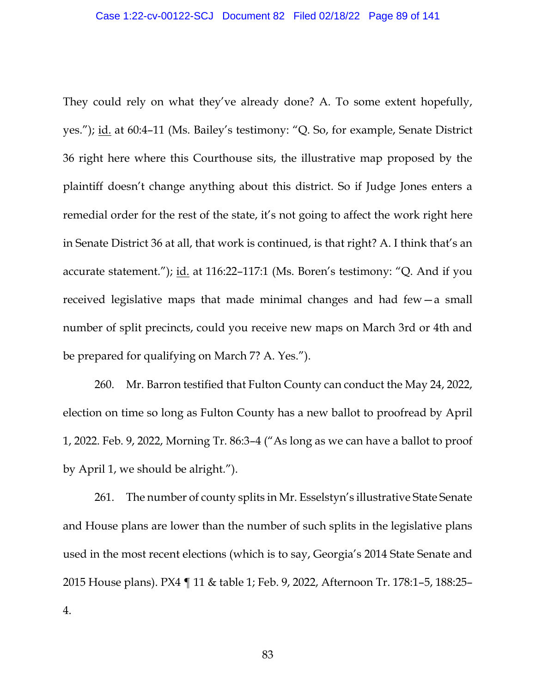They could rely on what they've already done? A. To some extent hopefully, yes."); id. at 60:4-11 (Ms. Bailey's testimony: "Q. So, for example, Senate District 36 right here where this Courthouse sits, the illustrative map proposed by the plaintiff doesn't change anything about this district. So if Judge Jones enters a remedial order for the rest of the state, it's not going to affect the work right here in Senate District 36 at all, that work is continued, is that right? A. I think that's an accurate statement."); id. at 116:22–117:1 (Ms. Boren's testimony: "Q. And if you received legislative maps that made minimal changes and had few—a small number of split precincts, could you receive new maps on March 3rd or 4th and be prepared for qualifying on March 7? A. Yes.").

260. Mr. Barron testified that Fulton County can conduct the May 24, 2022, election on time so long as Fulton County has a new ballot to proofread by April 1, 2022. Feb. 9, 2022, Morning Tr. 86:3–4 ("As long as we can have a ballot to proof by April 1, we should be alright.").

261. The number of county splits in Mr. Esselstyn's illustrative State Senate and House plans are lower than the number of such splits in the legislative plans used in the most recent elections (which is to say, Georgia's 2014 State Senate and 2015 House plans). PX4 ¶ 11 & table 1; Feb. 9, 2022, Afternoon Tr. 178:1–5, 188:25– 4.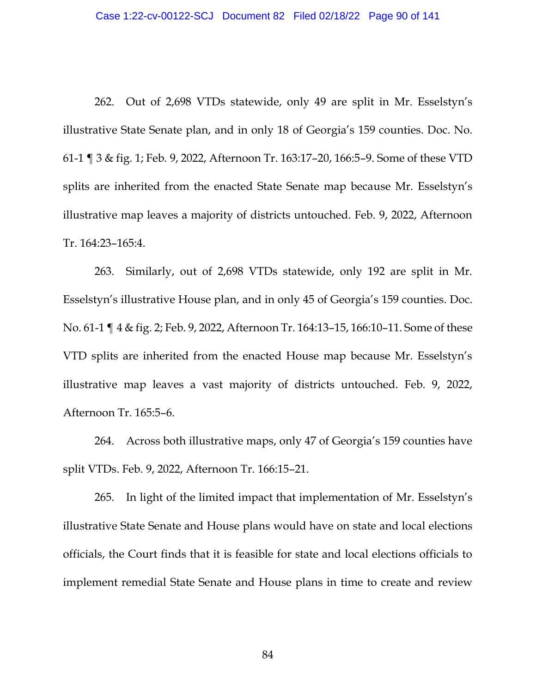262. Out of 2,698 VTDs statewide, only 49 are split in Mr. Esselstyn's illustrative State Senate plan, and in only 18 of Georgia's 159 counties. Doc. No. 61-1 ¶ 3 & fig. 1; Feb. 9, 2022, Afternoon Tr. 163:17–20, 166:5–9. Some of these VTD splits are inherited from the enacted State Senate map because Mr. Esselstyn's illustrative map leaves a majority of districts untouched. Feb. 9, 2022, Afternoon Tr. 164:23–165:4.

263. Similarly, out of 2,698 VTDs statewide, only 192 are split in Mr. Esselstyn's illustrative House plan, and in only 45 of Georgia's 159 counties. Doc. No. 61-1 ¶ 4 & fig. 2; Feb. 9, 2022, Afternoon Tr. 164:13–15, 166:10–11. Some of these VTD splits are inherited from the enacted House map because Mr. Esselstyn's illustrative map leaves a vast majority of districts untouched. Feb. 9, 2022, Afternoon Tr. 165:5–6.

264. Across both illustrative maps, only 47 of Georgia's 159 counties have split VTDs. Feb. 9, 2022, Afternoon Tr. 166:15–21.

265. In light of the limited impact that implementation of Mr. Esselstyn's illustrative State Senate and House plans would have on state and local elections officials, the Court finds that it is feasible for state and local elections officials to implement remedial State Senate and House plans in time to create and review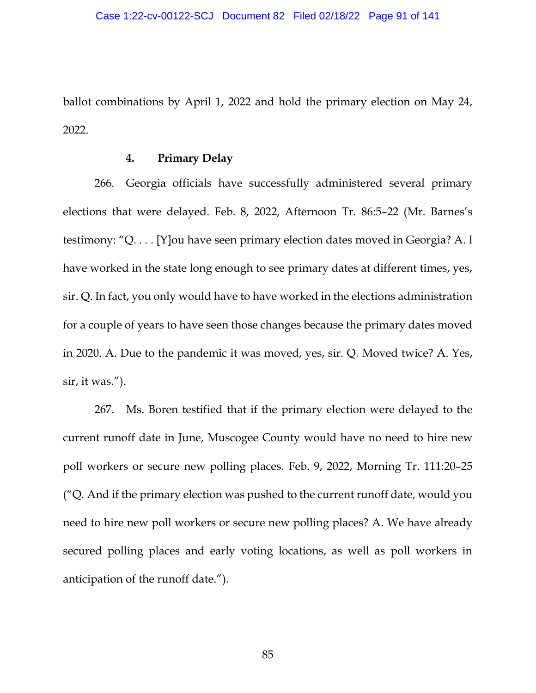ballot combinations by April 1, 2022 and hold the primary election on May 24, 2022.

### **4. Primary Delay**

266. Georgia officials have successfully administered several primary elections that were delayed. Feb. 8, 2022, Afternoon Tr. 86:5–22 (Mr. Barnes's testimony: "Q. . . . [Y]ou have seen primary election dates moved in Georgia? A. I have worked in the state long enough to see primary dates at different times, yes, sir. Q. In fact, you only would have to have worked in the elections administration for a couple of years to have seen those changes because the primary dates moved in 2020. A. Due to the pandemic it was moved, yes, sir. Q. Moved twice? A. Yes, sir, it was.").

267. Ms. Boren testified that if the primary election were delayed to the current runoff date in June, Muscogee County would have no need to hire new poll workers or secure new polling places. Feb. 9, 2022, Morning Tr. 111:20–25 ("Q. And if the primary election was pushed to the current runoff date, would you need to hire new poll workers or secure new polling places? A. We have already secured polling places and early voting locations, as well as poll workers in anticipation of the runoff date.").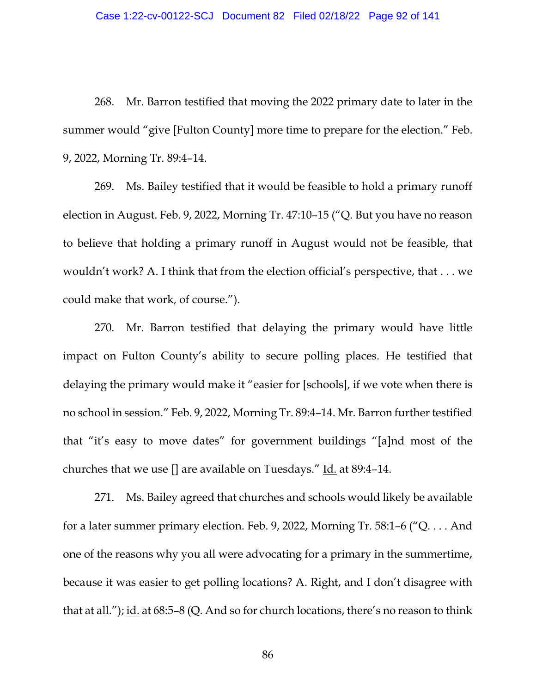268. Mr. Barron testified that moving the 2022 primary date to later in the summer would "give [Fulton County] more time to prepare for the election." Feb. 9, 2022, Morning Tr. 89:4–14.

269. Ms. Bailey testified that it would be feasible to hold a primary runoff election in August. Feb. 9, 2022, Morning Tr. 47:10–15 ("Q. But you have no reason to believe that holding a primary runoff in August would not be feasible, that wouldn't work? A. I think that from the election official's perspective, that . . . we could make that work, of course.").

270. Mr. Barron testified that delaying the primary would have little impact on Fulton County's ability to secure polling places. He testified that delaying the primary would make it "easier for [schools], if we vote when there is no school in session." Feb. 9, 2022, Morning Tr. 89:4–14. Mr. Barron further testified that "it's easy to move dates" for government buildings "[a]nd most of the churches that we use [] are available on Tuesdays." Id. at 89:4–14.

271. Ms. Bailey agreed that churches and schools would likely be available for a later summer primary election. Feb. 9, 2022, Morning Tr. 58:1–6 ("Q. . . . And one of the reasons why you all were advocating for a primary in the summertime, because it was easier to get polling locations? A. Right, and I don't disagree with that at all."); id. at 68:5–8 (Q. And so for church locations, there's no reason to think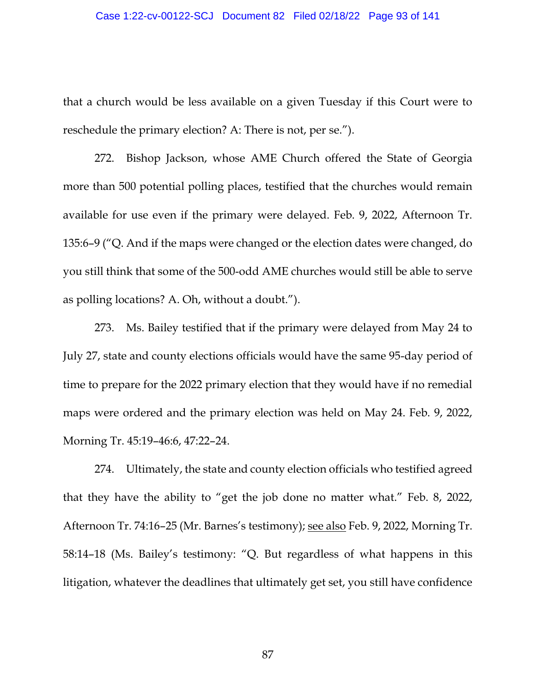#### Case 1:22-cv-00122-SCJ Document 82 Filed 02/18/22 Page 93 of 141

that a church would be less available on a given Tuesday if this Court were to reschedule the primary election? A: There is not, per se.").

272. Bishop Jackson, whose AME Church offered the State of Georgia more than 500 potential polling places, testified that the churches would remain available for use even if the primary were delayed. Feb. 9, 2022, Afternoon Tr. 135:6–9 ("Q. And if the maps were changed or the election dates were changed, do you still think that some of the 500-odd AME churches would still be able to serve as polling locations? A. Oh, without a doubt.").

273. Ms. Bailey testified that if the primary were delayed from May 24 to July 27, state and county elections officials would have the same 95-day period of time to prepare for the 2022 primary election that they would have if no remedial maps were ordered and the primary election was held on May 24. Feb. 9, 2022, Morning Tr. 45:19–46:6, 47:22–24.

274. Ultimately, the state and county election officials who testified agreed that they have the ability to "get the job done no matter what." Feb. 8, 2022, Afternoon Tr. 74:16–25 (Mr. Barnes's testimony); see also Feb. 9, 2022, Morning Tr. 58:14–18 (Ms. Bailey's testimony: "Q. But regardless of what happens in this litigation, whatever the deadlines that ultimately get set, you still have confidence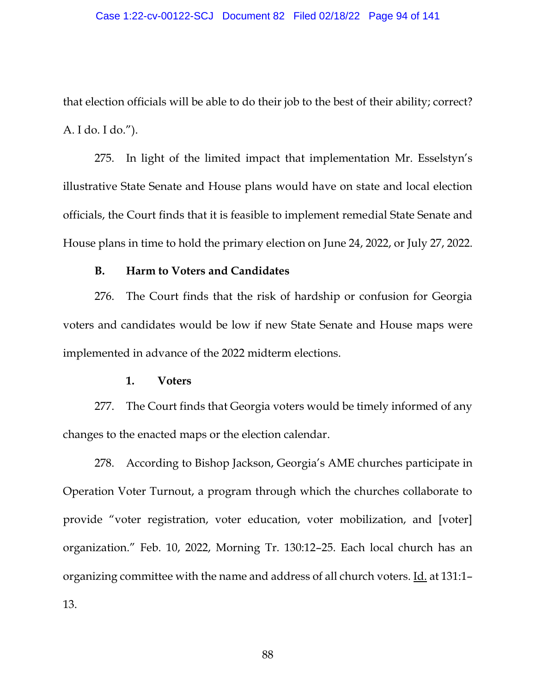that election officials will be able to do their job to the best of their ability; correct? A. I do. I do.").

275. In light of the limited impact that implementation Mr. Esselstyn's illustrative State Senate and House plans would have on state and local election officials, the Court finds that it is feasible to implement remedial State Senate and House plans in time to hold the primary election on June 24, 2022, or July 27, 2022.

#### **B. Harm to Voters and Candidates**

276. The Court finds that the risk of hardship or confusion for Georgia voters and candidates would be low if new State Senate and House maps were implemented in advance of the 2022 midterm elections.

#### **1. Voters**

277. The Court finds that Georgia voters would be timely informed of any changes to the enacted maps or the election calendar.

278. According to Bishop Jackson, Georgia's AME churches participate in Operation Voter Turnout, a program through which the churches collaborate to provide "voter registration, voter education, voter mobilization, and [voter] organization." Feb. 10, 2022, Morning Tr. 130:12–25. Each local church has an organizing committee with the name and address of all church voters. <u>Id.</u> at 131:1– 13.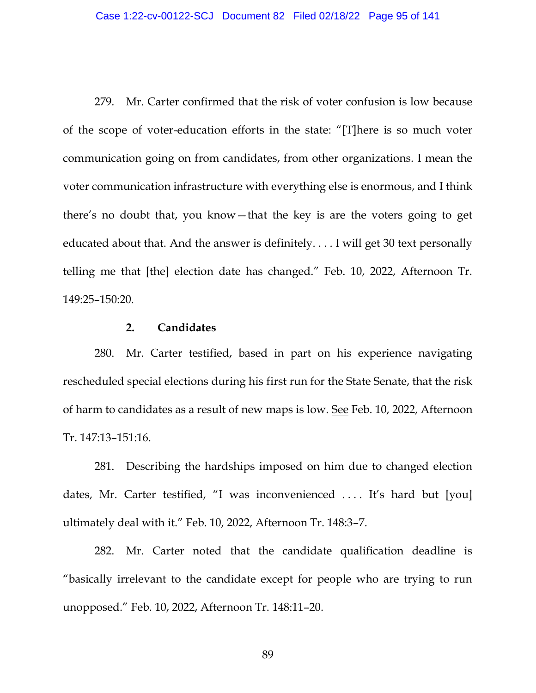279. Mr. Carter confirmed that the risk of voter confusion is low because of the scope of voter-education efforts in the state: "[T]here is so much voter communication going on from candidates, from other organizations. I mean the voter communication infrastructure with everything else is enormous, and I think there's no doubt that, you know—that the key is are the voters going to get educated about that. And the answer is definitely. . . . I will get 30 text personally telling me that [the] election date has changed." Feb. 10, 2022, Afternoon Tr. 149:25–150:20.

### **2. Candidates**

280. Mr. Carter testified, based in part on his experience navigating rescheduled special elections during his first run for the State Senate, that the risk of harm to candidates as a result of new maps is low. See Feb. 10, 2022, Afternoon Tr. 147:13–151:16.

281. Describing the hardships imposed on him due to changed election dates, Mr. Carter testified, "I was inconvenienced .... It's hard but [you] ultimately deal with it." Feb. 10, 2022, Afternoon Tr. 148:3–7.

282. Mr. Carter noted that the candidate qualification deadline is "basically irrelevant to the candidate except for people who are trying to run unopposed." Feb. 10, 2022, Afternoon Tr. 148:11–20.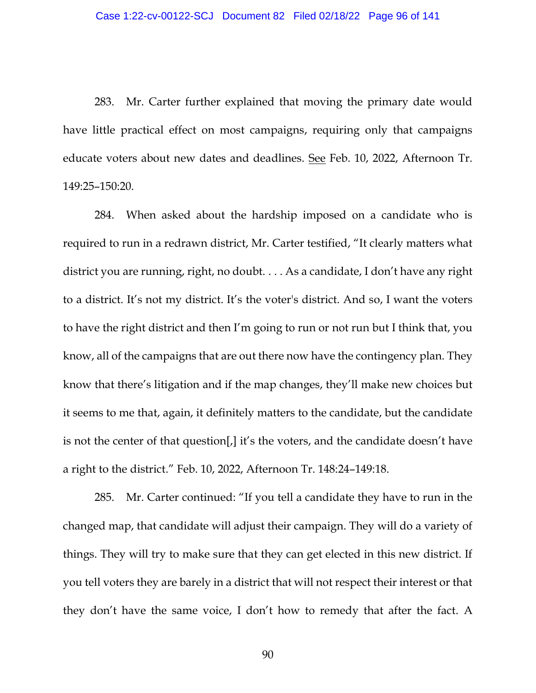283. Mr. Carter further explained that moving the primary date would have little practical effect on most campaigns, requiring only that campaigns educate voters about new dates and deadlines. See Feb. 10, 2022, Afternoon Tr. 149:25–150:20.

284. When asked about the hardship imposed on a candidate who is required to run in a redrawn district, Mr. Carter testified, "It clearly matters what district you are running, right, no doubt. . . . As a candidate, I don't have any right to a district. It's not my district. It's the voter's district. And so, I want the voters to have the right district and then I'm going to run or not run but I think that, you know, all of the campaigns that are out there now have the contingency plan. They know that there's litigation and if the map changes, they'll make new choices but it seems to me that, again, it definitely matters to the candidate, but the candidate is not the center of that question[,] it's the voters, and the candidate doesn't have a right to the district." Feb. 10, 2022, Afternoon Tr. 148:24–149:18.

285. Mr. Carter continued: "If you tell a candidate they have to run in the changed map, that candidate will adjust their campaign. They will do a variety of things. They will try to make sure that they can get elected in this new district. If you tell voters they are barely in a district that will not respect their interest or that they don't have the same voice, I don't how to remedy that after the fact. A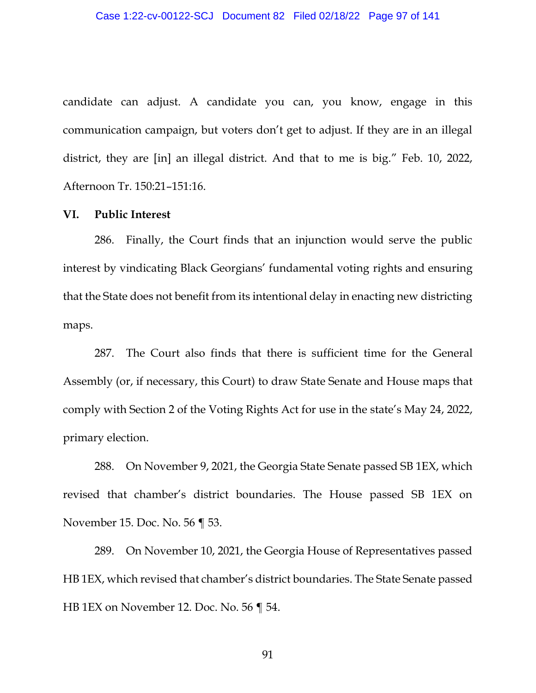candidate can adjust. A candidate you can, you know, engage in this communication campaign, but voters don't get to adjust. If they are in an illegal district, they are [in] an illegal district. And that to me is big." Feb. 10, 2022, Afternoon Tr. 150:21–151:16.

#### **VI. Public Interest**

286. Finally, the Court finds that an injunction would serve the public interest by vindicating Black Georgians' fundamental voting rights and ensuring that the State does not benefit from its intentional delay in enacting new districting maps.

287. The Court also finds that there is sufficient time for the General Assembly (or, if necessary, this Court) to draw State Senate and House maps that comply with Section 2 of the Voting Rights Act for use in the state's May 24, 2022, primary election.

288. On November 9, 2021, the Georgia State Senate passed SB 1EX, which revised that chamber's district boundaries. The House passed SB 1EX on November 15. Doc. No. 56 ¶ 53.

289. On November 10, 2021, the Georgia House of Representatives passed HB 1EX, which revised that chamber's district boundaries. The State Senate passed HB 1EX on November 12. Doc. No. 56 ¶ 54.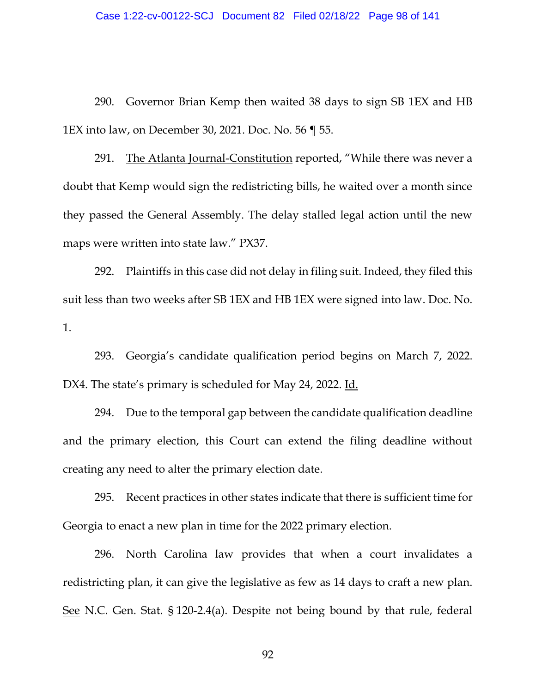290. Governor Brian Kemp then waited 38 days to sign SB 1EX and HB 1EX into law, on December 30, 2021. Doc. No. 56 ¶ 55.

291. The Atlanta Journal-Constitution reported, "While there was never a doubt that Kemp would sign the redistricting bills, he waited over a month since they passed the General Assembly. The delay stalled legal action until the new maps were written into state law." PX37.

292. Plaintiffs in this case did not delay in filing suit. Indeed, they filed this suit less than two weeks after SB 1EX and HB 1EX were signed into law. Doc. No. 1.

293. Georgia's candidate qualification period begins on March 7, 2022. DX4. The state's primary is scheduled for May 24, 2022. Id.

294. Due to the temporal gap between the candidate qualification deadline and the primary election, this Court can extend the filing deadline without creating any need to alter the primary election date.

295. Recent practices in other states indicate that there is sufficient time for Georgia to enact a new plan in time for the 2022 primary election.

296. North Carolina law provides that when a court invalidates a redistricting plan, it can give the legislative as few as 14 days to craft a new plan. See N.C. Gen. Stat. § 120-2.4(a). Despite not being bound by that rule, federal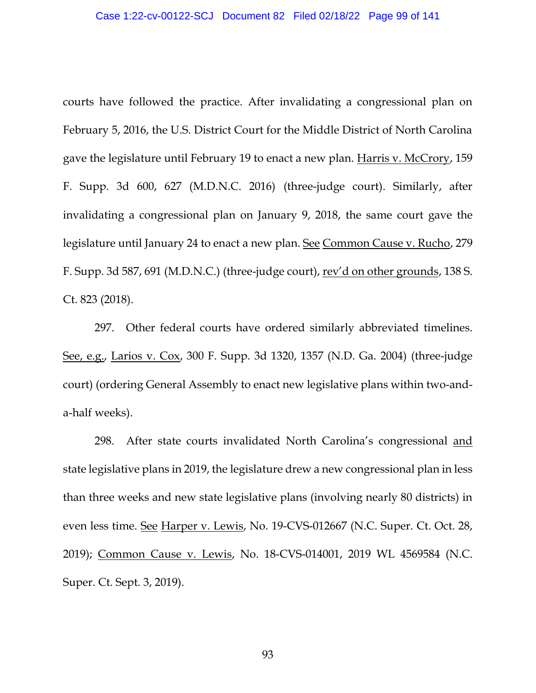courts have followed the practice. After invalidating a congressional plan on February 5, 2016, the U.S. District Court for the Middle District of North Carolina gave the legislature until February 19 to enact a new plan. Harris v. McCrory, 159 F. Supp. 3d 600, 627 (M.D.N.C. 2016) (three-judge court). Similarly, after invalidating a congressional plan on January 9, 2018, the same court gave the legislature until January 24 to enact a new plan. See Common Cause v. Rucho, 279 F. Supp. 3d 587, 691 (M.D.N.C.) (three-judge court), rev'd on other grounds, 138 S. Ct. 823 (2018).

297. Other federal courts have ordered similarly abbreviated timelines. See, e.g., Larios v. Cox, 300 F. Supp. 3d 1320, 1357 (N.D. Ga. 2004) (three-judge court) (ordering General Assembly to enact new legislative plans within two-anda-half weeks).

298. After state courts invalidated North Carolina's congressional and state legislative plans in 2019, the legislature drew a new congressional plan in less than three weeks and new state legislative plans (involving nearly 80 districts) in even less time. See Harper v. Lewis, No. 19-CVS-012667 (N.C. Super. Ct. Oct. 28, 2019); Common Cause v. Lewis, No. 18-CVS-014001, 2019 WL 4569584 (N.C. Super. Ct. Sept. 3, 2019).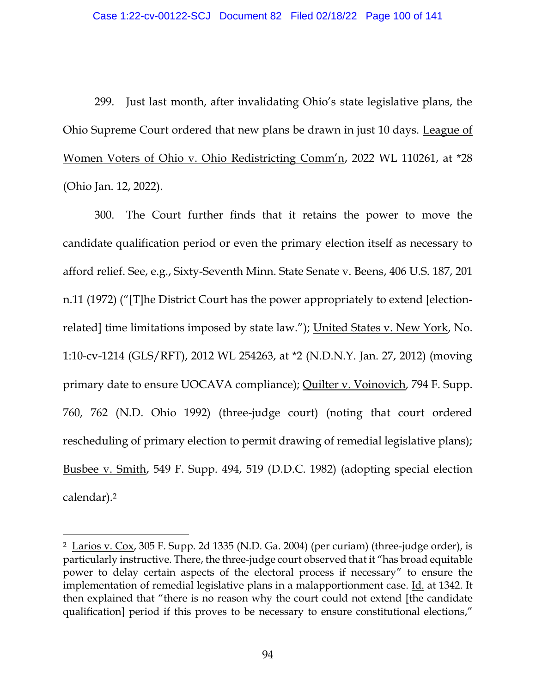299. Just last month, after invalidating Ohio's state legislative plans, the Ohio Supreme Court ordered that new plans be drawn in just 10 days. League of Women Voters of Ohio v. Ohio Redistricting Comm'n, 2022 WL 110261, at \*28 (Ohio Jan. 12, 2022).

300. The Court further finds that it retains the power to move the candidate qualification period or even the primary election itself as necessary to afford relief. See, e.g., Sixty-Seventh Minn. State Senate v. Beens, 406 U.S. 187, 201 n.11 (1972) ("[T]he District Court has the power appropriately to extend [electionrelated] time limitations imposed by state law."); United States v. New York, No. 1:10-cv-1214 (GLS/RFT), 2012 WL 254263, at \*2 (N.D.N.Y. Jan. 27, 2012) (moving primary date to ensure UOCAVA compliance); Quilter v. Voinovich, 794 F. Supp. 760, 762 (N.D. Ohio 1992) (three-judge court) (noting that court ordered rescheduling of primary election to permit drawing of remedial legislative plans); Busbee v. Smith, 549 F. Supp. 494, 519 (D.D.C. 1982) (adopting special election calendar). 2

<sup>2</sup> Larios v. Cox, 305 F. Supp. 2d 1335 (N.D. Ga. 2004) (per curiam) (three-judge order), is particularly instructive. There, the three-judge court observed that it "has broad equitable power to delay certain aspects of the electoral process if necessary" to ensure the implementation of remedial legislative plans in a malapportionment case. Id. at 1342. It then explained that "there is no reason why the court could not extend [the candidate qualification] period if this proves to be necessary to ensure constitutional elections,"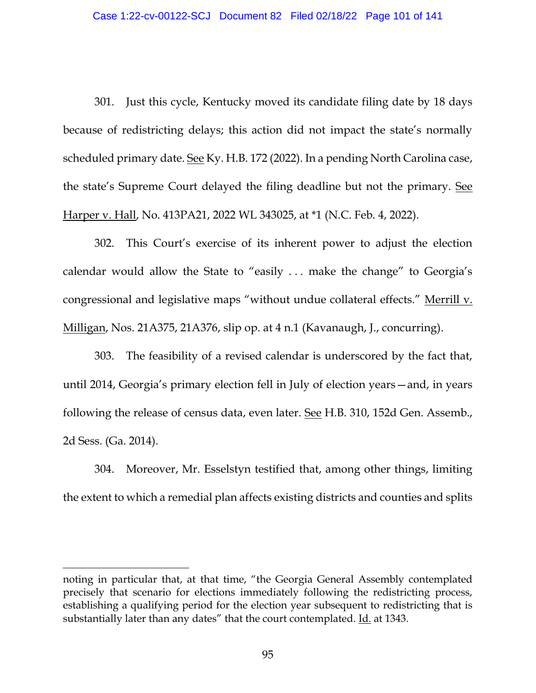301. Just this cycle, Kentucky moved its candidate filing date by 18 days because of redistricting delays; this action did not impact the state's normally scheduled primary date. See Ky. H.B. 172 (2022). In a pending North Carolina case, the state's Supreme Court delayed the filing deadline but not the primary. See Harper v. Hall, No. 413PA21, 2022 WL 343025, at \*1 (N.C. Feb. 4, 2022).

302. This Court's exercise of its inherent power to adjust the election calendar would allow the State to "easily . . . make the change" to Georgia's congressional and legislative maps "without undue collateral effects." Merrill v. Milligan, Nos. 21A375, 21A376, slip op. at 4 n.1 (Kavanaugh, J., concurring).

303. The feasibility of a revised calendar is underscored by the fact that, until 2014, Georgia's primary election fell in July of election years—and, in years following the release of census data, even later. See H.B. 310, 152d Gen. Assemb., 2d Sess. (Ga. 2014).

304. Moreover, Mr. Esselstyn testified that, among other things, limiting the extent to which a remedial plan affects existing districts and counties and splits

noting in particular that, at that time, "the Georgia General Assembly contemplated precisely that scenario for elections immediately following the redistricting process, establishing a qualifying period for the election year subsequent to redistricting that is substantially later than any dates" that the court contemplated. Id. at 1343.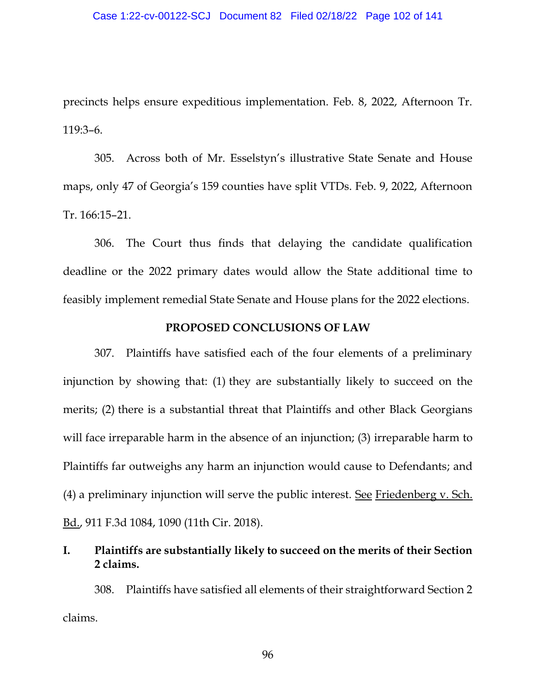precincts helps ensure expeditious implementation. Feb. 8, 2022, Afternoon Tr. 119:3–6.

305. Across both of Mr. Esselstyn's illustrative State Senate and House maps, only 47 of Georgia's 159 counties have split VTDs. Feb. 9, 2022, Afternoon Tr. 166:15–21.

306. The Court thus finds that delaying the candidate qualification deadline or the 2022 primary dates would allow the State additional time to feasibly implement remedial State Senate and House plans for the 2022 elections.

### **PROPOSED CONCLUSIONS OF LAW**

307. Plaintiffs have satisfied each of the four elements of a preliminary injunction by showing that: (1) they are substantially likely to succeed on the merits; (2) there is a substantial threat that Plaintiffs and other Black Georgians will face irreparable harm in the absence of an injunction; (3) irreparable harm to Plaintiffs far outweighs any harm an injunction would cause to Defendants; and (4) a preliminary injunction will serve the public interest. See Friedenberg  $v$ . Sch. Bd., 911 F.3d 1084, 1090 (11th Cir. 2018).

# **I. Plaintiffs are substantially likely to succeed on the merits of their Section 2 claims.**

308. Plaintiffs have satisfied all elements of their straightforward Section 2 claims.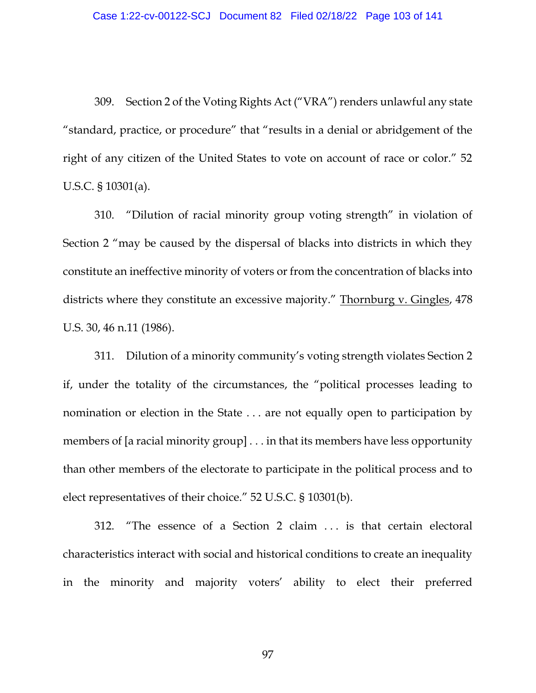309. Section 2 of the Voting Rights Act ("VRA") renders unlawful any state "standard, practice, or procedure" that "results in a denial or abridgement of the right of any citizen of the United States to vote on account of race or color." 52 U.S.C. § 10301(a).

310. "Dilution of racial minority group voting strength" in violation of Section 2 "may be caused by the dispersal of blacks into districts in which they constitute an ineffective minority of voters or from the concentration of blacks into districts where they constitute an excessive majority." Thornburg v. Gingles, 478 U.S. 30, 46 n.11 (1986).

311. Dilution of a minority community's voting strength violates Section 2 if, under the totality of the circumstances, the "political processes leading to nomination or election in the State . . . are not equally open to participation by members of [a racial minority group] . . . in that its members have less opportunity than other members of the electorate to participate in the political process and to elect representatives of their choice." 52 U.S.C. § 10301(b).

312. "The essence of a Section 2 claim ... is that certain electoral characteristics interact with social and historical conditions to create an inequality in the minority and majority voters' ability to elect their preferred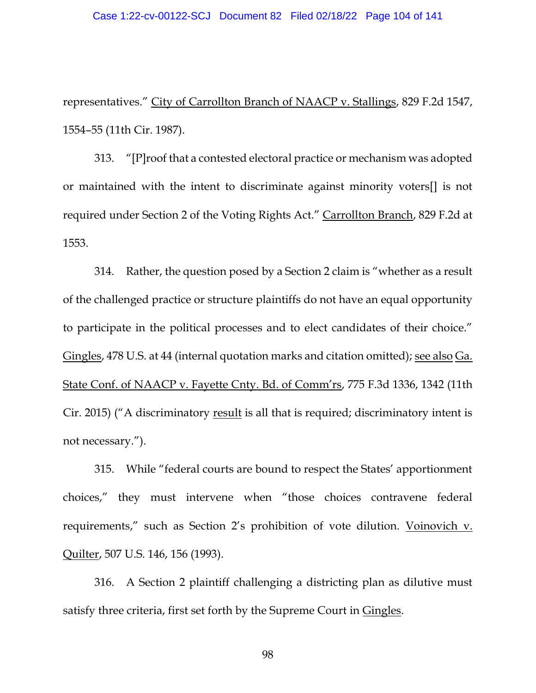representatives." City of Carrollton Branch of NAACP v. Stallings, 829 F.2d 1547, 1554–55 (11th Cir. 1987).

313. "[P]roof that a contested electoral practice or mechanism was adopted or maintained with the intent to discriminate against minority voters[] is not required under Section 2 of the Voting Rights Act." Carrollton Branch, 829 F.2d at 1553.

314. Rather, the question posed by a Section 2 claim is "whether as a result of the challenged practice or structure plaintiffs do not have an equal opportunity to participate in the political processes and to elect candidates of their choice." Gingles, 478 U.S. at 44 (internal quotation marks and citation omitted); see also Ga. State Conf. of NAACP v. Fayette Cnty. Bd. of Comm'rs, 775 F.3d 1336, 1342 (11th Cir. 2015) ("A discriminatory result is all that is required; discriminatory intent is not necessary.").

315. While "federal courts are bound to respect the States' apportionment choices," they must intervene when "those choices contravene federal requirements," such as Section 2's prohibition of vote dilution. Voinovich v. Quilter, 507 U.S. 146, 156 (1993).

316. A Section 2 plaintiff challenging a districting plan as dilutive must satisfy three criteria, first set forth by the Supreme Court in Gingles.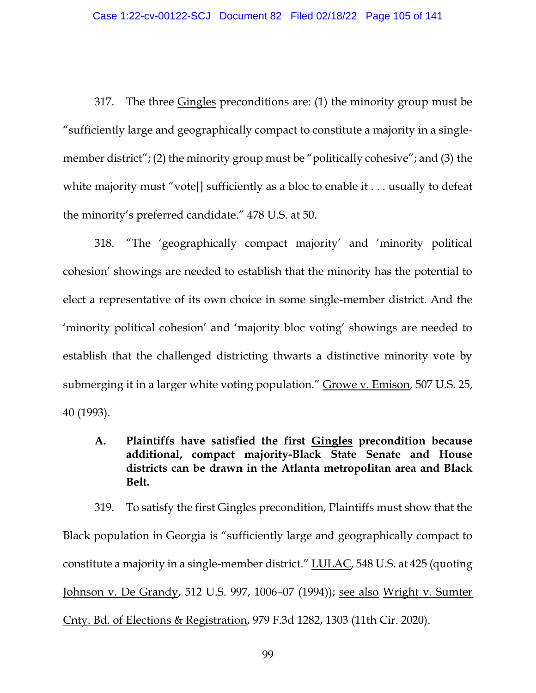317. The three Gingles preconditions are: (1) the minority group must be "sufficiently large and geographically compact to constitute a majority in a singlemember district"; (2) the minority group must be "politically cohesive"; and (3) the white majority must "vote[] sufficiently as a bloc to enable it . . . usually to defeat the minority's preferred candidate." 478 U.S. at 50.

318. "The 'geographically compact majority' and 'minority political cohesion' showings are needed to establish that the minority has the potential to elect a representative of its own choice in some single-member district. And the 'minority political cohesion' and 'majority bloc voting' showings are needed to establish that the challenged districting thwarts a distinctive minority vote by submerging it in a larger white voting population." Growe v. Emison, 507 U.S. 25, 40 (1993).

**A. Plaintiffs have satisfied the first Gingles precondition because additional, compact majority-Black State Senate and House districts can be drawn in the Atlanta metropolitan area and Black Belt.**

319. To satisfy the first Gingles precondition, Plaintiffs must show that the Black population in Georgia is "sufficiently large and geographically compact to constitute a majority in a single-member district." LULAC, 548 U.S. at 425 (quoting Johnson v. De Grandy, 512 U.S. 997, 1006–07 (1994)); see also Wright v. Sumter Cnty. Bd. of Elections & Registration, 979 F.3d 1282, 1303 (11th Cir. 2020).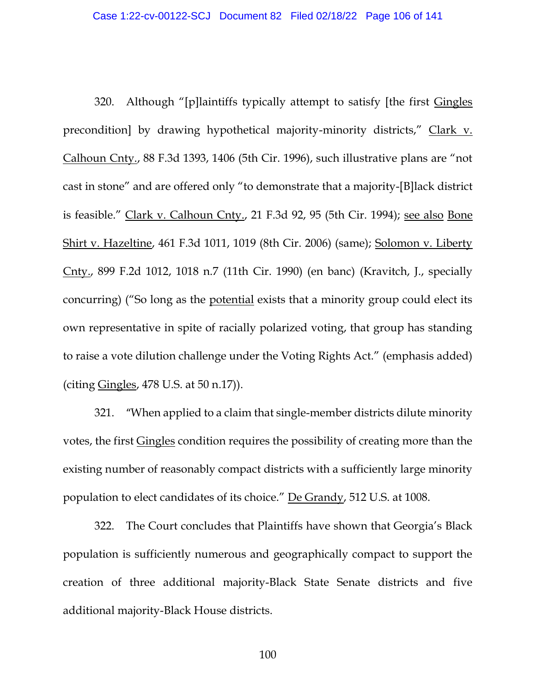320. Although "[p]laintiffs typically attempt to satisfy [the first Gingles precondition] by drawing hypothetical majority-minority districts," Clark v. Calhoun Cnty., 88 F.3d 1393, 1406 (5th Cir. 1996), such illustrative plans are "not cast in stone" and are offered only "to demonstrate that a majority-[B]lack district is feasible." Clark v. Calhoun Cnty., 21 F.3d 92, 95 (5th Cir. 1994); see also Bone Shirt v. Hazeltine, 461 F.3d 1011, 1019 (8th Cir. 2006) (same); Solomon v. Liberty Cnty., 899 F.2d 1012, 1018 n.7 (11th Cir. 1990) (en banc) (Kravitch, J., specially concurring) ("So long as the potential exists that a minority group could elect its own representative in spite of racially polarized voting, that group has standing to raise a vote dilution challenge under the Voting Rights Act." (emphasis added) (citing Gingles, 478 U.S. at 50 n.17)).

321. "When applied to a claim that single-member districts dilute minority votes, the first Gingles condition requires the possibility of creating more than the existing number of reasonably compact districts with a sufficiently large minority population to elect candidates of its choice." De Grandy, 512 U.S. at 1008.

322. The Court concludes that Plaintiffs have shown that Georgia's Black population is sufficiently numerous and geographically compact to support the creation of three additional majority-Black State Senate districts and five additional majority-Black House districts.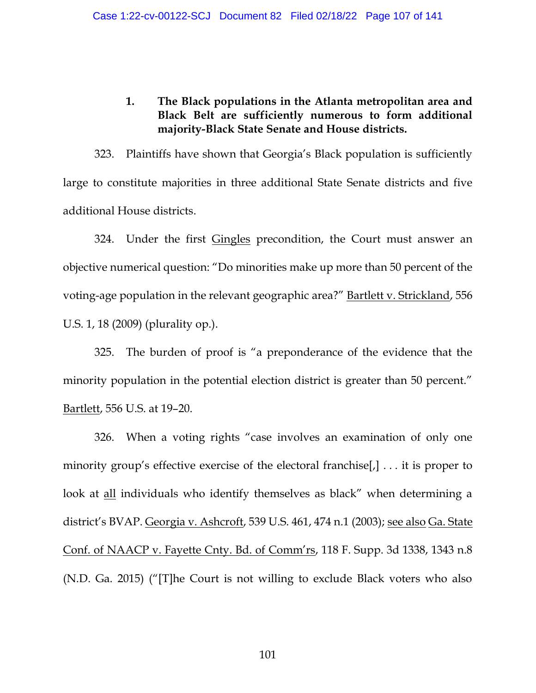# **1. The Black populations in the Atlanta metropolitan area and Black Belt are sufficiently numerous to form additional majority-Black State Senate and House districts.**

323. Plaintiffs have shown that Georgia's Black population is sufficiently large to constitute majorities in three additional State Senate districts and five additional House districts.

324. Under the first Gingles precondition, the Court must answer an objective numerical question: "Do minorities make up more than 50 percent of the voting-age population in the relevant geographic area?" Bartlett v. Strickland, 556 U.S. 1, 18 (2009) (plurality op.).

325. The burden of proof is "a preponderance of the evidence that the minority population in the potential election district is greater than 50 percent." Bartlett, 556 U.S. at 19–20.

326. When a voting rights "case involves an examination of only one minority group's effective exercise of the electoral franchise[,] ... it is proper to look at all individuals who identify themselves as black" when determining a district's BVAP. Georgia v. Ashcroft, 539 U.S. 461, 474 n.1 (2003); see also Ga. State Conf. of NAACP v. Fayette Cnty. Bd. of Comm'rs, 118 F. Supp. 3d 1338, 1343 n.8 (N.D. Ga. 2015) ("[T]he Court is not willing to exclude Black voters who also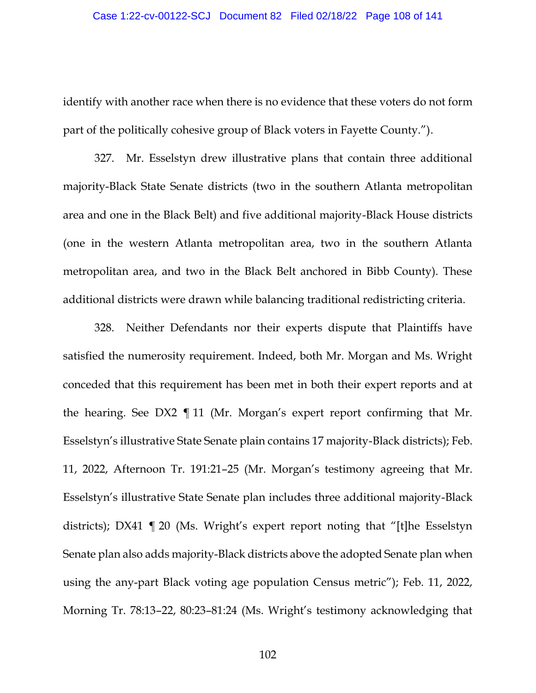identify with another race when there is no evidence that these voters do not form part of the politically cohesive group of Black voters in Fayette County.").

327. Mr. Esselstyn drew illustrative plans that contain three additional majority-Black State Senate districts (two in the southern Atlanta metropolitan area and one in the Black Belt) and five additional majority-Black House districts (one in the western Atlanta metropolitan area, two in the southern Atlanta metropolitan area, and two in the Black Belt anchored in Bibb County). These additional districts were drawn while balancing traditional redistricting criteria.

328. Neither Defendants nor their experts dispute that Plaintiffs have satisfied the numerosity requirement. Indeed, both Mr. Morgan and Ms. Wright conceded that this requirement has been met in both their expert reports and at the hearing. See DX2 ¶ 11 (Mr. Morgan's expert report confirming that Mr. Esselstyn's illustrative State Senate plain contains 17 majority-Black districts); Feb. 11, 2022, Afternoon Tr. 191:21–25 (Mr. Morgan's testimony agreeing that Mr. Esselstyn's illustrative State Senate plan includes three additional majority-Black districts); DX41 ¶ 20 (Ms. Wright's expert report noting that "[t]he Esselstyn Senate plan also adds majority-Black districts above the adopted Senate plan when using the any-part Black voting age population Census metric"); Feb. 11, 2022, Morning Tr. 78:13–22, 80:23–81:24 (Ms. Wright's testimony acknowledging that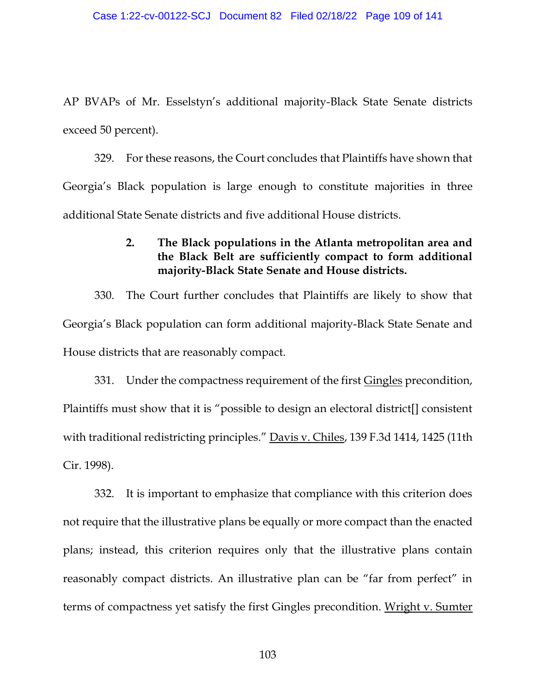AP BVAPs of Mr. Esselstyn's additional majority-Black State Senate districts exceed 50 percent).

329. For these reasons, the Court concludes that Plaintiffs have shown that Georgia's Black population is large enough to constitute majorities in three additional State Senate districts and five additional House districts.

## **2. The Black populations in the Atlanta metropolitan area and the Black Belt are sufficiently compact to form additional majority-Black State Senate and House districts.**

330. The Court further concludes that Plaintiffs are likely to show that Georgia's Black population can form additional majority-Black State Senate and House districts that are reasonably compact.

331. Under the compactness requirement of the first Gingles precondition, Plaintiffs must show that it is "possible to design an electoral district[] consistent with traditional redistricting principles." Davis v. Chiles, 139 F.3d 1414, 1425 (11th Cir. 1998).

332. It is important to emphasize that compliance with this criterion does not require that the illustrative plans be equally or more compact than the enacted plans; instead, this criterion requires only that the illustrative plans contain reasonably compact districts. An illustrative plan can be "far from perfect" in terms of compactness yet satisfy the first Gingles precondition. Wright v. Sumter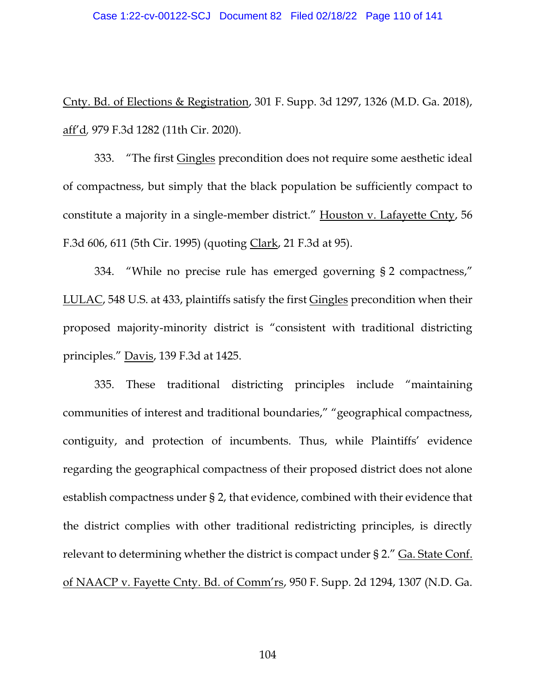#### Case 1:22-cv-00122-SCJ Document 82 Filed 02/18/22 Page 110 of 141

Cnty. Bd. of Elections & Registration, 301 F. Supp. 3d 1297, 1326 (M.D. Ga. 2018), aff'd*,* 979 F.3d 1282 (11th Cir. 2020).

333. "The first Gingles precondition does not require some aesthetic ideal of compactness, but simply that the black population be sufficiently compact to constitute a majority in a single-member district." Houston v. Lafayette Cnty, 56 F.3d 606, 611 (5th Cir. 1995) (quoting Clark, 21 F.3d at 95).

334. "While no precise rule has emerged governing § 2 compactness," LULAC, 548 U.S. at 433, plaintiffs satisfy the first Gingles precondition when their proposed majority-minority district is "consistent with traditional districting principles." Davis, 139 F.3d at 1425.

335. These traditional districting principles include "maintaining communities of interest and traditional boundaries," "geographical compactness, contiguity, and protection of incumbents. Thus, while Plaintiffs' evidence regarding the geographical compactness of their proposed district does not alone establish compactness under § 2, that evidence, combined with their evidence that the district complies with other traditional redistricting principles, is directly relevant to determining whether the district is compact under § 2." Ga. State Conf. of NAACP v. Fayette Cnty. Bd. of Comm'rs, 950 F. Supp. 2d 1294, 1307 (N.D. Ga.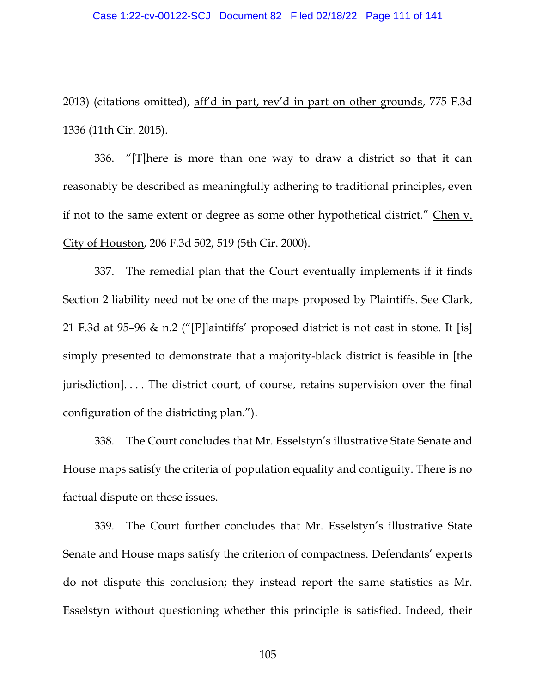2013) (citations omitted), aff'd in part, rev'd in part on other grounds, 775 F.3d 1336 (11th Cir. 2015).

336. "[T]here is more than one way to draw a district so that it can reasonably be described as meaningfully adhering to traditional principles, even if not to the same extent or degree as some other hypothetical district." Chen v. City of Houston, 206 F.3d 502, 519 (5th Cir. 2000).

337. The remedial plan that the Court eventually implements if it finds Section 2 liability need not be one of the maps proposed by Plaintiffs. See Clark, 21 F.3d at 95–96 & n.2 ("[P]laintiffs' proposed district is not cast in stone. It [is] simply presented to demonstrate that a majority-black district is feasible in [the jurisdiction]. . . . The district court, of course, retains supervision over the final configuration of the districting plan.").

338. The Court concludes that Mr. Esselstyn's illustrative State Senate and House maps satisfy the criteria of population equality and contiguity. There is no factual dispute on these issues.

339. The Court further concludes that Mr. Esselstyn's illustrative State Senate and House maps satisfy the criterion of compactness. Defendants' experts do not dispute this conclusion; they instead report the same statistics as Mr. Esselstyn without questioning whether this principle is satisfied. Indeed, their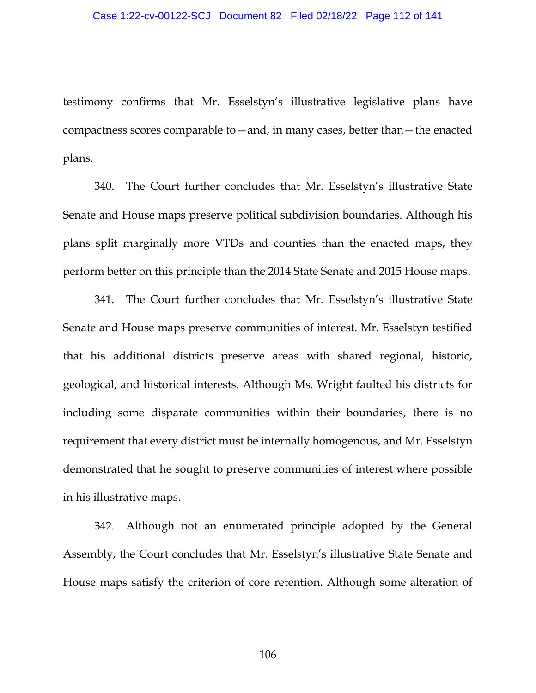testimony confirms that Mr. Esselstyn's illustrative legislative plans have compactness scores comparable to—and, in many cases, better than—the enacted plans.

340. The Court further concludes that Mr. Esselstyn's illustrative State Senate and House maps preserve political subdivision boundaries. Although his plans split marginally more VTDs and counties than the enacted maps, they perform better on this principle than the 2014 State Senate and 2015 House maps.

341. The Court further concludes that Mr. Esselstyn's illustrative State Senate and House maps preserve communities of interest. Mr. Esselstyn testified that his additional districts preserve areas with shared regional, historic, geological, and historical interests. Although Ms. Wright faulted his districts for including some disparate communities within their boundaries, there is no requirement that every district must be internally homogenous, and Mr. Esselstyn demonstrated that he sought to preserve communities of interest where possible in his illustrative maps.

342. Although not an enumerated principle adopted by the General Assembly, the Court concludes that Mr. Esselstyn's illustrative State Senate and House maps satisfy the criterion of core retention. Although some alteration of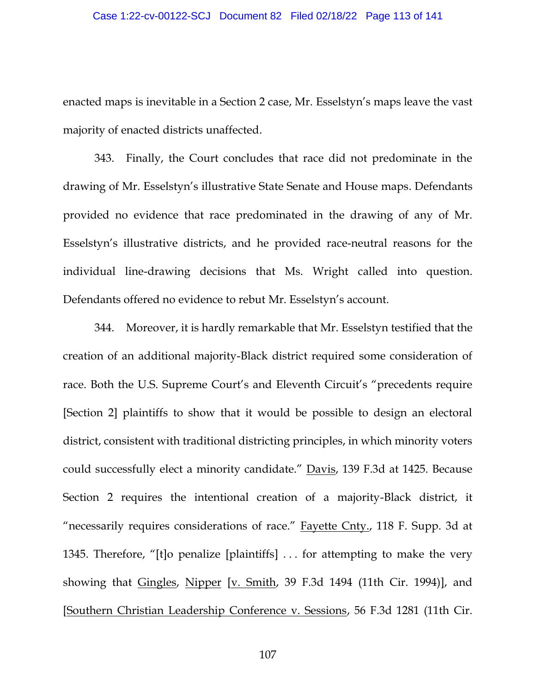#### Case 1:22-cv-00122-SCJ Document 82 Filed 02/18/22 Page 113 of 141

enacted maps is inevitable in a Section 2 case, Mr. Esselstyn's maps leave the vast majority of enacted districts unaffected.

343. Finally, the Court concludes that race did not predominate in the drawing of Mr. Esselstyn's illustrative State Senate and House maps. Defendants provided no evidence that race predominated in the drawing of any of Mr. Esselstyn's illustrative districts, and he provided race-neutral reasons for the individual line-drawing decisions that Ms. Wright called into question. Defendants offered no evidence to rebut Mr. Esselstyn's account.

344. Moreover, it is hardly remarkable that Mr. Esselstyn testified that the creation of an additional majority-Black district required some consideration of race. Both the U.S. Supreme Court's and Eleventh Circuit's "precedents require [Section 2] plaintiffs to show that it would be possible to design an electoral district, consistent with traditional districting principles, in which minority voters could successfully elect a minority candidate." Davis, 139 F.3d at 1425. Because Section 2 requires the intentional creation of a majority-Black district, it "necessarily requires considerations of race." Fayette Cnty., 118 F. Supp. 3d at 1345. Therefore, "[t]o penalize [plaintiffs] . . . for attempting to make the very showing that Gingles, Nipper [v. Smith, 39 F.3d 1494 (11th Cir. 1994)], and [Southern Christian Leadership Conference v. Sessions, 56 F.3d 1281 (11th Cir.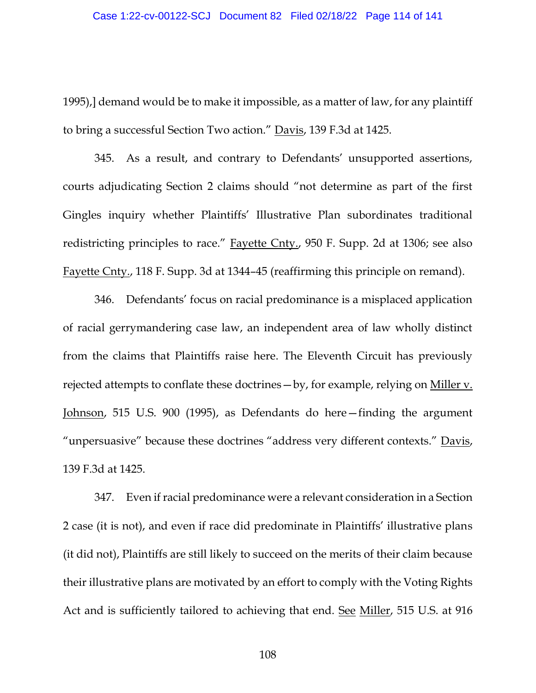1995),] demand would be to make it impossible, as a matter of law, for any plaintiff to bring a successful Section Two action." Davis, 139 F.3d at 1425.

345. As a result, and contrary to Defendants' unsupported assertions, courts adjudicating Section 2 claims should "not determine as part of the first Gingles inquiry whether Plaintiffs' Illustrative Plan subordinates traditional redistricting principles to race." Fayette Cnty., 950 F. Supp. 2d at 1306; see also Fayette Cnty., 118 F. Supp. 3d at 1344–45 (reaffirming this principle on remand).

346. Defendants' focus on racial predominance is a misplaced application of racial gerrymandering case law, an independent area of law wholly distinct from the claims that Plaintiffs raise here. The Eleventh Circuit has previously rejected attempts to conflate these doctrines—by, for example, relying on Miller v. Johnson, 515 U.S. 900 (1995), as Defendants do here—finding the argument "unpersuasive" because these doctrines "address very different contexts." Davis, 139 F.3d at 1425.

347. Even if racial predominance were a relevant consideration in a Section 2 case (it is not), and even if race did predominate in Plaintiffs' illustrative plans (it did not), Plaintiffs are still likely to succeed on the merits of their claim because their illustrative plans are motivated by an effort to comply with the Voting Rights Act and is sufficiently tailored to achieving that end. See Miller, 515 U.S. at 916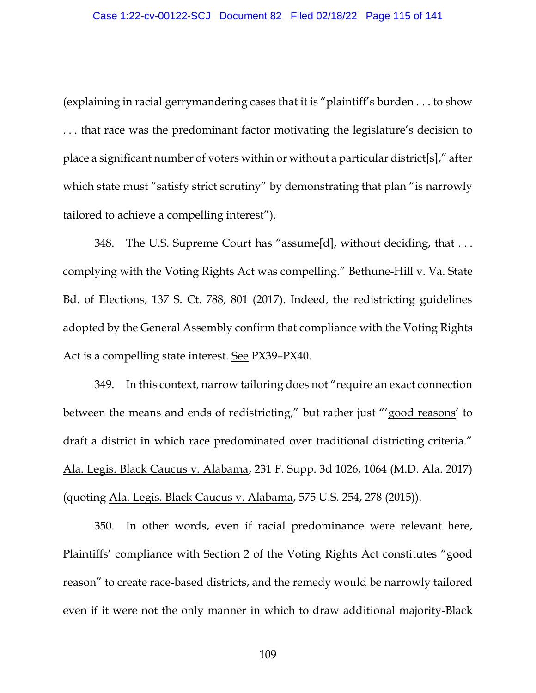(explaining in racial gerrymandering cases that it is "plaintiff's burden . . . to show . . . that race was the predominant factor motivating the legislature's decision to place a significant number of voters within or without a particular district[s]," after which state must "satisfy strict scrutiny" by demonstrating that plan "is narrowly tailored to achieve a compelling interest").

348. The U.S. Supreme Court has "assume[d], without deciding, that . . . complying with the Voting Rights Act was compelling." Bethune-Hill v. Va. State Bd. of Elections, 137 S. Ct. 788, 801 (2017). Indeed, the redistricting guidelines adopted by the General Assembly confirm that compliance with the Voting Rights Act is a compelling state interest. See PX39–PX40.

349. In this context, narrow tailoring does not "require an exact connection between the means and ends of redistricting," but rather just "'good reasons' to draft a district in which race predominated over traditional districting criteria." Ala. Legis. Black Caucus v. Alabama, 231 F. Supp. 3d 1026, 1064 (M.D. Ala. 2017) (quoting Ala. Legis. Black Caucus v. Alabama, 575 U.S. 254, 278 (2015)).

350. In other words, even if racial predominance were relevant here, Plaintiffs' compliance with Section 2 of the Voting Rights Act constitutes "good reason" to create race-based districts, and the remedy would be narrowly tailored even if it were not the only manner in which to draw additional majority-Black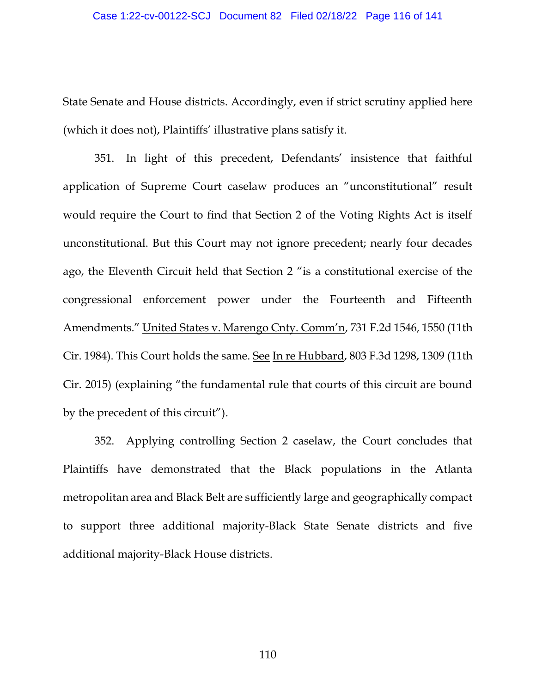State Senate and House districts. Accordingly, even if strict scrutiny applied here (which it does not), Plaintiffs' illustrative plans satisfy it.

351. In light of this precedent, Defendants' insistence that faithful application of Supreme Court caselaw produces an "unconstitutional" result would require the Court to find that Section 2 of the Voting Rights Act is itself unconstitutional. But this Court may not ignore precedent; nearly four decades ago, the Eleventh Circuit held that Section 2 "is a constitutional exercise of the congressional enforcement power under the Fourteenth and Fifteenth Amendments." United States v. Marengo Cnty. Comm'n, 731 F.2d 1546, 1550 (11th Cir. 1984). This Court holds the same. See In re Hubbard, 803 F.3d 1298, 1309 (11th Cir. 2015) (explaining "the fundamental rule that courts of this circuit are bound by the precedent of this circuit").

352. Applying controlling Section 2 caselaw, the Court concludes that Plaintiffs have demonstrated that the Black populations in the Atlanta metropolitan area and Black Belt are sufficiently large and geographically compact to support three additional majority-Black State Senate districts and five additional majority-Black House districts.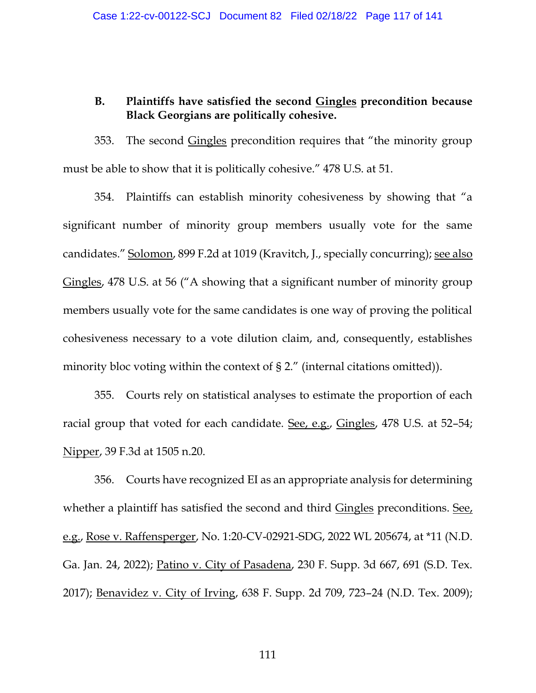## **B. Plaintiffs have satisfied the second Gingles precondition because Black Georgians are politically cohesive.**

353. The second Gingles precondition requires that "the minority group must be able to show that it is politically cohesive." 478 U.S. at 51.

354. Plaintiffs can establish minority cohesiveness by showing that "a significant number of minority group members usually vote for the same candidates." Solomon, 899 F.2d at 1019 (Kravitch, J., specially concurring); see also Gingles, 478 U.S. at 56 ("A showing that a significant number of minority group members usually vote for the same candidates is one way of proving the political cohesiveness necessary to a vote dilution claim, and, consequently, establishes minority bloc voting within the context of § 2." (internal citations omitted)).

355. Courts rely on statistical analyses to estimate the proportion of each racial group that voted for each candidate. See, e.g., Gingles, 478 U.S. at 52–54; Nipper, 39 F.3d at 1505 n.20.

356. Courts have recognized EI as an appropriate analysis for determining whether a plaintiff has satisfied the second and third Gingles preconditions. See, e.g., Rose v. Raffensperger, No. 1:20-CV-02921-SDG, 2022 WL 205674, at \*11 (N.D. Ga. Jan. 24, 2022); Patino v. City of Pasadena, 230 F. Supp. 3d 667, 691 (S.D. Tex. 2017); Benavidez v. City of Irving, 638 F. Supp. 2d 709, 723–24 (N.D. Tex. 2009);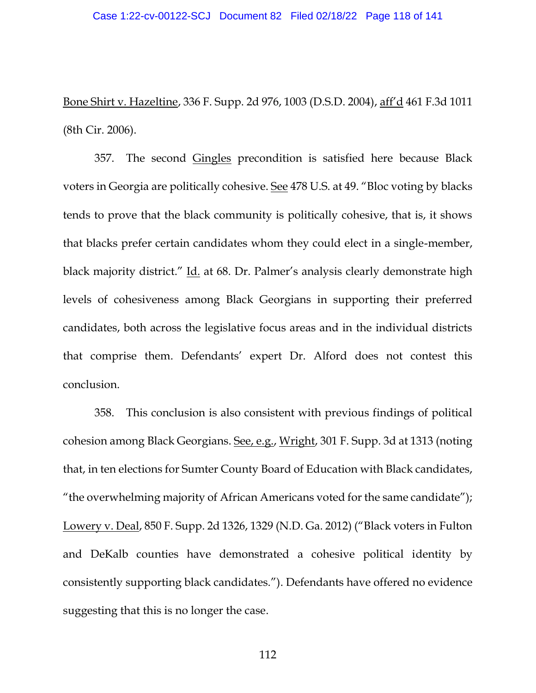Bone Shirt v. Hazeltine, 336 F. Supp. 2d 976, 1003 (D.S.D. 2004), aff'd 461 F.3d 1011 (8th Cir. 2006).

357. The second Gingles precondition is satisfied here because Black voters in Georgia are politically cohesive. See 478 U.S. at 49. "Bloc voting by blacks tends to prove that the black community is politically cohesive, that is, it shows that blacks prefer certain candidates whom they could elect in a single-member, black majority district." Id. at 68. Dr. Palmer's analysis clearly demonstrate high levels of cohesiveness among Black Georgians in supporting their preferred candidates, both across the legislative focus areas and in the individual districts that comprise them. Defendants' expert Dr. Alford does not contest this conclusion.

358. This conclusion is also consistent with previous findings of political cohesion among Black Georgians. See, e.g., Wright, 301 F. Supp. 3d at 1313 (noting that, in ten elections for Sumter County Board of Education with Black candidates, "the overwhelming majority of African Americans voted for the same candidate"); Lowery v. Deal, 850 F. Supp. 2d 1326, 1329 (N.D. Ga. 2012) ("Black voters in Fulton and DeKalb counties have demonstrated a cohesive political identity by consistently supporting black candidates."). Defendants have offered no evidence suggesting that this is no longer the case.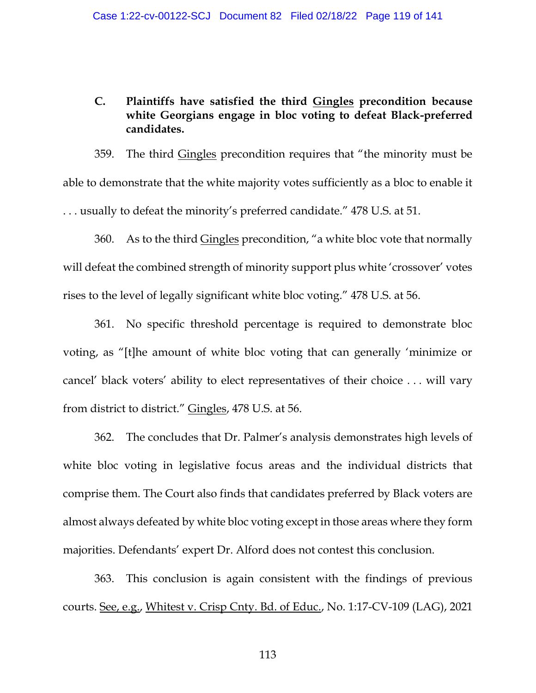## **C. Plaintiffs have satisfied the third Gingles precondition because white Georgians engage in bloc voting to defeat Black-preferred candidates.**

359. The third Gingles precondition requires that "the minority must be able to demonstrate that the white majority votes sufficiently as a bloc to enable it . . . usually to defeat the minority's preferred candidate." 478 U.S. at 51.

360. As to the third Gingles precondition, "a white bloc vote that normally will defeat the combined strength of minority support plus white 'crossover' votes rises to the level of legally significant white bloc voting." 478 U.S. at 56.

361. No specific threshold percentage is required to demonstrate bloc voting, as "[t]he amount of white bloc voting that can generally 'minimize or cancel' black voters' ability to elect representatives of their choice . . . will vary from district to district." Gingles, 478 U.S. at 56.

362. The concludes that Dr. Palmer's analysis demonstrates high levels of white bloc voting in legislative focus areas and the individual districts that comprise them. The Court also finds that candidates preferred by Black voters are almost always defeated by white bloc voting except in those areas where they form majorities. Defendants' expert Dr. Alford does not contest this conclusion.

363. This conclusion is again consistent with the findings of previous courts. See, e.g., Whitest v. Crisp Cnty. Bd. of Educ., No. 1:17-CV-109 (LAG), 2021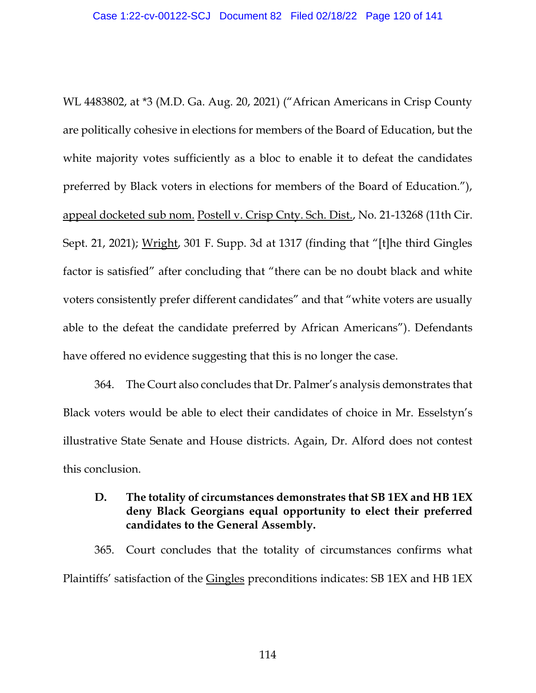WL 4483802, at \*3 (M.D. Ga. Aug. 20, 2021) ("African Americans in Crisp County are politically cohesive in elections for members of the Board of Education, but the white majority votes sufficiently as a bloc to enable it to defeat the candidates preferred by Black voters in elections for members of the Board of Education."), appeal docketed sub nom. Postell v. Crisp Cnty. Sch. Dist., No. 21-13268 (11th Cir. Sept. 21, 2021); Wright, 301 F. Supp. 3d at 1317 (finding that "[t]he third Gingles factor is satisfied" after concluding that "there can be no doubt black and white voters consistently prefer different candidates" and that "white voters are usually able to the defeat the candidate preferred by African Americans"). Defendants have offered no evidence suggesting that this is no longer the case.

364. The Court also concludes that Dr. Palmer's analysis demonstrates that Black voters would be able to elect their candidates of choice in Mr. Esselstyn's illustrative State Senate and House districts. Again, Dr. Alford does not contest this conclusion.

## **D. The totality of circumstances demonstrates that SB 1EX and HB 1EX deny Black Georgians equal opportunity to elect their preferred candidates to the General Assembly.**

365. Court concludes that the totality of circumstances confirms what Plaintiffs' satisfaction of the Gingles preconditions indicates: SB 1EX and HB 1EX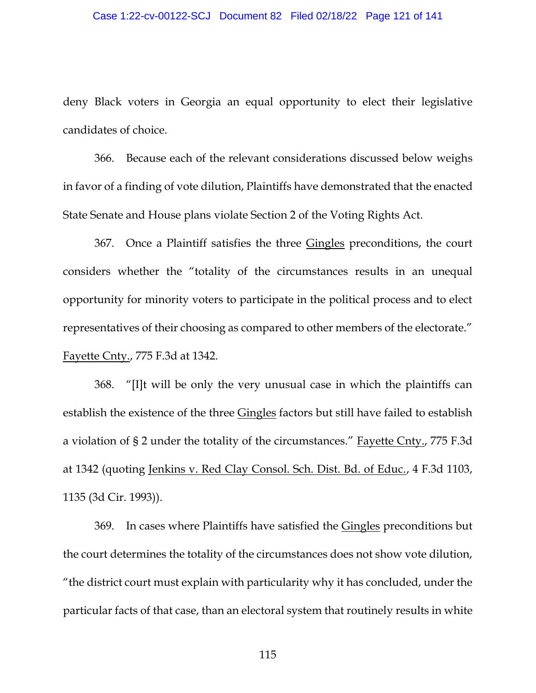#### Case 1:22-cv-00122-SCJ Document 82 Filed 02/18/22 Page 121 of 141

deny Black voters in Georgia an equal opportunity to elect their legislative candidates of choice.

366. Because each of the relevant considerations discussed below weighs in favor of a finding of vote dilution, Plaintiffs have demonstrated that the enacted State Senate and House plans violate Section 2 of the Voting Rights Act.

367. Once a Plaintiff satisfies the three Gingles preconditions, the court considers whether the "totality of the circumstances results in an unequal opportunity for minority voters to participate in the political process and to elect representatives of their choosing as compared to other members of the electorate." Fayette Cnty., 775 F.3d at 1342.

368. "[I]t will be only the very unusual case in which the plaintiffs can establish the existence of the three Gingles factors but still have failed to establish a violation of § 2 under the totality of the circumstances." Fayette Cnty., 775 F.3d at 1342 (quoting Jenkins v. Red Clay Consol. Sch. Dist. Bd. of Educ., 4 F.3d 1103, 1135 (3d Cir. 1993)).

369. In cases where Plaintiffs have satisfied the Gingles preconditions but the court determines the totality of the circumstances does not show vote dilution, "the district court must explain with particularity why it has concluded, under the particular facts of that case, than an electoral system that routinely results in white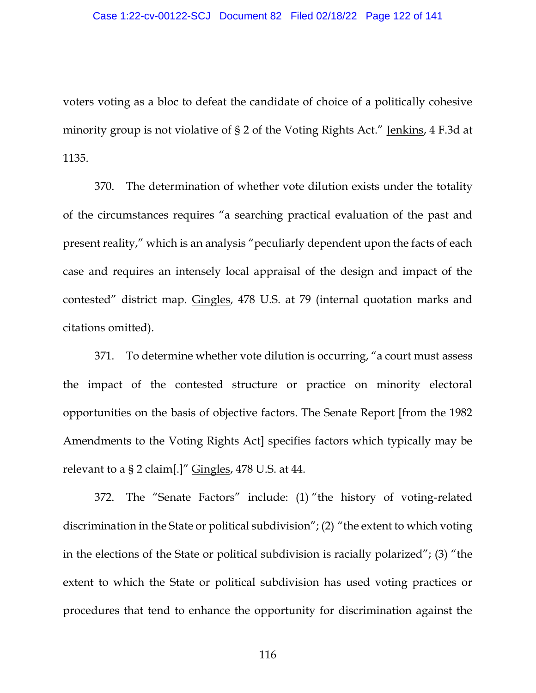voters voting as a bloc to defeat the candidate of choice of a politically cohesive minority group is not violative of § 2 of the Voting Rights Act." Jenkins, 4 F.3d at 1135.

370. The determination of whether vote dilution exists under the totality of the circumstances requires "a searching practical evaluation of the past and present reality," which is an analysis "peculiarly dependent upon the facts of each case and requires an intensely local appraisal of the design and impact of the contested" district map. Gingles, 478 U.S. at 79 (internal quotation marks and citations omitted).

371. To determine whether vote dilution is occurring, "a court must assess the impact of the contested structure or practice on minority electoral opportunities on the basis of objective factors. The Senate Report [from the 1982 Amendments to the Voting Rights Act] specifies factors which typically may be relevant to a § 2 claim[.]" Gingles, 478 U.S. at 44.

372. The "Senate Factors" include: (1) "the history of voting-related discrimination in the State or political subdivision"; (2) "the extent to which voting in the elections of the State or political subdivision is racially polarized"; (3) "the extent to which the State or political subdivision has used voting practices or procedures that tend to enhance the opportunity for discrimination against the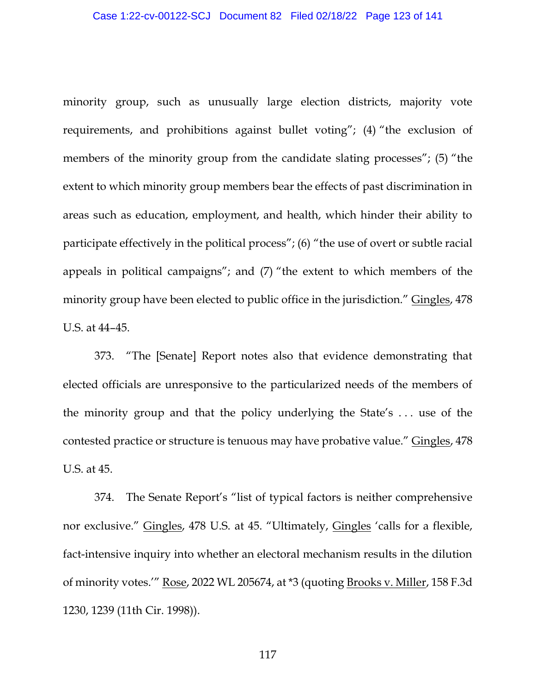minority group, such as unusually large election districts, majority vote requirements, and prohibitions against bullet voting"; (4) "the exclusion of members of the minority group from the candidate slating processes"; (5) "the extent to which minority group members bear the effects of past discrimination in areas such as education, employment, and health, which hinder their ability to participate effectively in the political process"; (6) "the use of overt or subtle racial appeals in political campaigns"; and (7) "the extent to which members of the minority group have been elected to public office in the jurisdiction." Gingles, 478 U.S. at 44–45.

373. "The [Senate] Report notes also that evidence demonstrating that elected officials are unresponsive to the particularized needs of the members of the minority group and that the policy underlying the State's . . . use of the contested practice or structure is tenuous may have probative value." Gingles, 478 U.S. at 45.

374. The Senate Report's "list of typical factors is neither comprehensive nor exclusive." Gingles, 478 U.S. at 45. "Ultimately, Gingles 'calls for a flexible, fact-intensive inquiry into whether an electoral mechanism results in the dilution of minority votes.'" Rose, 2022 WL 205674, at \*3 (quoting Brooks v. Miller, 158 F.3d 1230, 1239 (11th Cir. 1998)).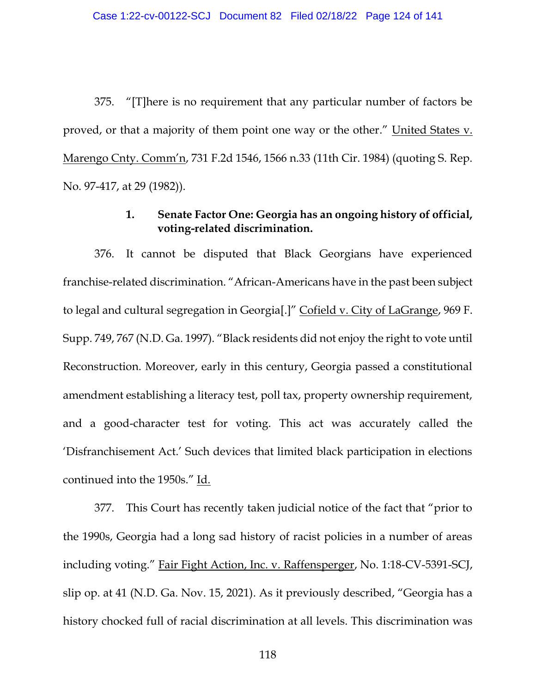375. "[T]here is no requirement that any particular number of factors be proved, or that a majority of them point one way or the other." United States v. Marengo Cnty. Comm'n, 731 F.2d 1546, 1566 n.33 (11th Cir. 1984) (quoting S. Rep. No. 97-417, at 29 (1982)).

### **1. Senate Factor One: Georgia has an ongoing history of official, voting-related discrimination.**

376. It cannot be disputed that Black Georgians have experienced franchise-related discrimination. "African-Americans have in the past been subject to legal and cultural segregation in Georgia[.]" Cofield v. City of LaGrange, 969 F. Supp. 749, 767 (N.D. Ga. 1997). "Black residents did not enjoy the right to vote until Reconstruction. Moreover, early in this century, Georgia passed a constitutional amendment establishing a literacy test, poll tax, property ownership requirement, and a good-character test for voting. This act was accurately called the 'Disfranchisement Act.' Such devices that limited black participation in elections continued into the 1950s." Id.

377. This Court has recently taken judicial notice of the fact that "prior to the 1990s, Georgia had a long sad history of racist policies in a number of areas including voting." Fair Fight Action, Inc. v. Raffensperger, No. 1:18-CV-5391-SCJ, slip op. at 41 (N.D. Ga. Nov. 15, 2021). As it previously described, "Georgia has a history chocked full of racial discrimination at all levels. This discrimination was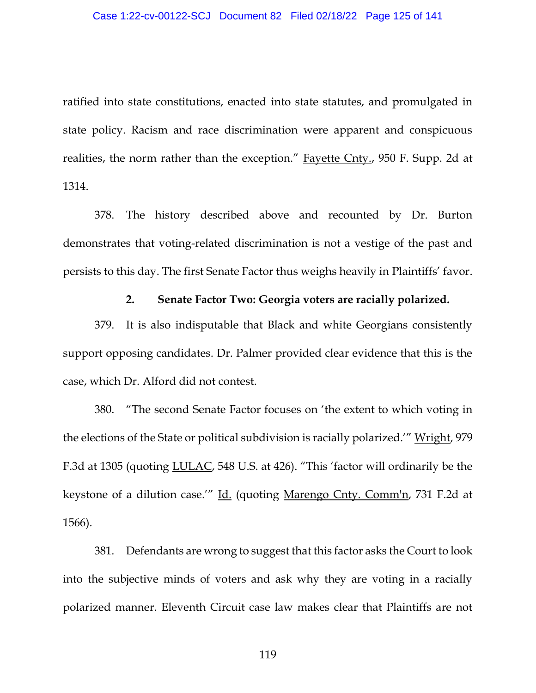ratified into state constitutions, enacted into state statutes, and promulgated in state policy. Racism and race discrimination were apparent and conspicuous realities, the norm rather than the exception." Fayette Cnty., 950 F. Supp. 2d at 1314.

378. The history described above and recounted by Dr. Burton demonstrates that voting-related discrimination is not a vestige of the past and persists to this day. The first Senate Factor thus weighs heavily in Plaintiffs' favor.

#### **2. Senate Factor Two: Georgia voters are racially polarized.**

379. It is also indisputable that Black and white Georgians consistently support opposing candidates. Dr. Palmer provided clear evidence that this is the case, which Dr. Alford did not contest.

380. "The second Senate Factor focuses on 'the extent to which voting in the elections of the State or political subdivision is racially polarized.'" Wright, 979 F.3d at 1305 (quoting LULAC, 548 U.S. at 426). "This 'factor will ordinarily be the keystone of a dilution case.'" Id. (quoting Marengo Cnty. Comm'n, 731 F.2d at 1566).

381. Defendants are wrong to suggest that this factor asks the Court to look into the subjective minds of voters and ask why they are voting in a racially polarized manner. Eleventh Circuit case law makes clear that Plaintiffs are not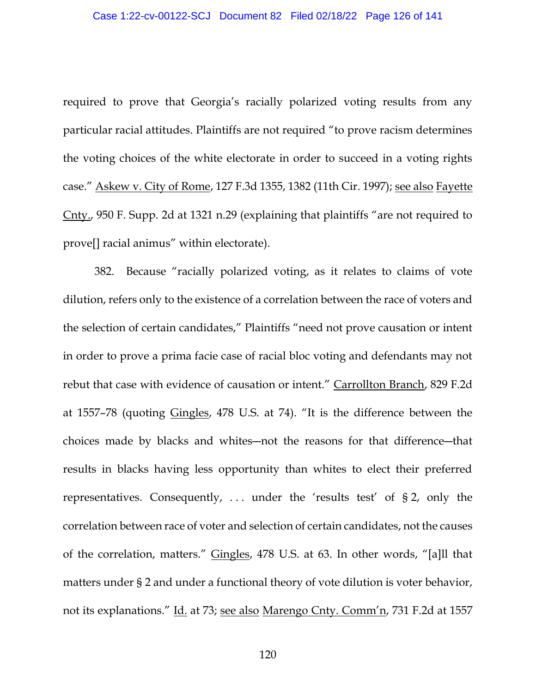required to prove that Georgia's racially polarized voting results from any particular racial attitudes. Plaintiffs are not required "to prove racism determines the voting choices of the white electorate in order to succeed in a voting rights case." Askew v. City of Rome, 127 F.3d 1355, 1382 (11th Cir. 1997); see also Fayette Cnty., 950 F. Supp. 2d at 1321 n.29 (explaining that plaintiffs "are not required to prove[] racial animus" within electorate).

382. Because "racially polarized voting, as it relates to claims of vote dilution, refers only to the existence of a correlation between the race of voters and the selection of certain candidates," Plaintiffs "need not prove causation or intent in order to prove a prima facie case of racial bloc voting and defendants may not rebut that case with evidence of causation or intent." Carrollton Branch, 829 F.2d at 1557–78 (quoting Gingles, 478 U.S. at 74). "It is the difference between the choices made by blacks and whites―not the reasons for that difference―that results in blacks having less opportunity than whites to elect their preferred representatives. Consequently, . . . under the 'results test' of § 2, only the correlation between race of voter and selection of certain candidates, not the causes of the correlation, matters." Gingles, 478 U.S. at 63. In other words, "[a]ll that matters under § 2 and under a functional theory of vote dilution is voter behavior, not its explanations." Id. at 73; see also Marengo Cnty. Comm'n, 731 F.2d at 1557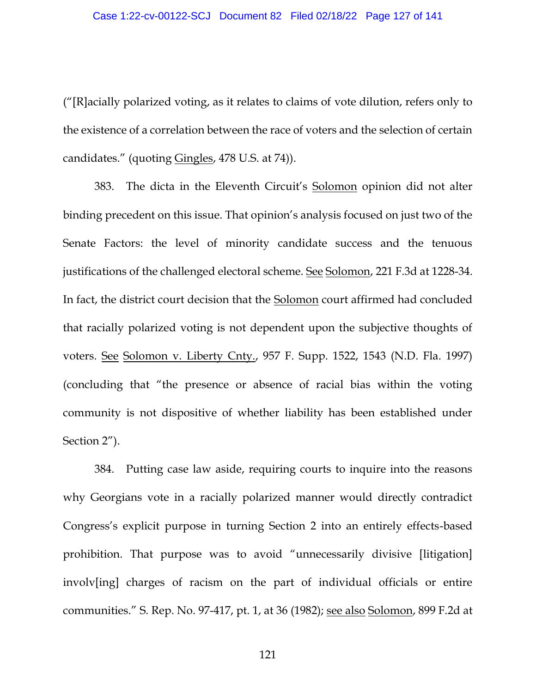("[R]acially polarized voting, as it relates to claims of vote dilution, refers only to the existence of a correlation between the race of voters and the selection of certain candidates." (quoting Gingles, 478 U.S. at 74)).

383. The dicta in the Eleventh Circuit's Solomon opinion did not alter binding precedent on this issue. That opinion's analysis focused on just two of the Senate Factors: the level of minority candidate success and the tenuous justifications of the challenged electoral scheme. See Solomon, 221 F.3d at 1228-34. In fact, the district court decision that the Solomon court affirmed had concluded that racially polarized voting is not dependent upon the subjective thoughts of voters. See Solomon v. Liberty Cnty., 957 F. Supp. 1522, 1543 (N.D. Fla. 1997) (concluding that "the presence or absence of racial bias within the voting community is not dispositive of whether liability has been established under Section 2").

384. Putting case law aside, requiring courts to inquire into the reasons why Georgians vote in a racially polarized manner would directly contradict Congress's explicit purpose in turning Section 2 into an entirely effects-based prohibition. That purpose was to avoid "unnecessarily divisive [litigation] involv[ing] charges of racism on the part of individual officials or entire communities." S. Rep. No. 97-417, pt. 1, at 36 (1982); see also Solomon, 899 F.2d at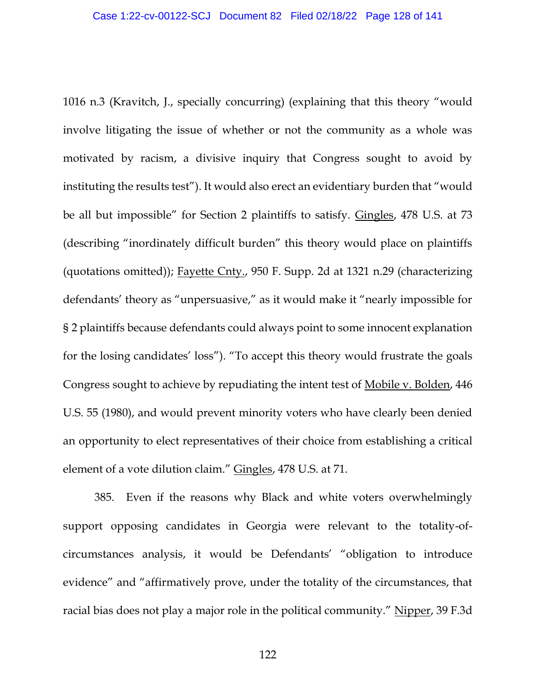1016 n.3 (Kravitch, J., specially concurring) (explaining that this theory "would involve litigating the issue of whether or not the community as a whole was motivated by racism, a divisive inquiry that Congress sought to avoid by instituting the results test"). It would also erect an evidentiary burden that "would be all but impossible" for Section 2 plaintiffs to satisfy. Gingles, 478 U.S. at 73 (describing "inordinately difficult burden" this theory would place on plaintiffs (quotations omitted)); Fayette Cnty., 950 F. Supp. 2d at 1321 n.29 (characterizing defendants' theory as "unpersuasive," as it would make it "nearly impossible for § 2 plaintiffs because defendants could always point to some innocent explanation for the losing candidates' loss"). "To accept this theory would frustrate the goals Congress sought to achieve by repudiating the intent test of Mobile v. Bolden, 446 U.S. 55 (1980), and would prevent minority voters who have clearly been denied an opportunity to elect representatives of their choice from establishing a critical element of a vote dilution claim." Gingles, 478 U.S. at 71.

385. Even if the reasons why Black and white voters overwhelmingly support opposing candidates in Georgia were relevant to the totality-ofcircumstances analysis, it would be Defendants' "obligation to introduce evidence" and "affirmatively prove, under the totality of the circumstances, that racial bias does not play a major role in the political community." Nipper, 39 F.3d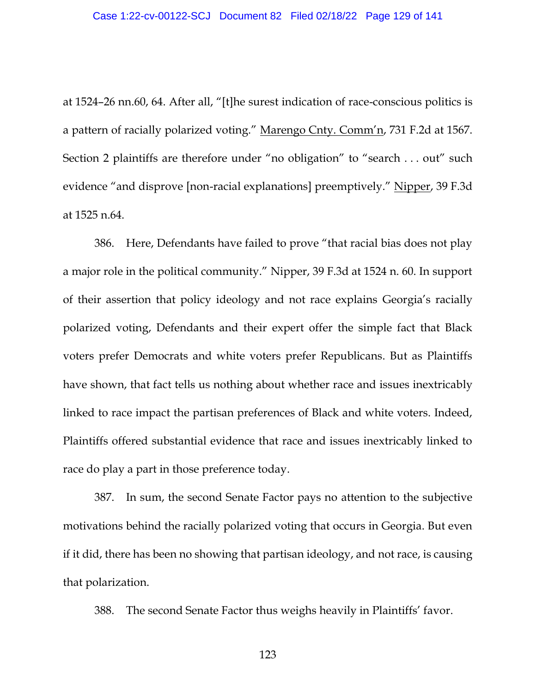at 1524–26 nn.60, 64. After all, "[t]he surest indication of race-conscious politics is a pattern of racially polarized voting." Marengo Cnty. Comm'n, 731 F.2d at 1567. Section 2 plaintiffs are therefore under "no obligation" to "search . . . out" such evidence "and disprove [non-racial explanations] preemptively." Nipper, 39 F.3d at 1525 n.64.

386. Here, Defendants have failed to prove "that racial bias does not play a major role in the political community." Nipper, 39 F.3d at 1524 n. 60. In support of their assertion that policy ideology and not race explains Georgia's racially polarized voting, Defendants and their expert offer the simple fact that Black voters prefer Democrats and white voters prefer Republicans. But as Plaintiffs have shown, that fact tells us nothing about whether race and issues inextricably linked to race impact the partisan preferences of Black and white voters. Indeed, Plaintiffs offered substantial evidence that race and issues inextricably linked to race do play a part in those preference today.

387. In sum, the second Senate Factor pays no attention to the subjective motivations behind the racially polarized voting that occurs in Georgia. But even if it did, there has been no showing that partisan ideology, and not race, is causing that polarization.

388. The second Senate Factor thus weighs heavily in Plaintiffs' favor.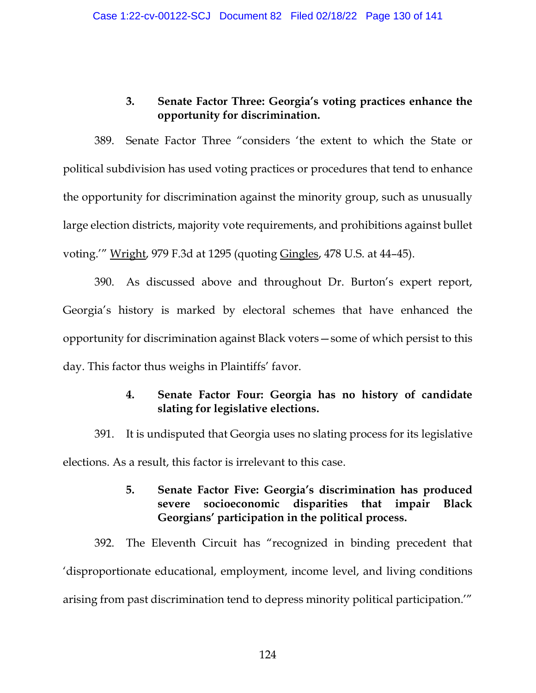# **3. Senate Factor Three: Georgia's voting practices enhance the opportunity for discrimination.**

389. Senate Factor Three "considers 'the extent to which the State or political subdivision has used voting practices or procedures that tend to enhance the opportunity for discrimination against the minority group, such as unusually large election districts, majority vote requirements, and prohibitions against bullet voting.'" Wright, 979 F.3d at 1295 (quoting Gingles, 478 U.S. at 44–45).

390. As discussed above and throughout Dr. Burton's expert report, Georgia's history is marked by electoral schemes that have enhanced the opportunity for discrimination against Black voters—some of which persist to this day. This factor thus weighs in Plaintiffs' favor.

# **4. Senate Factor Four: Georgia has no history of candidate slating for legislative elections.**

391. It is undisputed that Georgia uses no slating process for its legislative elections. As a result, this factor is irrelevant to this case.

# **5. Senate Factor Five: Georgia's discrimination has produced severe socioeconomic disparities that impair Black Georgians' participation in the political process.**

392. The Eleventh Circuit has "recognized in binding precedent that 'disproportionate educational, employment, income level, and living conditions arising from past discrimination tend to depress minority political participation.'"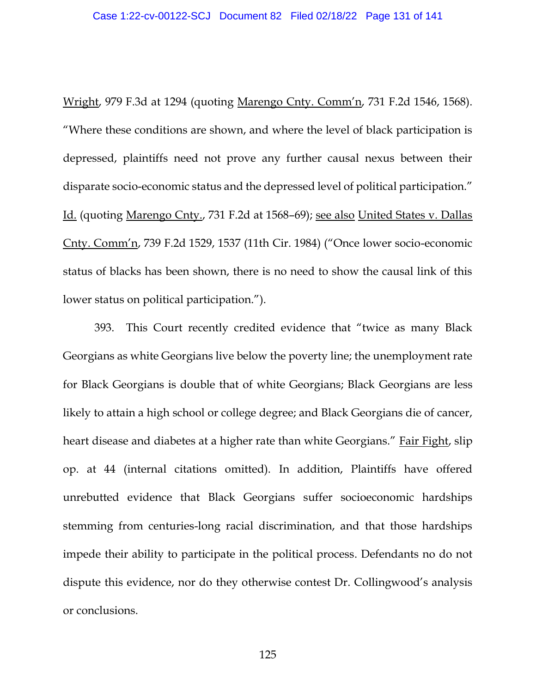Wright, 979 F.3d at 1294 (quoting Marengo Cnty. Comm'n, 731 F.2d 1546, 1568). "Where these conditions are shown, and where the level of black participation is depressed, plaintiffs need not prove any further causal nexus between their disparate socio-economic status and the depressed level of political participation." Id. (quoting Marengo Cnty., 731 F.2d at 1568–69); see also United States v. Dallas Cnty. Comm'n, 739 F.2d 1529, 1537 (11th Cir. 1984) ("Once lower socio-economic status of blacks has been shown, there is no need to show the causal link of this lower status on political participation.").

393. This Court recently credited evidence that "twice as many Black Georgians as white Georgians live below the poverty line; the unemployment rate for Black Georgians is double that of white Georgians; Black Georgians are less likely to attain a high school or college degree; and Black Georgians die of cancer, heart disease and diabetes at a higher rate than white Georgians." Fair Fight, slip op. at 44 (internal citations omitted). In addition, Plaintiffs have offered unrebutted evidence that Black Georgians suffer socioeconomic hardships stemming from centuries-long racial discrimination, and that those hardships impede their ability to participate in the political process. Defendants no do not dispute this evidence, nor do they otherwise contest Dr. Collingwood's analysis or conclusions.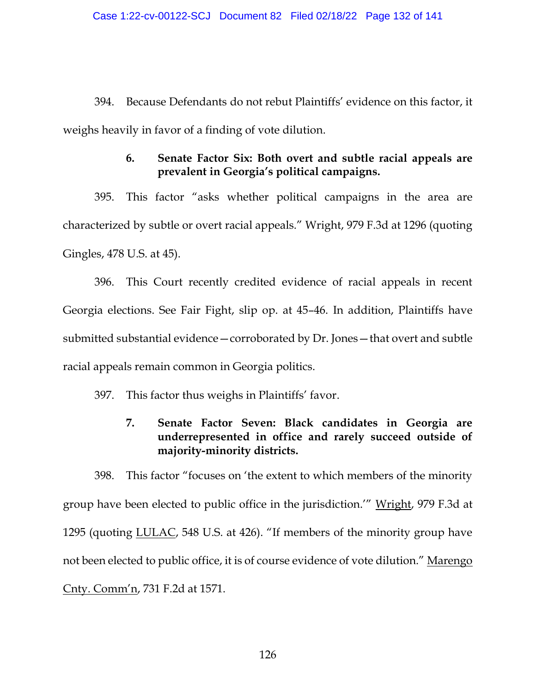394. Because Defendants do not rebut Plaintiffs' evidence on this factor, it weighs heavily in favor of a finding of vote dilution.

## **6. Senate Factor Six: Both overt and subtle racial appeals are prevalent in Georgia's political campaigns.**

395. This factor "asks whether political campaigns in the area are characterized by subtle or overt racial appeals." Wright, 979 F.3d at 1296 (quoting Gingles, 478 U.S. at 45).

396. This Court recently credited evidence of racial appeals in recent Georgia elections. See Fair Fight, slip op. at 45–46. In addition, Plaintiffs have submitted substantial evidence—corroborated by Dr. Jones—that overt and subtle racial appeals remain common in Georgia politics.

- 397. This factor thus weighs in Plaintiffs' favor.
	- **7. Senate Factor Seven: Black candidates in Georgia are underrepresented in office and rarely succeed outside of majority-minority districts.**

398. This factor "focuses on 'the extent to which members of the minority group have been elected to public office in the jurisdiction.'" Wright, 979 F.3d at 1295 (quoting LULAC, 548 U.S. at 426). "If members of the minority group have not been elected to public office, it is of course evidence of vote dilution." Marengo Cnty. Comm'n, 731 F.2d at 1571.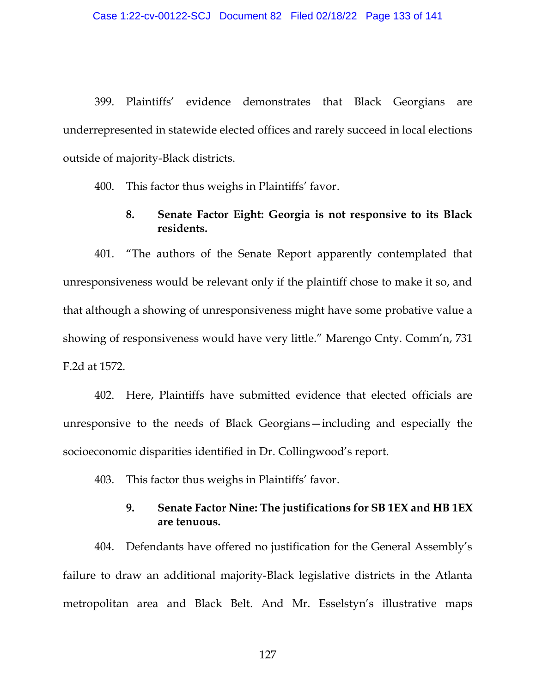399. Plaintiffs' evidence demonstrates that Black Georgians are underrepresented in statewide elected offices and rarely succeed in local elections outside of majority-Black districts.

400. This factor thus weighs in Plaintiffs' favor.

### **8. Senate Factor Eight: Georgia is not responsive to its Black residents.**

401. "The authors of the Senate Report apparently contemplated that unresponsiveness would be relevant only if the plaintiff chose to make it so, and that although a showing of unresponsiveness might have some probative value a showing of responsiveness would have very little." Marengo Cnty. Comm'n, 731 F.2d at 1572.

402. Here, Plaintiffs have submitted evidence that elected officials are unresponsive to the needs of Black Georgians—including and especially the socioeconomic disparities identified in Dr. Collingwood's report.

403. This factor thus weighs in Plaintiffs' favor.

### **9. Senate Factor Nine: The justifications for SB 1EX and HB 1EX are tenuous.**

404. Defendants have offered no justification for the General Assembly's failure to draw an additional majority-Black legislative districts in the Atlanta metropolitan area and Black Belt. And Mr. Esselstyn's illustrative maps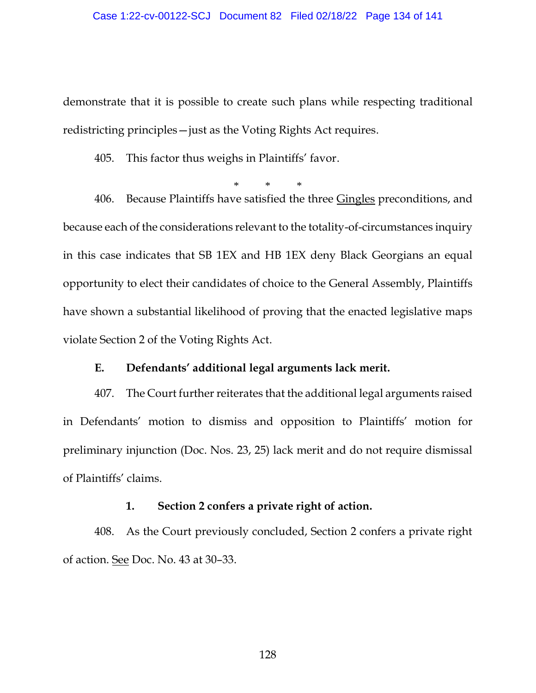demonstrate that it is possible to create such plans while respecting traditional redistricting principles—just as the Voting Rights Act requires.

405. This factor thus weighs in Plaintiffs' favor.

\* \* \* 406. Because Plaintiffs have satisfied the three Gingles preconditions, and because each of the considerations relevant to the totality-of-circumstances inquiry in this case indicates that SB 1EX and HB 1EX deny Black Georgians an equal opportunity to elect their candidates of choice to the General Assembly, Plaintiffs have shown a substantial likelihood of proving that the enacted legislative maps violate Section 2 of the Voting Rights Act.

#### **E. Defendants' additional legal arguments lack merit.**

407. The Court further reiterates that the additional legal arguments raised in Defendants' motion to dismiss and opposition to Plaintiffs' motion for preliminary injunction (Doc. Nos. 23, 25) lack merit and do not require dismissal of Plaintiffs' claims.

#### **1. Section 2 confers a private right of action.**

408. As the Court previously concluded, Section 2 confers a private right of action. See Doc. No. 43 at 30–33.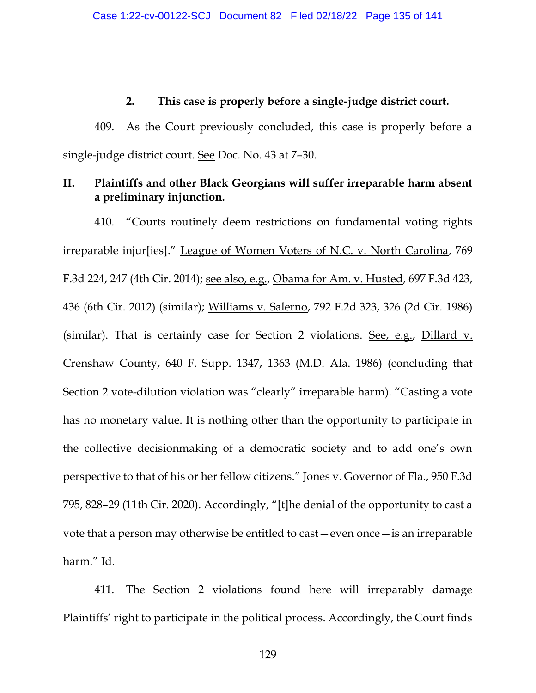#### **2. This case is properly before a single-judge district court.**

409. As the Court previously concluded, this case is properly before a single-judge district court. See Doc. No. 43 at 7–30.

## **II. Plaintiffs and other Black Georgians will suffer irreparable harm absent a preliminary injunction.**

410. "Courts routinely deem restrictions on fundamental voting rights irreparable injur[ies]." League of Women Voters of N.C. v. North Carolina, 769 F.3d 224, 247 (4th Cir. 2014); see also, e.g., Obama for Am. v. Husted, 697 F.3d 423, 436 (6th Cir. 2012) (similar); Williams v. Salerno, 792 F.2d 323, 326 (2d Cir. 1986) (similar). That is certainly case for Section 2 violations. See, e.g., Dillard v. Crenshaw County, 640 F. Supp. 1347, 1363 (M.D. Ala. 1986) (concluding that Section 2 vote-dilution violation was "clearly" irreparable harm). "Casting a vote has no monetary value. It is nothing other than the opportunity to participate in the collective decisionmaking of a democratic society and to add one's own perspective to that of his or her fellow citizens." Jones v. Governor of Fla., 950 F.3d 795, 828–29 (11th Cir. 2020). Accordingly, "[t]he denial of the opportunity to cast a vote that a person may otherwise be entitled to cast—even once—is an irreparable harm." Id.

411. The Section 2 violations found here will irreparably damage Plaintiffs' right to participate in the political process. Accordingly, the Court finds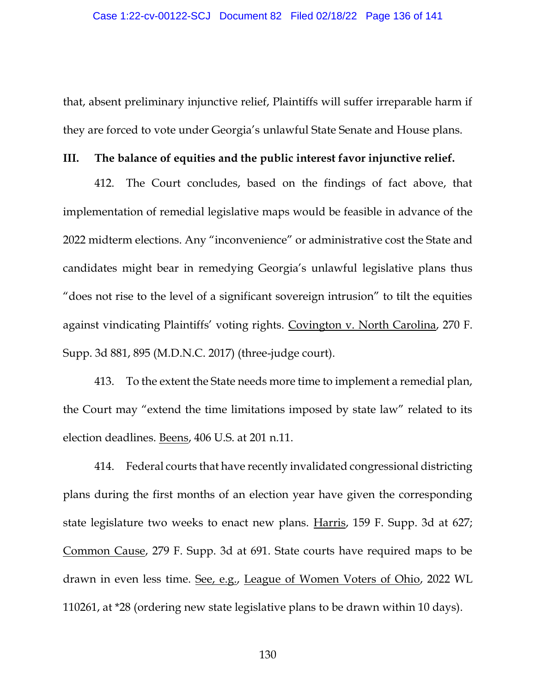that, absent preliminary injunctive relief, Plaintiffs will suffer irreparable harm if they are forced to vote under Georgia's unlawful State Senate and House plans.

#### **III. The balance of equities and the public interest favor injunctive relief.**

412. The Court concludes, based on the findings of fact above, that implementation of remedial legislative maps would be feasible in advance of the 2022 midterm elections. Any "inconvenience" or administrative cost the State and candidates might bear in remedying Georgia's unlawful legislative plans thus "does not rise to the level of a significant sovereign intrusion" to tilt the equities against vindicating Plaintiffs' voting rights. Covington v. North Carolina, 270 F. Supp. 3d 881, 895 (M.D.N.C. 2017) (three-judge court).

413. To the extent the State needs more time to implement a remedial plan, the Court may "extend the time limitations imposed by state law" related to its election deadlines. Beens, 406 U.S. at 201 n.11.

414. Federal courts that have recently invalidated congressional districting plans during the first months of an election year have given the corresponding state legislature two weeks to enact new plans. Harris, 159 F. Supp. 3d at 627; Common Cause, 279 F. Supp. 3d at 691. State courts have required maps to be drawn in even less time. See, e.g., League of Women Voters of Ohio, 2022 WL 110261, at \*28 (ordering new state legislative plans to be drawn within 10 days).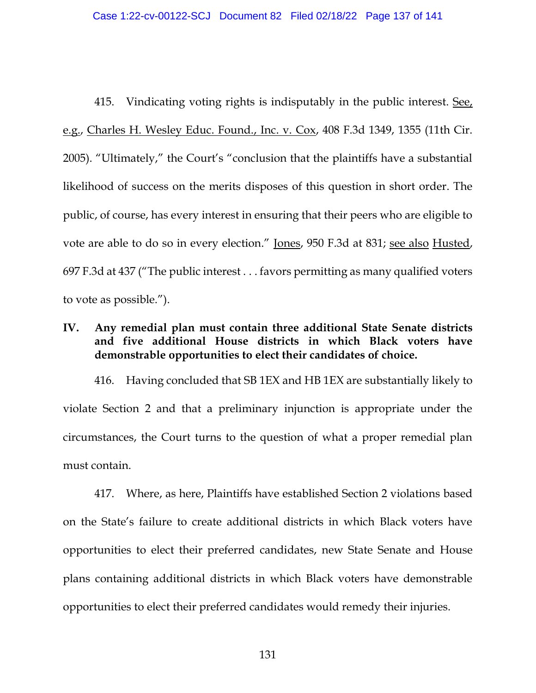415. Vindicating voting rights is indisputably in the public interest. See, e.g., Charles H. Wesley Educ. Found., Inc. v. Cox, 408 F.3d 1349, 1355 (11th Cir. 2005). "Ultimately," the Court's "conclusion that the plaintiffs have a substantial likelihood of success on the merits disposes of this question in short order. The public, of course, has every interest in ensuring that their peers who are eligible to vote are able to do so in every election." Jones, 950 F.3d at 831; see also Husted, 697 F.3d at 437 ("The public interest . . . favors permitting as many qualified voters to vote as possible.").

## **IV. Any remedial plan must contain three additional State Senate districts and five additional House districts in which Black voters have demonstrable opportunities to elect their candidates of choice.**

416. Having concluded that SB 1EX and HB 1EX are substantially likely to violate Section 2 and that a preliminary injunction is appropriate under the circumstances, the Court turns to the question of what a proper remedial plan must contain.

417. Where, as here, Plaintiffs have established Section 2 violations based on the State's failure to create additional districts in which Black voters have opportunities to elect their preferred candidates, new State Senate and House plans containing additional districts in which Black voters have demonstrable opportunities to elect their preferred candidates would remedy their injuries.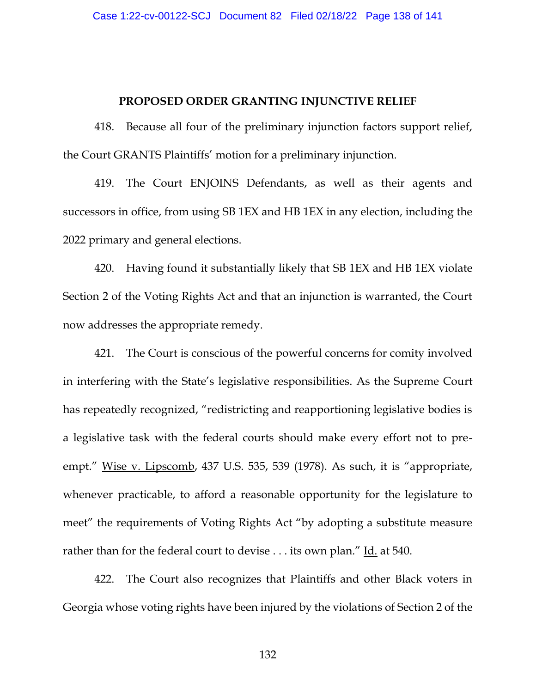#### **PROPOSED ORDER GRANTING INJUNCTIVE RELIEF**

418. Because all four of the preliminary injunction factors support relief, the Court GRANTS Plaintiffs' motion for a preliminary injunction.

419. The Court ENJOINS Defendants, as well as their agents and successors in office, from using SB 1EX and HB 1EX in any election, including the 2022 primary and general elections.

420. Having found it substantially likely that SB 1EX and HB 1EX violate Section 2 of the Voting Rights Act and that an injunction is warranted, the Court now addresses the appropriate remedy.

421. The Court is conscious of the powerful concerns for comity involved in interfering with the State's legislative responsibilities. As the Supreme Court has repeatedly recognized, "redistricting and reapportioning legislative bodies is a legislative task with the federal courts should make every effort not to preempt." Wise v. Lipscomb, 437 U.S. 535, 539 (1978). As such, it is "appropriate, whenever practicable, to afford a reasonable opportunity for the legislature to meet" the requirements of Voting Rights Act "by adopting a substitute measure rather than for the federal court to devise . . . its own plan." Id. at 540.

422. The Court also recognizes that Plaintiffs and other Black voters in Georgia whose voting rights have been injured by the violations of Section 2 of the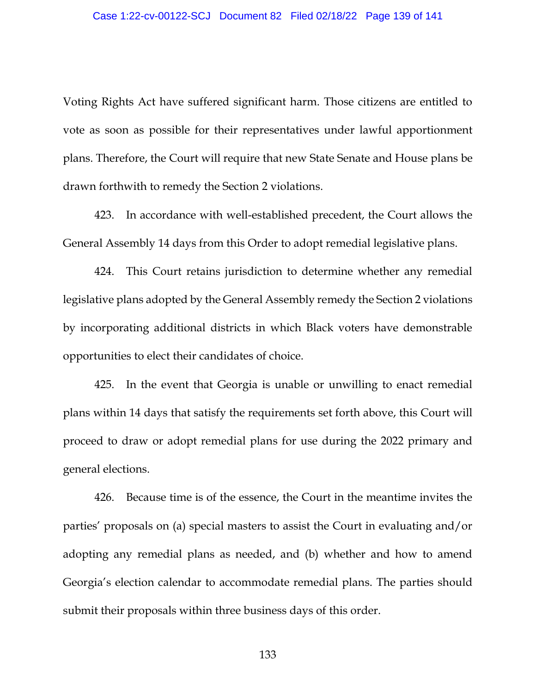Voting Rights Act have suffered significant harm. Those citizens are entitled to vote as soon as possible for their representatives under lawful apportionment plans. Therefore, the Court will require that new State Senate and House plans be drawn forthwith to remedy the Section 2 violations.

423. In accordance with well-established precedent, the Court allows the General Assembly 14 days from this Order to adopt remedial legislative plans.

424. This Court retains jurisdiction to determine whether any remedial legislative plans adopted by the General Assembly remedy the Section 2 violations by incorporating additional districts in which Black voters have demonstrable opportunities to elect their candidates of choice.

425. In the event that Georgia is unable or unwilling to enact remedial plans within 14 days that satisfy the requirements set forth above, this Court will proceed to draw or adopt remedial plans for use during the 2022 primary and general elections.

426. Because time is of the essence, the Court in the meantime invites the parties' proposals on (a) special masters to assist the Court in evaluating and/or adopting any remedial plans as needed, and (b) whether and how to amend Georgia's election calendar to accommodate remedial plans. The parties should submit their proposals within three business days of this order.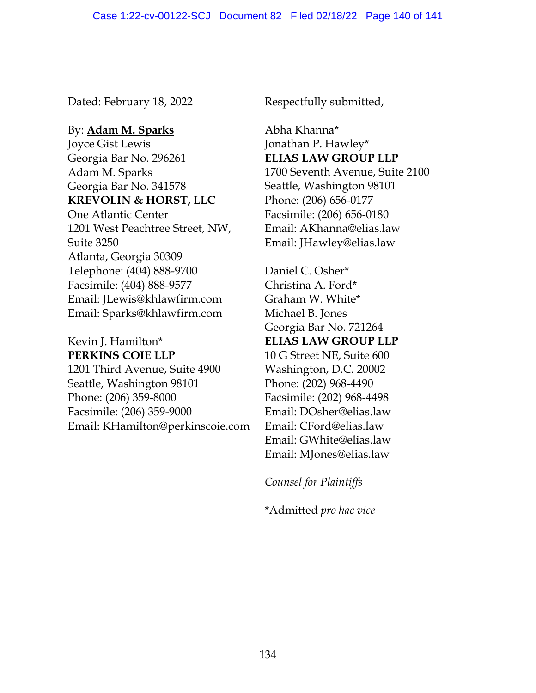Dated: February 18, 2022 Respectfully submitted,

By: **Adam M. Sparks** Joyce Gist Lewis Georgia Bar No. 296261 Adam M. Sparks Georgia Bar No. 341578 **KREVOLIN & HORST, LLC** One Atlantic Center 1201 West Peachtree Street, NW, Suite 3250 Atlanta, Georgia 30309 Telephone: (404) 888-9700 Facsimile: (404) 888-9577 Email: JLewis@khlawfirm.com Email: Sparks@khlawfirm.com

# Kevin J. Hamilton\* **PERKINS COIE LLP**

1201 Third Avenue, Suite 4900 Seattle, Washington 98101 Phone: (206) 359-8000 Facsimile: (206) 359-9000 Email: KHamilton@perkinscoie.com

Abha Khanna\* Jonathan P. Hawley\* **ELIAS LAW GROUP LLP** 1700 Seventh Avenue, Suite 2100 Seattle, Washington 98101 Phone: (206) 656-0177 Facsimile: (206) 656-0180 Email: AKhanna@elias.law Email: JHawley@elias.law

Daniel C. Osher\* Christina A. Ford\* Graham W. White\* Michael B. Jones Georgia Bar No. 721264 **ELIAS LAW GROUP LLP** 10 G Street NE, Suite 600 Washington, D.C. 20002 Phone: (202) 968-4490 Facsimile: (202) 968-4498 Email: DOsher@elias.law Email: CFord@elias.law Email: GWhite@elias.law Email: MJones@elias.law

*Counsel for Plaintiffs*

\*Admitted *pro hac vice*